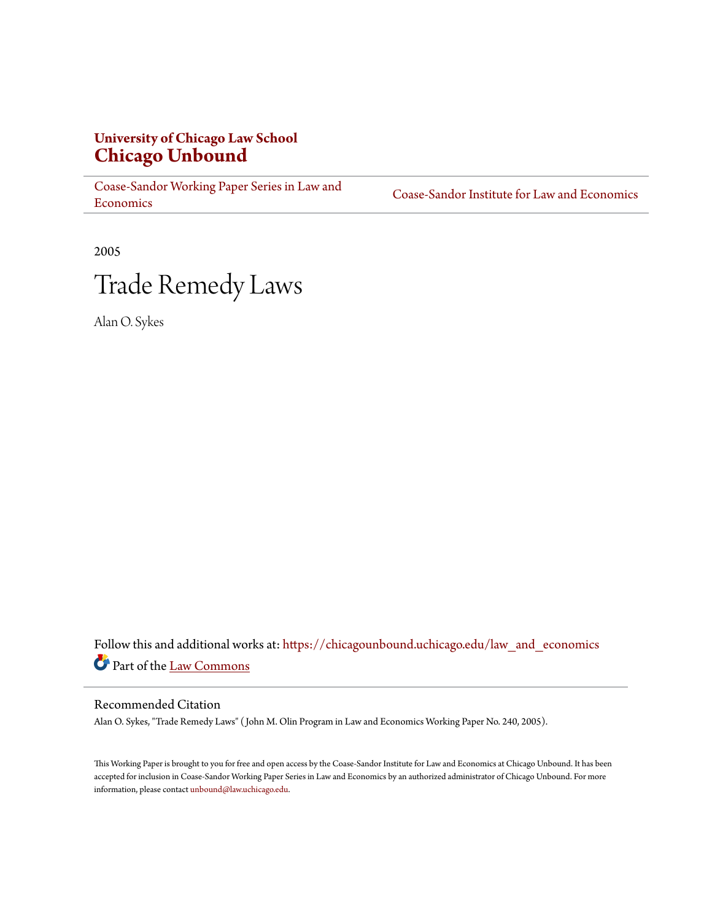# **University of Chicago Law School [Chicago Unbound](https://chicagounbound.uchicago.edu?utm_source=chicagounbound.uchicago.edu%2Flaw_and_economics%2F591&utm_medium=PDF&utm_campaign=PDFCoverPages)**

[Coase-Sandor Working Paper Series in Law and](https://chicagounbound.uchicago.edu/law_and_economics?utm_source=chicagounbound.uchicago.edu%2Flaw_and_economics%2F591&utm_medium=PDF&utm_campaign=PDFCoverPages) [Economics](https://chicagounbound.uchicago.edu/law_and_economics?utm_source=chicagounbound.uchicago.edu%2Flaw_and_economics%2F591&utm_medium=PDF&utm_campaign=PDFCoverPages)

[Coase-Sandor Institute for Law and Economics](https://chicagounbound.uchicago.edu/coase_sandor_institute?utm_source=chicagounbound.uchicago.edu%2Flaw_and_economics%2F591&utm_medium=PDF&utm_campaign=PDFCoverPages)

2005

# Trade Remedy Laws

Alan O. Sykes

Follow this and additional works at: [https://chicagounbound.uchicago.edu/law\\_and\\_economics](https://chicagounbound.uchicago.edu/law_and_economics?utm_source=chicagounbound.uchicago.edu%2Flaw_and_economics%2F591&utm_medium=PDF&utm_campaign=PDFCoverPages) Part of the [Law Commons](http://network.bepress.com/hgg/discipline/578?utm_source=chicagounbound.uchicago.edu%2Flaw_and_economics%2F591&utm_medium=PDF&utm_campaign=PDFCoverPages)

#### Recommended Citation

Alan O. Sykes, "Trade Remedy Laws" ( John M. Olin Program in Law and Economics Working Paper No. 240, 2005).

This Working Paper is brought to you for free and open access by the Coase-Sandor Institute for Law and Economics at Chicago Unbound. It has been accepted for inclusion in Coase-Sandor Working Paper Series in Law and Economics by an authorized administrator of Chicago Unbound. For more information, please contact [unbound@law.uchicago.edu.](mailto:unbound@law.uchicago.edu)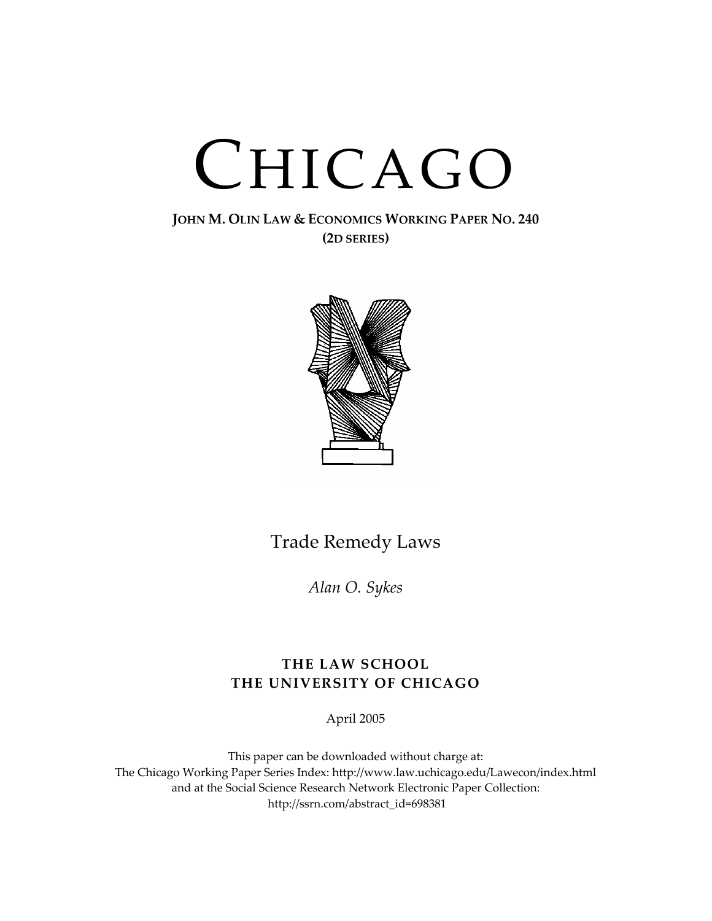# CHICAGO

### **JOHN M. OLIN LAW & ECONOMICS WORKING PAPER NO. 240 (2D SERIES)**



# Trade Remedy Laws

*Alan O. Sykes*

## **THE LAW SCHOOL THE UNIVERSITY OF CHICAGO**

April 2005

This paper can be downloaded without charge at: The Chicago Working Paper Series Index: http://www.law.uchicago.edu/Lawecon/index.html and at the Social Science Research Network Electronic Paper Collection: http://ssrn.com/abstract\_id=698381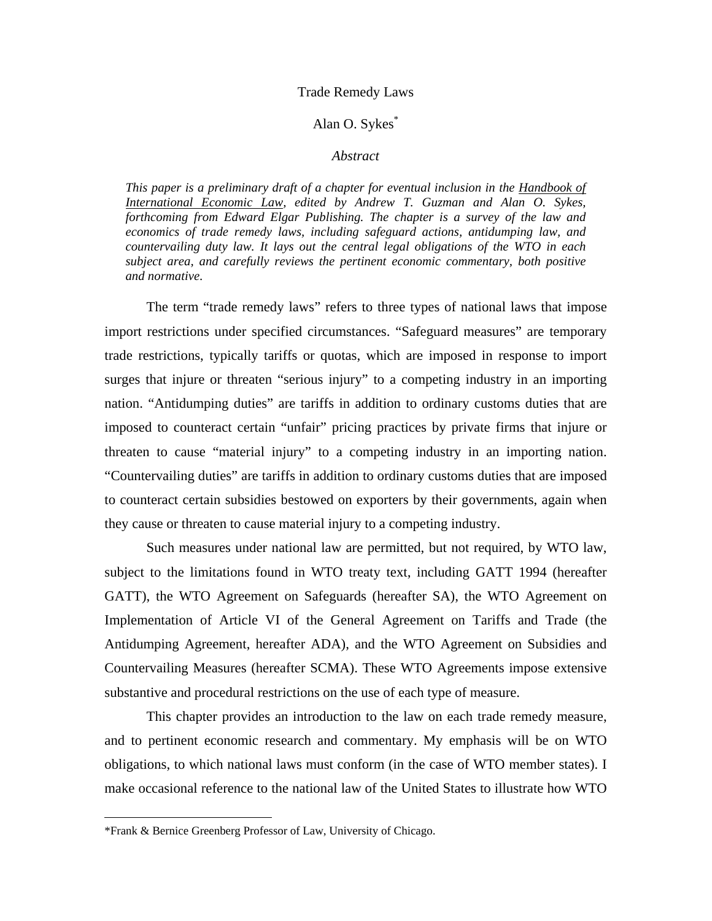#### Trade Remedy Laws

#### Alan O. Sykes<sup>\*</sup>

#### *Abstract*

*This paper is a preliminary draft of a chapter for eventual inclusion in the Handbook of International Economic Law, edited by Andrew T. Guzman and Alan O. Sykes, forthcoming from Edward Elgar Publishing. The chapter is a survey of the law and economics of trade remedy laws, including safeguard actions, antidumping law, and countervailing duty law. It lays out the central legal obligations of the WTO in each subject area, and carefully reviews the pertinent economic commentary, both positive and normative.* 

The term "trade remedy laws" refers to three types of national laws that impose import restrictions under specified circumstances. "Safeguard measures" are temporary trade restrictions, typically tariffs or quotas, which are imposed in response to import surges that injure or threaten "serious injury" to a competing industry in an importing nation. "Antidumping duties" are tariffs in addition to ordinary customs duties that are imposed to counteract certain "unfair" pricing practices by private firms that injure or threaten to cause "material injury" to a competing industry in an importing nation. "Countervailing duties" are tariffs in addition to ordinary customs duties that are imposed to counteract certain subsidies bestowed on exporters by their governments, again when they cause or threaten to cause material injury to a competing industry.

Such measures under national law are permitted, but not required, by WTO law, subject to the limitations found in WTO treaty text, including GATT 1994 (hereafter GATT), the WTO Agreement on Safeguards (hereafter SA), the WTO Agreement on Implementation of Article VI of the General Agreement on Tariffs and Trade (the Antidumping Agreement, hereafter ADA), and the WTO Agreement on Subsidies and Countervailing Measures (hereafter SCMA). These WTO Agreements impose extensive substantive and procedural restrictions on the use of each type of measure.

This chapter provides an introduction to the law on each trade remedy measure, and to pertinent economic research and commentary. My emphasis will be on WTO obligations, to which national laws must conform (in the case of WTO member states). I make occasional reference to the national law of the United States to illustrate how WTO

<sup>\*</sup>Frank & Bernice Greenberg Professor of Law, University of Chicago.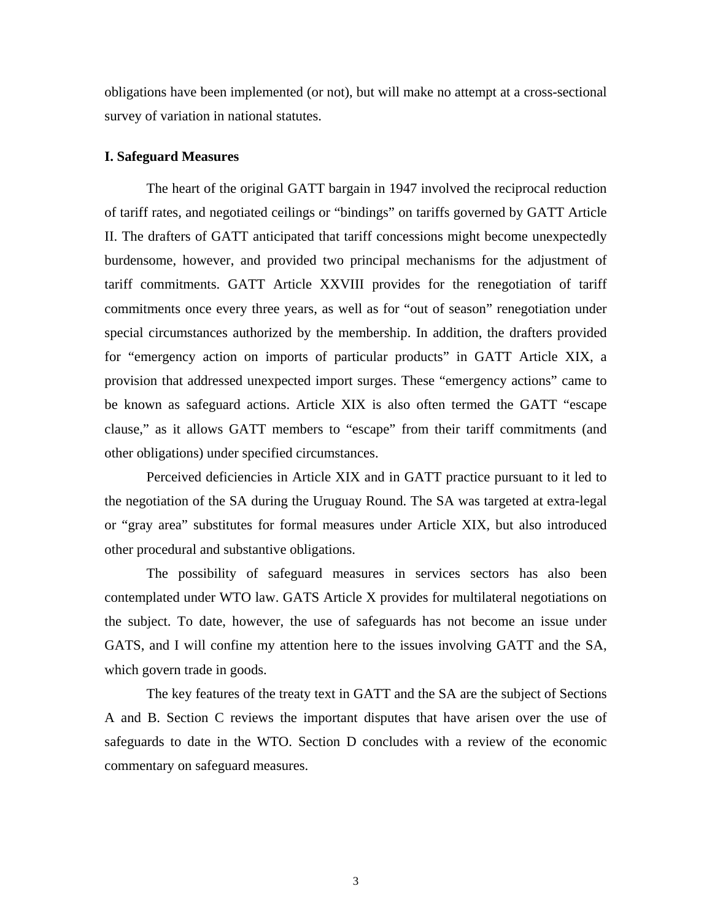obligations have been implemented (or not), but will make no attempt at a cross-sectional survey of variation in national statutes.

#### **I. Safeguard Measures**

 The heart of the original GATT bargain in 1947 involved the reciprocal reduction of tariff rates, and negotiated ceilings or "bindings" on tariffs governed by GATT Article II. The drafters of GATT anticipated that tariff concessions might become unexpectedly burdensome, however, and provided two principal mechanisms for the adjustment of tariff commitments. GATT Article XXVIII provides for the renegotiation of tariff commitments once every three years, as well as for "out of season" renegotiation under special circumstances authorized by the membership. In addition, the drafters provided for "emergency action on imports of particular products" in GATT Article XIX, a provision that addressed unexpected import surges. These "emergency actions" came to be known as safeguard actions. Article XIX is also often termed the GATT "escape clause," as it allows GATT members to "escape" from their tariff commitments (and other obligations) under specified circumstances.

Perceived deficiencies in Article XIX and in GATT practice pursuant to it led to the negotiation of the SA during the Uruguay Round. The SA was targeted at extra-legal or "gray area" substitutes for formal measures under Article XIX, but also introduced other procedural and substantive obligations.

The possibility of safeguard measures in services sectors has also been contemplated under WTO law. GATS Article X provides for multilateral negotiations on the subject. To date, however, the use of safeguards has not become an issue under GATS, and I will confine my attention here to the issues involving GATT and the SA, which govern trade in goods.

The key features of the treaty text in GATT and the SA are the subject of Sections A and B. Section C reviews the important disputes that have arisen over the use of safeguards to date in the WTO. Section D concludes with a review of the economic commentary on safeguard measures.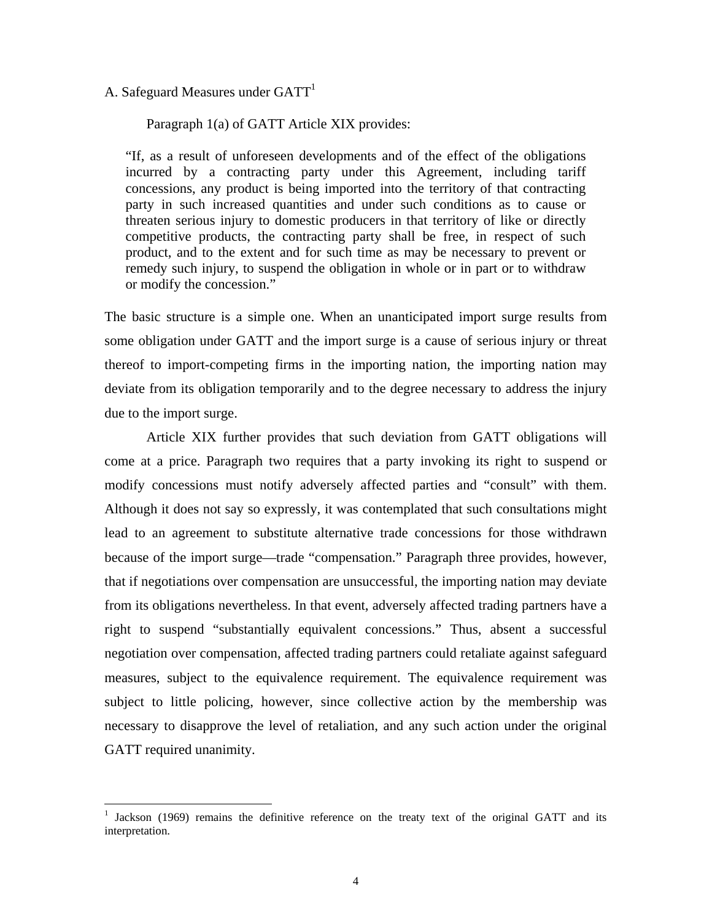#### A. Safeguard Measures under  $GATT<sup>1</sup>$

 $\overline{a}$ 

Paragraph 1(a) of GATT Article XIX provides:

"If, as a result of unforeseen developments and of the effect of the obligations incurred by a contracting party under this Agreement, including tariff concessions, any product is being imported into the territory of that contracting party in such increased quantities and under such conditions as to cause or threaten serious injury to domestic producers in that territory of like or directly competitive products, the contracting party shall be free, in respect of such product, and to the extent and for such time as may be necessary to prevent or remedy such injury, to suspend the obligation in whole or in part or to withdraw or modify the concession."

The basic structure is a simple one. When an unanticipated import surge results from some obligation under GATT and the import surge is a cause of serious injury or threat thereof to import-competing firms in the importing nation, the importing nation may deviate from its obligation temporarily and to the degree necessary to address the injury due to the import surge.

 Article XIX further provides that such deviation from GATT obligations will come at a price. Paragraph two requires that a party invoking its right to suspend or modify concessions must notify adversely affected parties and "consult" with them. Although it does not say so expressly, it was contemplated that such consultations might lead to an agreement to substitute alternative trade concessions for those withdrawn because of the import surge—trade "compensation." Paragraph three provides, however, that if negotiations over compensation are unsuccessful, the importing nation may deviate from its obligations nevertheless. In that event, adversely affected trading partners have a right to suspend "substantially equivalent concessions." Thus, absent a successful negotiation over compensation, affected trading partners could retaliate against safeguard measures, subject to the equivalence requirement. The equivalence requirement was subject to little policing, however, since collective action by the membership was necessary to disapprove the level of retaliation, and any such action under the original GATT required unanimity.

<sup>&</sup>lt;sup>1</sup> Jackson (1969) remains the definitive reference on the treaty text of the original GATT and its interpretation.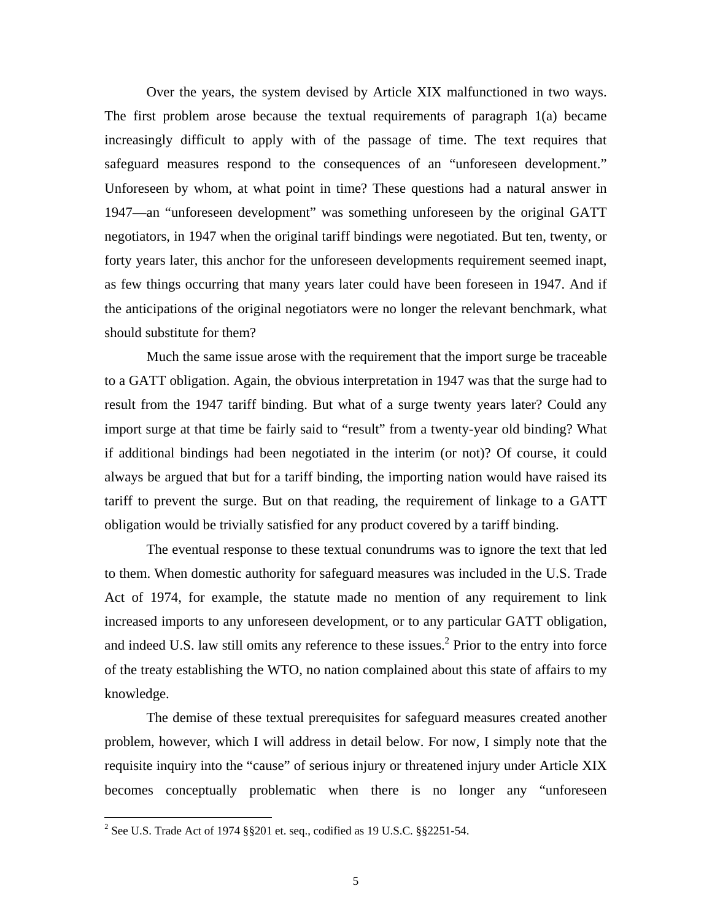Over the years, the system devised by Article XIX malfunctioned in two ways. The first problem arose because the textual requirements of paragraph 1(a) became increasingly difficult to apply with of the passage of time. The text requires that safeguard measures respond to the consequences of an "unforeseen development." Unforeseen by whom, at what point in time? These questions had a natural answer in 1947—an "unforeseen development" was something unforeseen by the original GATT negotiators, in 1947 when the original tariff bindings were negotiated. But ten, twenty, or forty years later, this anchor for the unforeseen developments requirement seemed inapt, as few things occurring that many years later could have been foreseen in 1947. And if the anticipations of the original negotiators were no longer the relevant benchmark, what should substitute for them?

Much the same issue arose with the requirement that the import surge be traceable to a GATT obligation. Again, the obvious interpretation in 1947 was that the surge had to result from the 1947 tariff binding. But what of a surge twenty years later? Could any import surge at that time be fairly said to "result" from a twenty-year old binding? What if additional bindings had been negotiated in the interim (or not)? Of course, it could always be argued that but for a tariff binding, the importing nation would have raised its tariff to prevent the surge. But on that reading, the requirement of linkage to a GATT obligation would be trivially satisfied for any product covered by a tariff binding.

The eventual response to these textual conundrums was to ignore the text that led to them. When domestic authority for safeguard measures was included in the U.S. Trade Act of 1974, for example, the statute made no mention of any requirement to link increased imports to any unforeseen development, or to any particular GATT obligation, and indeed U.S. law still omits any reference to these issues.<sup>2</sup> Prior to the entry into force of the treaty establishing the WTO, no nation complained about this state of affairs to my knowledge.

The demise of these textual prerequisites for safeguard measures created another problem, however, which I will address in detail below. For now, I simply note that the requisite inquiry into the "cause" of serious injury or threatened injury under Article XIX becomes conceptually problematic when there is no longer any "unforeseen

<sup>&</sup>lt;sup>2</sup> See U.S. Trade Act of 1974 §§201 et. seq., codified as 19 U.S.C. §§2251-54.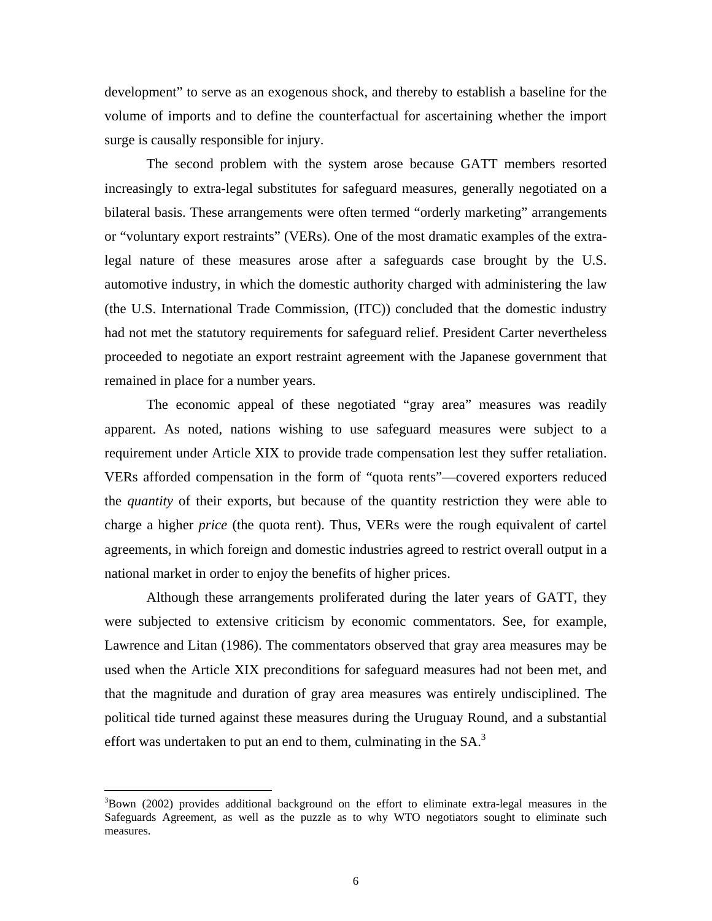development" to serve as an exogenous shock, and thereby to establish a baseline for the volume of imports and to define the counterfactual for ascertaining whether the import surge is causally responsible for injury.

The second problem with the system arose because GATT members resorted increasingly to extra-legal substitutes for safeguard measures, generally negotiated on a bilateral basis. These arrangements were often termed "orderly marketing" arrangements or "voluntary export restraints" (VERs). One of the most dramatic examples of the extralegal nature of these measures arose after a safeguards case brought by the U.S. automotive industry, in which the domestic authority charged with administering the law (the U.S. International Trade Commission, (ITC)) concluded that the domestic industry had not met the statutory requirements for safeguard relief. President Carter nevertheless proceeded to negotiate an export restraint agreement with the Japanese government that remained in place for a number years.

The economic appeal of these negotiated "gray area" measures was readily apparent. As noted, nations wishing to use safeguard measures were subject to a requirement under Article XIX to provide trade compensation lest they suffer retaliation. VERs afforded compensation in the form of "quota rents"—covered exporters reduced the *quantity* of their exports, but because of the quantity restriction they were able to charge a higher *price* (the quota rent). Thus, VERs were the rough equivalent of cartel agreements, in which foreign and domestic industries agreed to restrict overall output in a national market in order to enjoy the benefits of higher prices.

Although these arrangements proliferated during the later years of GATT, they were subjected to extensive criticism by economic commentators. See, for example, Lawrence and Litan (1986). The commentators observed that gray area measures may be used when the Article XIX preconditions for safeguard measures had not been met, and that the magnitude and duration of gray area measures was entirely undisciplined. The political tide turned against these measures during the Uruguay Round, and a substantial effort was undertaken to put an end to them, culminating in the  $SA<sup>3</sup>$ 

 $3$ Bown (2002) provides additional background on the effort to eliminate extra-legal measures in the Safeguards Agreement, as well as the puzzle as to why WTO negotiators sought to eliminate such measures.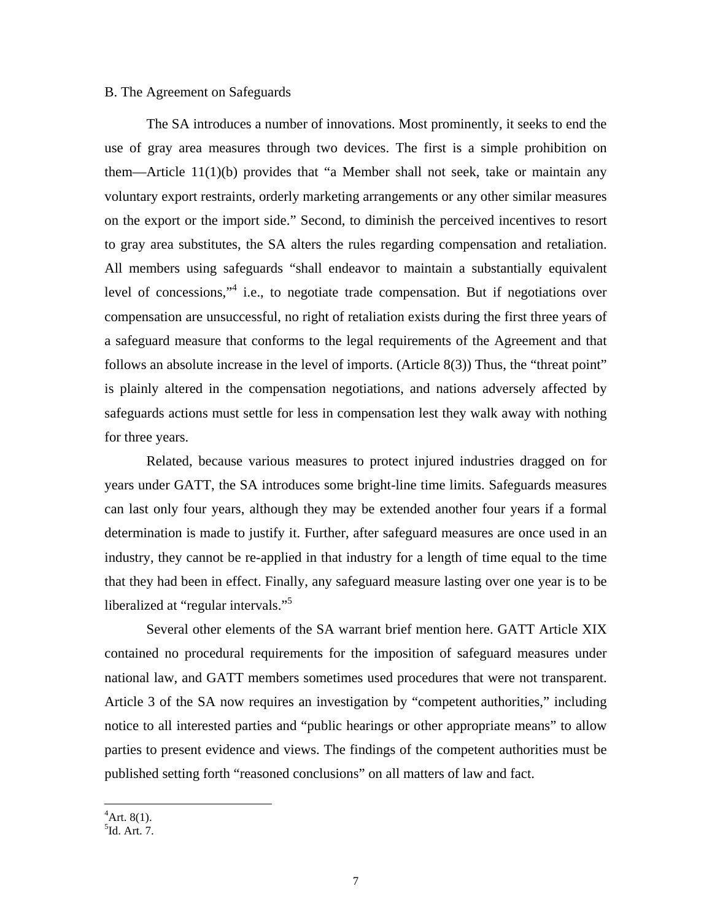#### B. The Agreement on Safeguards

 The SA introduces a number of innovations. Most prominently, it seeks to end the use of gray area measures through two devices. The first is a simple prohibition on them—Article 11(1)(b) provides that "a Member shall not seek, take or maintain any voluntary export restraints, orderly marketing arrangements or any other similar measures on the export or the import side." Second, to diminish the perceived incentives to resort to gray area substitutes, the SA alters the rules regarding compensation and retaliation. All members using safeguards "shall endeavor to maintain a substantially equivalent level of concessions,"<sup>4</sup> i.e., to negotiate trade compensation. But if negotiations over compensation are unsuccessful, no right of retaliation exists during the first three years of a safeguard measure that conforms to the legal requirements of the Agreement and that follows an absolute increase in the level of imports. (Article 8(3)) Thus, the "threat point" is plainly altered in the compensation negotiations, and nations adversely affected by safeguards actions must settle for less in compensation lest they walk away with nothing for three years.

 Related, because various measures to protect injured industries dragged on for years under GATT, the SA introduces some bright-line time limits. Safeguards measures can last only four years, although they may be extended another four years if a formal determination is made to justify it. Further, after safeguard measures are once used in an industry, they cannot be re-applied in that industry for a length of time equal to the time that they had been in effect. Finally, any safeguard measure lasting over one year is to be liberalized at "regular intervals."<sup>5</sup>

 Several other elements of the SA warrant brief mention here. GATT Article XIX contained no procedural requirements for the imposition of safeguard measures under national law, and GATT members sometimes used procedures that were not transparent. Article 3 of the SA now requires an investigation by "competent authorities," including notice to all interested parties and "public hearings or other appropriate means" to allow parties to present evidence and views. The findings of the competent authorities must be published setting forth "reasoned conclusions" on all matters of law and fact.

 ${}^{4}$ Art. 8(1).

<sup>5</sup> Id. Art. 7.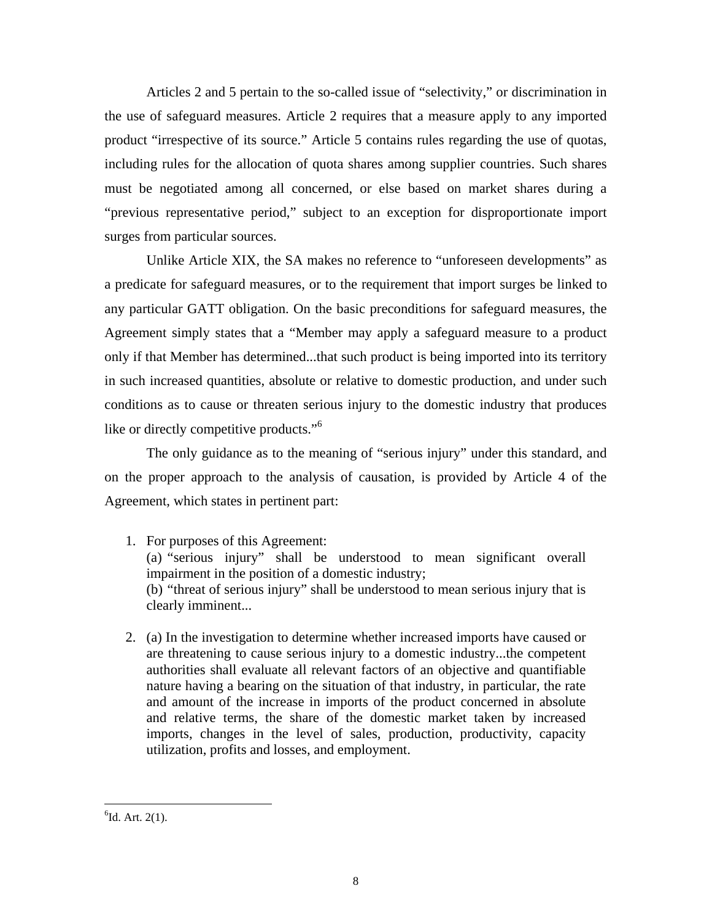Articles 2 and 5 pertain to the so-called issue of "selectivity," or discrimination in the use of safeguard measures. Article 2 requires that a measure apply to any imported product "irrespective of its source." Article 5 contains rules regarding the use of quotas, including rules for the allocation of quota shares among supplier countries. Such shares must be negotiated among all concerned, or else based on market shares during a "previous representative period," subject to an exception for disproportionate import surges from particular sources.

 Unlike Article XIX, the SA makes no reference to "unforeseen developments" as a predicate for safeguard measures, or to the requirement that import surges be linked to any particular GATT obligation. On the basic preconditions for safeguard measures, the Agreement simply states that a "Member may apply a safeguard measure to a product only if that Member has determined...that such product is being imported into its territory in such increased quantities, absolute or relative to domestic production, and under such conditions as to cause or threaten serious injury to the domestic industry that produces like or directly competitive products."<sup>6</sup>

 The only guidance as to the meaning of "serious injury" under this standard, and on the proper approach to the analysis of causation, is provided by Article 4 of the Agreement, which states in pertinent part:

- 1. For purposes of this Agreement: (a) "serious injury" shall be understood to mean significant overall impairment in the position of a domestic industry; (b) "threat of serious injury" shall be understood to mean serious injury that is clearly imminent...
- 2. (a) In the investigation to determine whether increased imports have caused or are threatening to cause serious injury to a domestic industry...the competent authorities shall evaluate all relevant factors of an objective and quantifiable nature having a bearing on the situation of that industry, in particular, the rate and amount of the increase in imports of the product concerned in absolute and relative terms, the share of the domestic market taken by increased imports, changes in the level of sales, production, productivity, capacity utilization, profits and losses, and employment.

 ${}^{6}$ Id. Art. 2(1).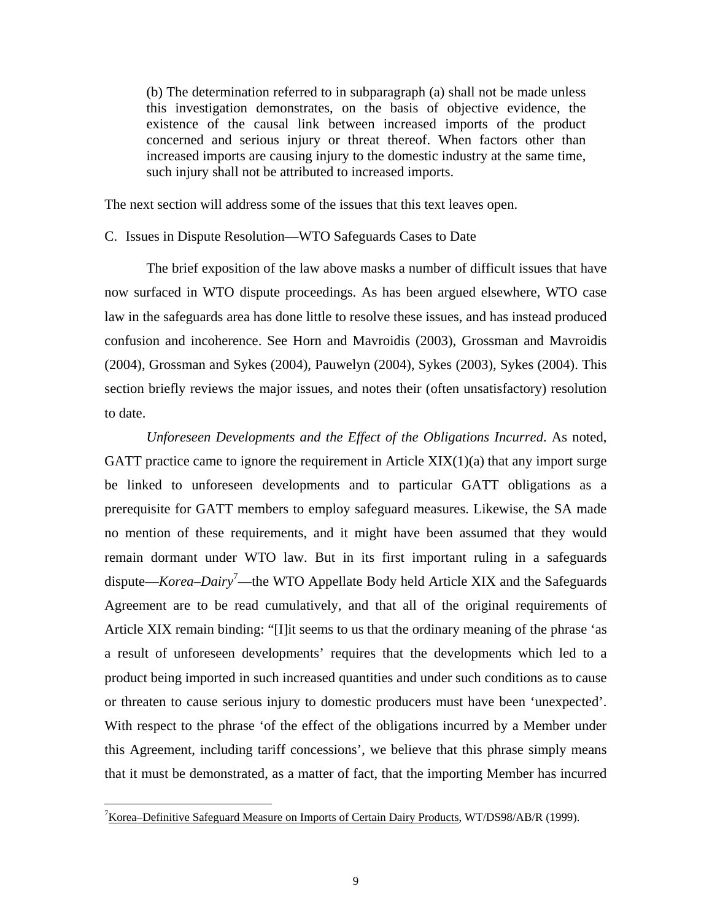(b) The determination referred to in subparagraph (a) shall not be made unless this investigation demonstrates, on the basis of objective evidence, the existence of the causal link between increased imports of the product concerned and serious injury or threat thereof. When factors other than increased imports are causing injury to the domestic industry at the same time, such injury shall not be attributed to increased imports.

The next section will address some of the issues that this text leaves open.

#### C. Issues in Dispute Resolution—WTO Safeguards Cases to Date

The brief exposition of the law above masks a number of difficult issues that have now surfaced in WTO dispute proceedings. As has been argued elsewhere, WTO case law in the safeguards area has done little to resolve these issues, and has instead produced confusion and incoherence. See Horn and Mavroidis (2003), Grossman and Mavroidis (2004), Grossman and Sykes (2004), Pauwelyn (2004), Sykes (2003), Sykes (2004). This section briefly reviews the major issues, and notes their (often unsatisfactory) resolution to date.

*Unforeseen Developments and the Effect of the Obligations Incurred*. As noted, GATT practice came to ignore the requirement in Article  $XIX(1)(a)$  that any import surge be linked to unforeseen developments and to particular GATT obligations as a prerequisite for GATT members to employ safeguard measures. Likewise, the SA made no mention of these requirements, and it might have been assumed that they would remain dormant under WTO law. But in its first important ruling in a safeguards dispute—*Korea–Dairy*<sup>7</sup> —the WTO Appellate Body held Article XIX and the Safeguards Agreement are to be read cumulatively, and that all of the original requirements of Article XIX remain binding: "[I]it seems to us that the ordinary meaning of the phrase 'as a result of unforeseen developments' requires that the developments which led to a product being imported in such increased quantities and under such conditions as to cause or threaten to cause serious injury to domestic producers must have been 'unexpected'. With respect to the phrase 'of the effect of the obligations incurred by a Member under this Agreement, including tariff concessions', we believe that this phrase simply means that it must be demonstrated, as a matter of fact, that the importing Member has incurred

<sup>&</sup>lt;sup>7</sup>Korea–Definitive Safeguard Measure on Imports of Certain Dairy Products, WT/DS98/AB/R (1999).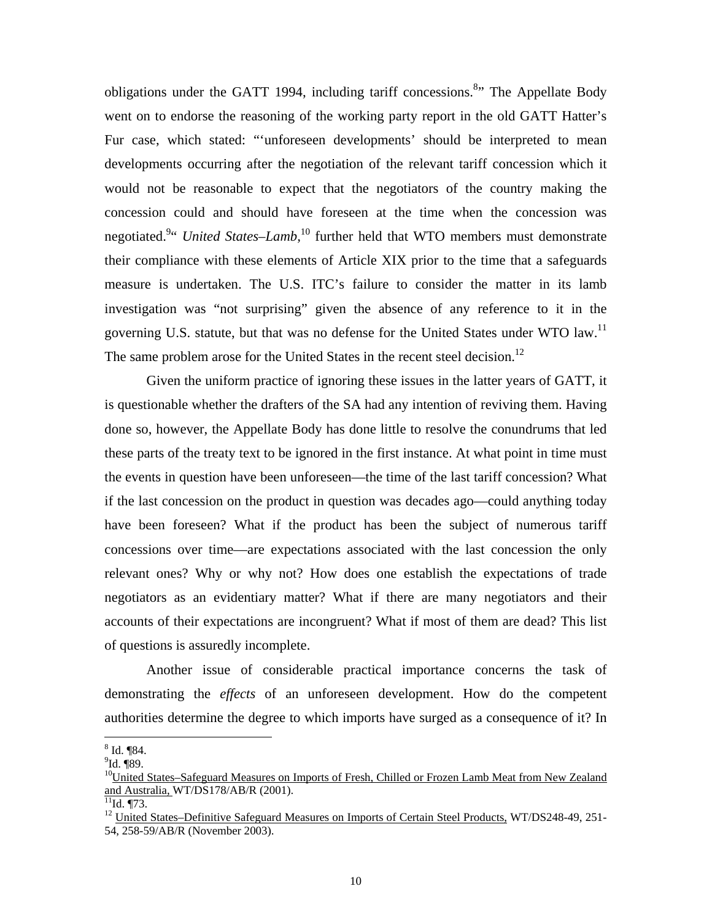obligations under the GATT 1994, including tariff concessions.<sup>8</sup><sup>3</sup> The Appellate Body went on to endorse the reasoning of the working party report in the old GATT Hatter's Fur case, which stated: "'unforeseen developments' should be interpreted to mean developments occurring after the negotiation of the relevant tariff concession which it would not be reasonable to expect that the negotiators of the country making the concession could and should have foreseen at the time when the concession was negotiated.<sup>9</sup>" *United States–Lamb*,<sup>10</sup> further held that WTO members must demonstrate their compliance with these elements of Article XIX prior to the time that a safeguards measure is undertaken. The U.S. ITC's failure to consider the matter in its lamb investigation was "not surprising" given the absence of any reference to it in the governing U.S. statute, but that was no defense for the United States under WTO law.<sup>11</sup> The same problem arose for the United States in the recent steel decision.<sup>12</sup>

 Given the uniform practice of ignoring these issues in the latter years of GATT, it is questionable whether the drafters of the SA had any intention of reviving them. Having done so, however, the Appellate Body has done little to resolve the conundrums that led these parts of the treaty text to be ignored in the first instance. At what point in time must the events in question have been unforeseen—the time of the last tariff concession? What if the last concession on the product in question was decades ago—could anything today have been foreseen? What if the product has been the subject of numerous tariff concessions over time—are expectations associated with the last concession the only relevant ones? Why or why not? How does one establish the expectations of trade negotiators as an evidentiary matter? What if there are many negotiators and their accounts of their expectations are incongruent? What if most of them are dead? This list of questions is assuredly incomplete.

 Another issue of considerable practical importance concerns the task of demonstrating the *effects* of an unforeseen development. How do the competent authorities determine the degree to which imports have surged as a consequence of it? In

 $8$  Id. ¶84.

 $^{9}$ Id. ¶89.

<sup>&</sup>lt;sup>10</sup>United States–Safeguard Measures on Imports of Fresh, Chilled or Frozen Lamb Meat from New Zealand and Australia, WT/DS178/AB/R (2001).  $\frac{11}{11}$ Id. ¶73.

<sup>&</sup>lt;sup>12</sup> United States–Definitive Safeguard Measures on Imports of Certain Steel Products, WT/DS248-49, 251-54, 258-59/AB/R (November 2003).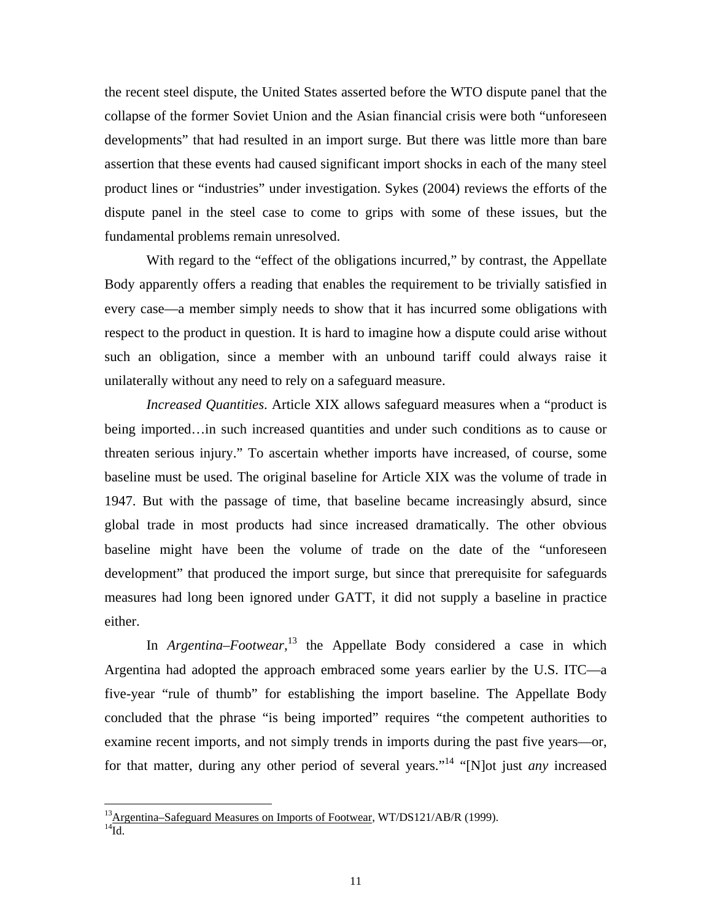the recent steel dispute, the United States asserted before the WTO dispute panel that the collapse of the former Soviet Union and the Asian financial crisis were both "unforeseen developments" that had resulted in an import surge. But there was little more than bare assertion that these events had caused significant import shocks in each of the many steel product lines or "industries" under investigation. Sykes (2004) reviews the efforts of the dispute panel in the steel case to come to grips with some of these issues, but the fundamental problems remain unresolved.

 With regard to the "effect of the obligations incurred," by contrast, the Appellate Body apparently offers a reading that enables the requirement to be trivially satisfied in every case—a member simply needs to show that it has incurred some obligations with respect to the product in question. It is hard to imagine how a dispute could arise without such an obligation, since a member with an unbound tariff could always raise it unilaterally without any need to rely on a safeguard measure.

*Increased Quantities*. Article XIX allows safeguard measures when a "product is being imported…in such increased quantities and under such conditions as to cause or threaten serious injury." To ascertain whether imports have increased, of course, some baseline must be used. The original baseline for Article XIX was the volume of trade in 1947. But with the passage of time, that baseline became increasingly absurd, since global trade in most products had since increased dramatically. The other obvious baseline might have been the volume of trade on the date of the "unforeseen development" that produced the import surge, but since that prerequisite for safeguards measures had long been ignored under GATT, it did not supply a baseline in practice either.

In *Argentina–Footwear*,<sup>13</sup> the Appellate Body considered a case in which Argentina had adopted the approach embraced some years earlier by the U.S. ITC—a five-year "rule of thumb" for establishing the import baseline. The Appellate Body concluded that the phrase "is being imported" requires "the competent authorities to examine recent imports, and not simply trends in imports during the past five years—or, for that matter, during any other period of several years."14 "[N]ot just *any* increased

<sup>&</sup>lt;sup>13</sup>Argentina–Safeguard Measures on Imports of Footwear, WT/DS121/AB/R (1999).  $14$ Id.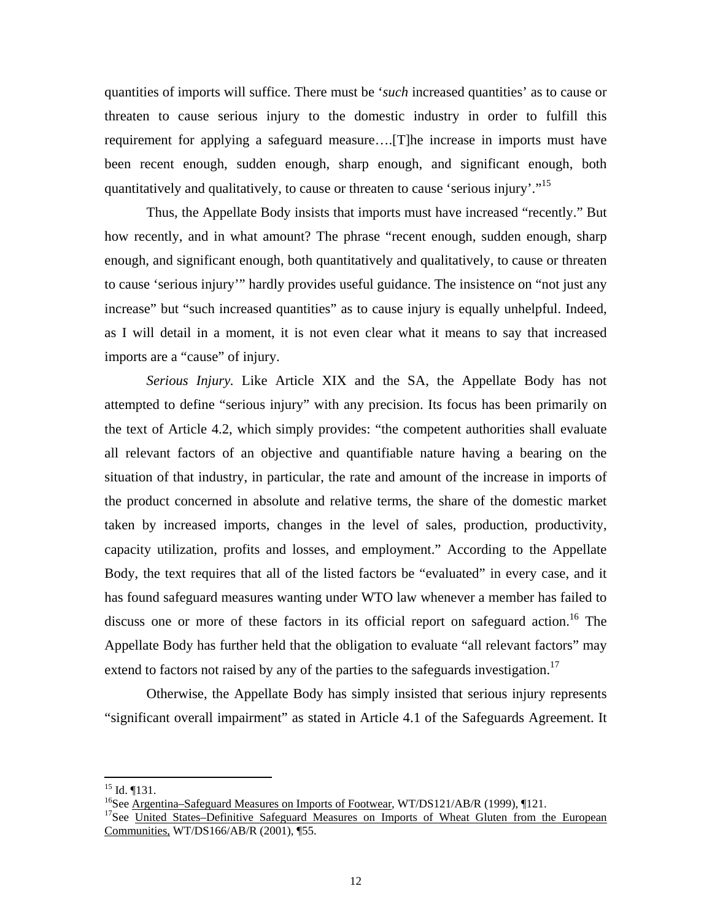quantities of imports will suffice. There must be '*such* increased quantities' as to cause or threaten to cause serious injury to the domestic industry in order to fulfill this requirement for applying a safeguard measure….[T]he increase in imports must have been recent enough, sudden enough, sharp enough, and significant enough, both quantitatively and qualitatively, to cause or threaten to cause 'serious injury'."<sup>15</sup>

 Thus, the Appellate Body insists that imports must have increased "recently." But how recently, and in what amount? The phrase "recent enough, sudden enough, sharp enough, and significant enough, both quantitatively and qualitatively, to cause or threaten to cause 'serious injury'" hardly provides useful guidance. The insistence on "not just any increase" but "such increased quantities" as to cause injury is equally unhelpful. Indeed, as I will detail in a moment, it is not even clear what it means to say that increased imports are a "cause" of injury.

*Serious Injury.* Like Article XIX and the SA, the Appellate Body has not attempted to define "serious injury" with any precision. Its focus has been primarily on the text of Article 4.2, which simply provides: "the competent authorities shall evaluate all relevant factors of an objective and quantifiable nature having a bearing on the situation of that industry, in particular, the rate and amount of the increase in imports of the product concerned in absolute and relative terms, the share of the domestic market taken by increased imports, changes in the level of sales, production, productivity, capacity utilization, profits and losses, and employment." According to the Appellate Body, the text requires that all of the listed factors be "evaluated" in every case, and it has found safeguard measures wanting under WTO law whenever a member has failed to discuss one or more of these factors in its official report on safeguard action.<sup>16</sup> The Appellate Body has further held that the obligation to evaluate "all relevant factors" may extend to factors not raised by any of the parties to the safeguards investigation.<sup>17</sup>

 Otherwise, the Appellate Body has simply insisted that serious injury represents "significant overall impairment" as stated in Article 4.1 of the Safeguards Agreement. It

<sup>&</sup>lt;sup>15</sup> Id.  $\P$ 131.<br><sup>16</sup>See Argentina–Safeguard Measures on Imports of Footwear, WT/DS121/AB/R (1999),  $\P$ 121.

<sup>&</sup>lt;sup>17</sup>See <u>United States–Definitive Safeguard Measures on Imports of Wheat Gluten from the European</u> Communities, WT/DS166/AB/R (2001), ¶55.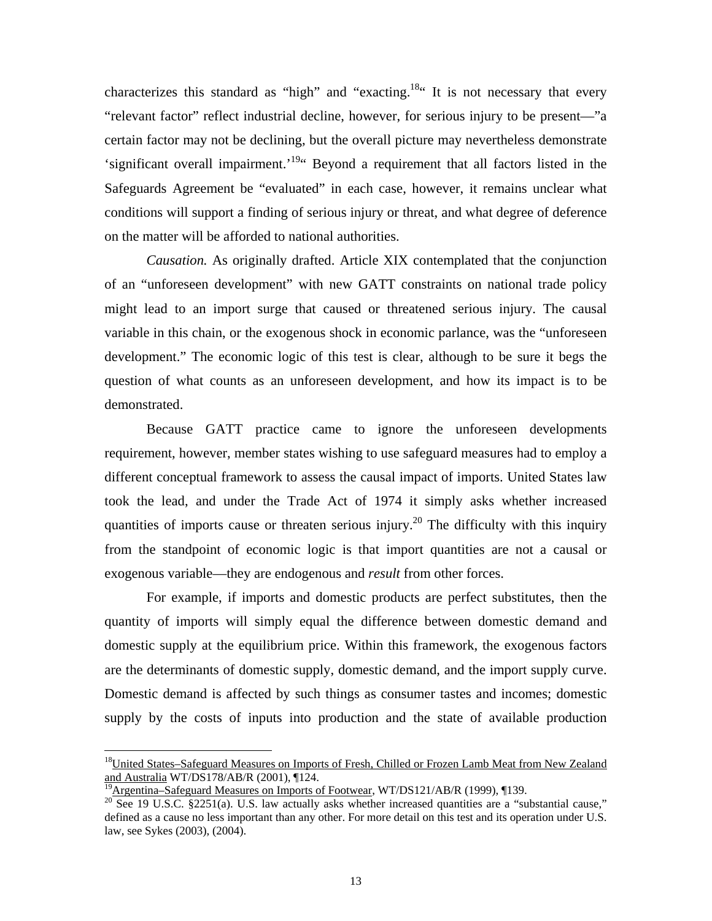characterizes this standard as "high" and "exacting.<sup>18"</sup> It is not necessary that every "relevant factor" reflect industrial decline, however, for serious injury to be present—"a certain factor may not be declining, but the overall picture may nevertheless demonstrate 'significant overall impairment.<sup>'19</sup>" Beyond a requirement that all factors listed in the Safeguards Agreement be "evaluated" in each case, however, it remains unclear what conditions will support a finding of serious injury or threat, and what degree of deference on the matter will be afforded to national authorities.

*Causation.* As originally drafted. Article XIX contemplated that the conjunction of an "unforeseen development" with new GATT constraints on national trade policy might lead to an import surge that caused or threatened serious injury. The causal variable in this chain, or the exogenous shock in economic parlance, was the "unforeseen development." The economic logic of this test is clear, although to be sure it begs the question of what counts as an unforeseen development, and how its impact is to be demonstrated.

Because GATT practice came to ignore the unforeseen developments requirement, however, member states wishing to use safeguard measures had to employ a different conceptual framework to assess the causal impact of imports. United States law took the lead, and under the Trade Act of 1974 it simply asks whether increased quantities of imports cause or threaten serious injury.<sup>20</sup> The difficulty with this inquiry from the standpoint of economic logic is that import quantities are not a causal or exogenous variable—they are endogenous and *result* from other forces.

For example, if imports and domestic products are perfect substitutes, then the quantity of imports will simply equal the difference between domestic demand and domestic supply at the equilibrium price. Within this framework, the exogenous factors are the determinants of domestic supply, domestic demand, and the import supply curve. Domestic demand is affected by such things as consumer tastes and incomes; domestic supply by the costs of inputs into production and the state of available production

<sup>&</sup>lt;sup>18</sup>United States–Safeguard Measures on Imports of Fresh, Chilled or Frozen Lamb Meat from New Zealand and Australia WT/DS178/AB/R (2001), ¶124.

<sup>&</sup>lt;sup>19</sup>Argentina–Safeguard Measures on Imports of Footwear, WT/DS121/AB/R (1999), ¶139.<br><sup>20</sup> See 19 U.S.C. §2251(a). U.S. law actually asks whether increased quantities are a "substantial cause," defined as a cause no less important than any other. For more detail on this test and its operation under U.S. law, see Sykes (2003), (2004).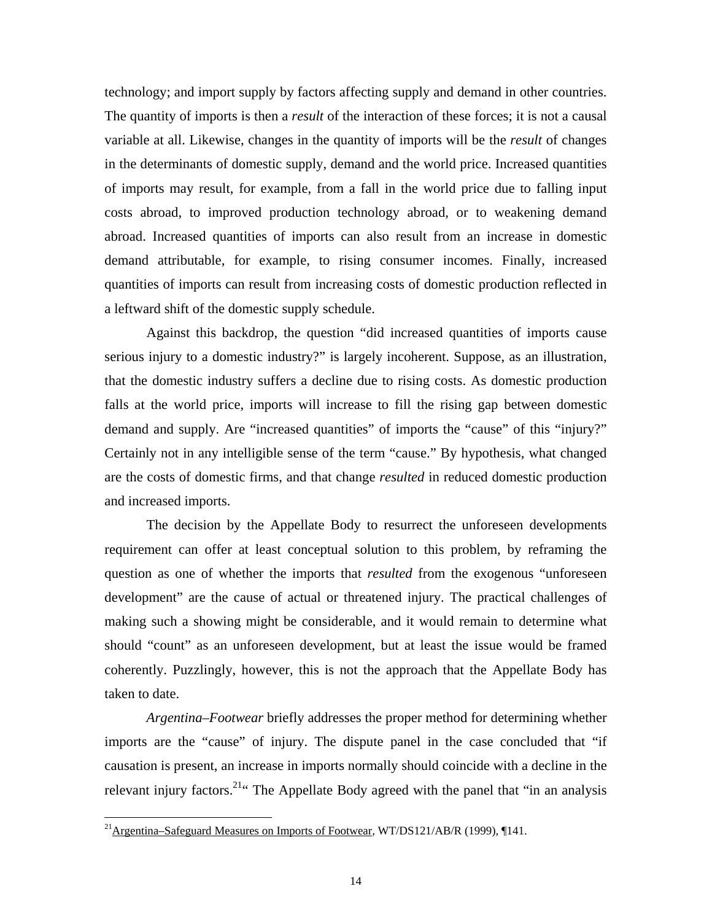technology; and import supply by factors affecting supply and demand in other countries. The quantity of imports is then a *result* of the interaction of these forces; it is not a causal variable at all. Likewise, changes in the quantity of imports will be the *result* of changes in the determinants of domestic supply, demand and the world price. Increased quantities of imports may result, for example, from a fall in the world price due to falling input costs abroad, to improved production technology abroad, or to weakening demand abroad. Increased quantities of imports can also result from an increase in domestic demand attributable, for example, to rising consumer incomes. Finally, increased quantities of imports can result from increasing costs of domestic production reflected in a leftward shift of the domestic supply schedule.

Against this backdrop, the question "did increased quantities of imports cause serious injury to a domestic industry?" is largely incoherent. Suppose, as an illustration, that the domestic industry suffers a decline due to rising costs. As domestic production falls at the world price, imports will increase to fill the rising gap between domestic demand and supply. Are "increased quantities" of imports the "cause" of this "injury?" Certainly not in any intelligible sense of the term "cause." By hypothesis, what changed are the costs of domestic firms, and that change *resulted* in reduced domestic production and increased imports.

The decision by the Appellate Body to resurrect the unforeseen developments requirement can offer at least conceptual solution to this problem, by reframing the question as one of whether the imports that *resulted* from the exogenous "unforeseen development" are the cause of actual or threatened injury. The practical challenges of making such a showing might be considerable, and it would remain to determine what should "count" as an unforeseen development, but at least the issue would be framed coherently. Puzzlingly, however, this is not the approach that the Appellate Body has taken to date.

*Argentina–Footwear* briefly addresses the proper method for determining whether imports are the "cause" of injury. The dispute panel in the case concluded that "if causation is present, an increase in imports normally should coincide with a decline in the relevant injury factors.<sup>21"</sup> The Appellate Body agreed with the panel that "in an analysis"

<sup>&</sup>lt;sup>21</sup> Argentina–Safeguard Measures on Imports of Footwear, WT/DS121/AB/R (1999), [141.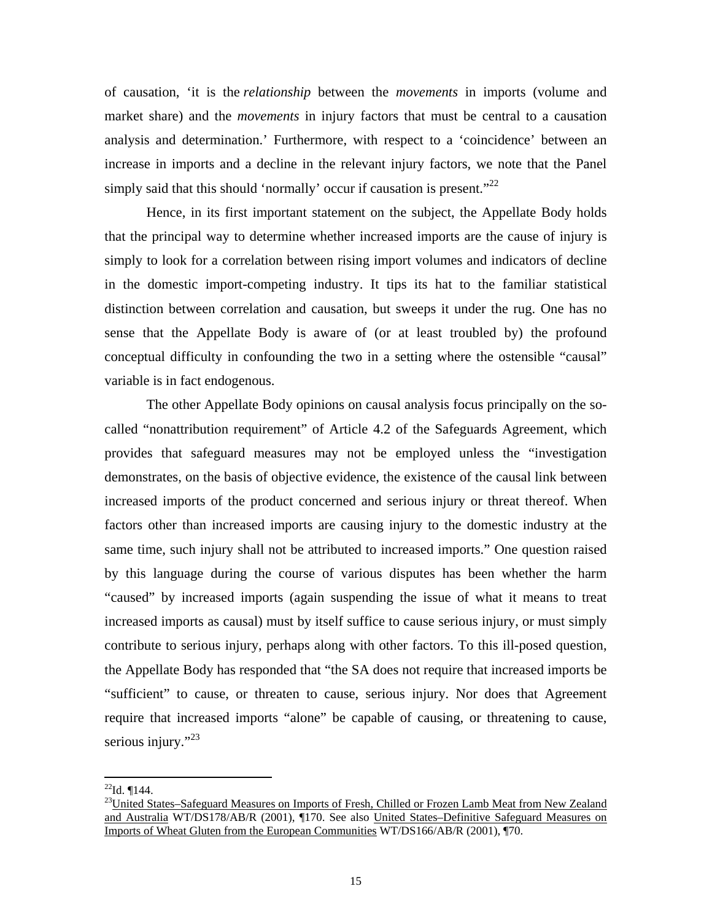of causation, 'it is the *relationship* between the *movements* in imports (volume and market share) and the *movements* in injury factors that must be central to a causation analysis and determination.' Furthermore, with respect to a 'coincidence' between an increase in imports and a decline in the relevant injury factors, we note that the Panel simply said that this should 'normally' occur if causation is present."<sup>22</sup>

 Hence, in its first important statement on the subject, the Appellate Body holds that the principal way to determine whether increased imports are the cause of injury is simply to look for a correlation between rising import volumes and indicators of decline in the domestic import-competing industry. It tips its hat to the familiar statistical distinction between correlation and causation, but sweeps it under the rug. One has no sense that the Appellate Body is aware of (or at least troubled by) the profound conceptual difficulty in confounding the two in a setting where the ostensible "causal" variable is in fact endogenous.

 The other Appellate Body opinions on causal analysis focus principally on the socalled "nonattribution requirement" of Article 4.2 of the Safeguards Agreement, which provides that safeguard measures may not be employed unless the "investigation demonstrates, on the basis of objective evidence, the existence of the causal link between increased imports of the product concerned and serious injury or threat thereof. When factors other than increased imports are causing injury to the domestic industry at the same time, such injury shall not be attributed to increased imports." One question raised by this language during the course of various disputes has been whether the harm "caused" by increased imports (again suspending the issue of what it means to treat increased imports as causal) must by itself suffice to cause serious injury, or must simply contribute to serious injury, perhaps along with other factors. To this ill-posed question, the Appellate Body has responded that "the SA does not require that increased imports be "sufficient" to cause, or threaten to cause, serious injury. Nor does that Agreement require that increased imports "alone" be capable of causing, or threatening to cause, serious injury." $^{23}$ 

 $^{22}$ Id. ¶144.

<sup>&</sup>lt;sup>23</sup>United States–Safeguard Measures on Imports of Fresh, Chilled or Frozen Lamb Meat from New Zealand and Australia WT/DS178/AB/R (2001), ¶170. See also United States–Definitive Safeguard Measures on Imports of Wheat Gluten from the European Communities WT/DS166/AB/R (2001), ¶70.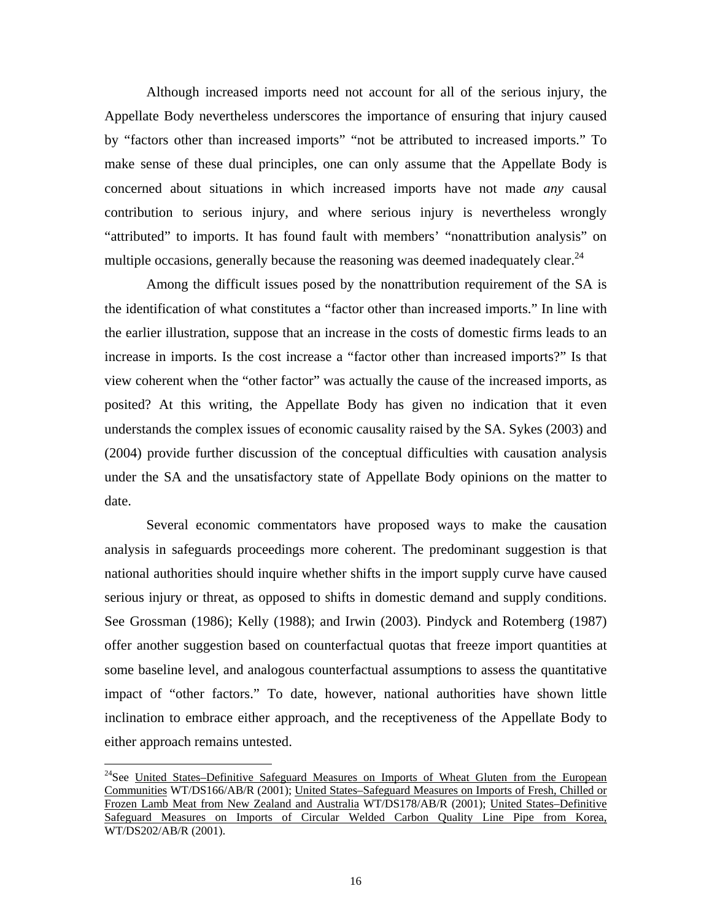Although increased imports need not account for all of the serious injury, the Appellate Body nevertheless underscores the importance of ensuring that injury caused by "factors other than increased imports" "not be attributed to increased imports." To make sense of these dual principles, one can only assume that the Appellate Body is concerned about situations in which increased imports have not made *any* causal contribution to serious injury, and where serious injury is nevertheless wrongly "attributed" to imports. It has found fault with members' "nonattribution analysis" on multiple occasions, generally because the reasoning was deemed inadequately clear.<sup>24</sup>

 Among the difficult issues posed by the nonattribution requirement of the SA is the identification of what constitutes a "factor other than increased imports." In line with the earlier illustration, suppose that an increase in the costs of domestic firms leads to an increase in imports. Is the cost increase a "factor other than increased imports?" Is that view coherent when the "other factor" was actually the cause of the increased imports, as posited? At this writing, the Appellate Body has given no indication that it even understands the complex issues of economic causality raised by the SA. Sykes (2003) and (2004) provide further discussion of the conceptual difficulties with causation analysis under the SA and the unsatisfactory state of Appellate Body opinions on the matter to date.

 Several economic commentators have proposed ways to make the causation analysis in safeguards proceedings more coherent. The predominant suggestion is that national authorities should inquire whether shifts in the import supply curve have caused serious injury or threat, as opposed to shifts in domestic demand and supply conditions. See Grossman (1986); Kelly (1988); and Irwin (2003). Pindyck and Rotemberg (1987) offer another suggestion based on counterfactual quotas that freeze import quantities at some baseline level, and analogous counterfactual assumptions to assess the quantitative impact of "other factors." To date, however, national authorities have shown little inclination to embrace either approach, and the receptiveness of the Appellate Body to either approach remains untested.

1

<sup>&</sup>lt;sup>24</sup>See United States–Definitive Safeguard Measures on Imports of Wheat Gluten from the European Communities WT/DS166/AB/R (2001); United States–Safeguard Measures on Imports of Fresh, Chilled or Frozen Lamb Meat from New Zealand and Australia WT/DS178/AB/R (2001); United States–Definitive Safeguard Measures on Imports of Circular Welded Carbon Quality Line Pipe from Korea, WT/DS202/AB/R (2001).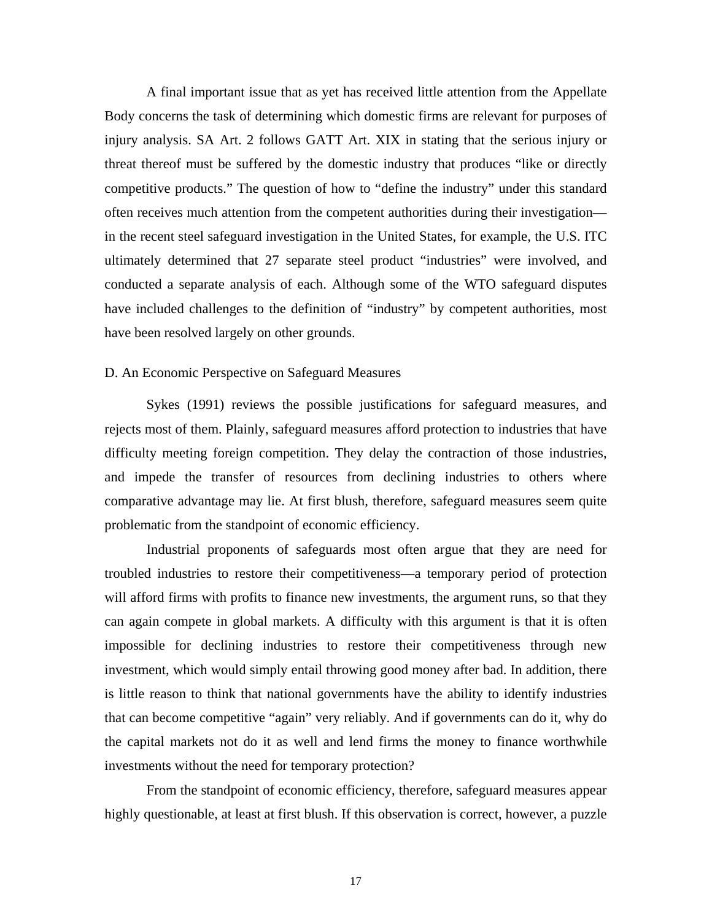A final important issue that as yet has received little attention from the Appellate Body concerns the task of determining which domestic firms are relevant for purposes of injury analysis. SA Art. 2 follows GATT Art. XIX in stating that the serious injury or threat thereof must be suffered by the domestic industry that produces "like or directly competitive products." The question of how to "define the industry" under this standard often receives much attention from the competent authorities during their investigation in the recent steel safeguard investigation in the United States, for example, the U.S. ITC ultimately determined that 27 separate steel product "industries" were involved, and conducted a separate analysis of each. Although some of the WTO safeguard disputes have included challenges to the definition of "industry" by competent authorities, most have been resolved largely on other grounds.

#### D. An Economic Perspective on Safeguard Measures

 Sykes (1991) reviews the possible justifications for safeguard measures, and rejects most of them. Plainly, safeguard measures afford protection to industries that have difficulty meeting foreign competition. They delay the contraction of those industries, and impede the transfer of resources from declining industries to others where comparative advantage may lie. At first blush, therefore, safeguard measures seem quite problematic from the standpoint of economic efficiency.

Industrial proponents of safeguards most often argue that they are need for troubled industries to restore their competitiveness—a temporary period of protection will afford firms with profits to finance new investments, the argument runs, so that they can again compete in global markets. A difficulty with this argument is that it is often impossible for declining industries to restore their competitiveness through new investment, which would simply entail throwing good money after bad. In addition, there is little reason to think that national governments have the ability to identify industries that can become competitive "again" very reliably. And if governments can do it, why do the capital markets not do it as well and lend firms the money to finance worthwhile investments without the need for temporary protection?

From the standpoint of economic efficiency, therefore, safeguard measures appear highly questionable, at least at first blush. If this observation is correct, however, a puzzle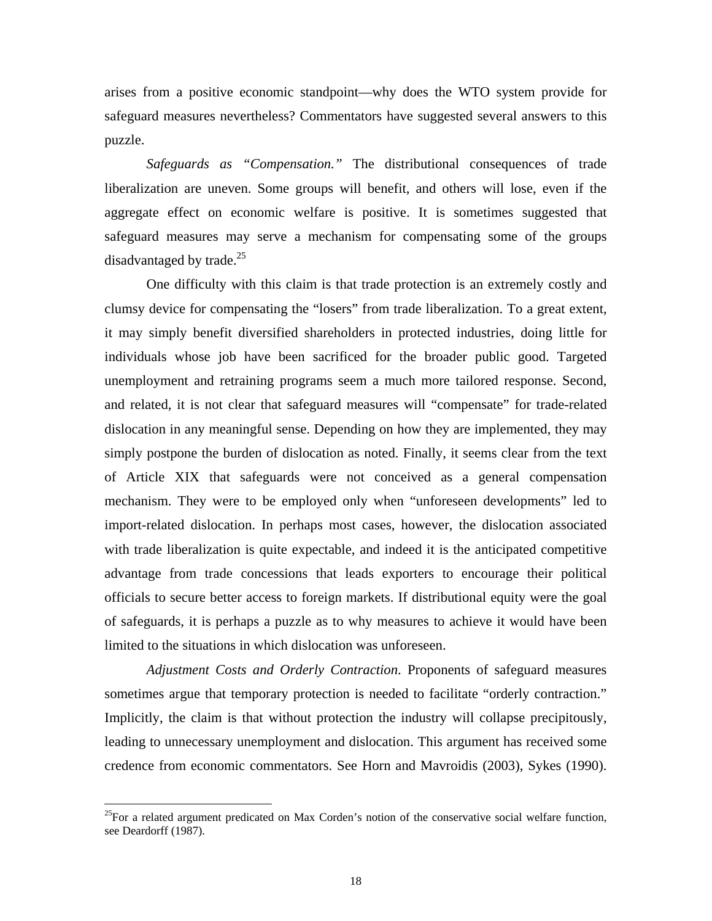arises from a positive economic standpoint—why does the WTO system provide for safeguard measures nevertheless? Commentators have suggested several answers to this puzzle.

*Safeguards as "Compensation."* The distributional consequences of trade liberalization are uneven. Some groups will benefit, and others will lose, even if the aggregate effect on economic welfare is positive. It is sometimes suggested that safeguard measures may serve a mechanism for compensating some of the groups disadvantaged by trade. $^{25}$ 

 One difficulty with this claim is that trade protection is an extremely costly and clumsy device for compensating the "losers" from trade liberalization. To a great extent, it may simply benefit diversified shareholders in protected industries, doing little for individuals whose job have been sacrificed for the broader public good. Targeted unemployment and retraining programs seem a much more tailored response. Second, and related, it is not clear that safeguard measures will "compensate" for trade-related dislocation in any meaningful sense. Depending on how they are implemented, they may simply postpone the burden of dislocation as noted. Finally, it seems clear from the text of Article XIX that safeguards were not conceived as a general compensation mechanism. They were to be employed only when "unforeseen developments" led to import-related dislocation. In perhaps most cases, however, the dislocation associated with trade liberalization is quite expectable, and indeed it is the anticipated competitive advantage from trade concessions that leads exporters to encourage their political officials to secure better access to foreign markets. If distributional equity were the goal of safeguards, it is perhaps a puzzle as to why measures to achieve it would have been limited to the situations in which dislocation was unforeseen.

*Adjustment Costs and Orderly Contraction*. Proponents of safeguard measures sometimes argue that temporary protection is needed to facilitate "orderly contraction." Implicitly, the claim is that without protection the industry will collapse precipitously, leading to unnecessary unemployment and dislocation. This argument has received some credence from economic commentators. See Horn and Mavroidis (2003), Sykes (1990).

<sup>&</sup>lt;sup>25</sup>For a related argument predicated on Max Corden's notion of the conservative social welfare function, see Deardorff (1987).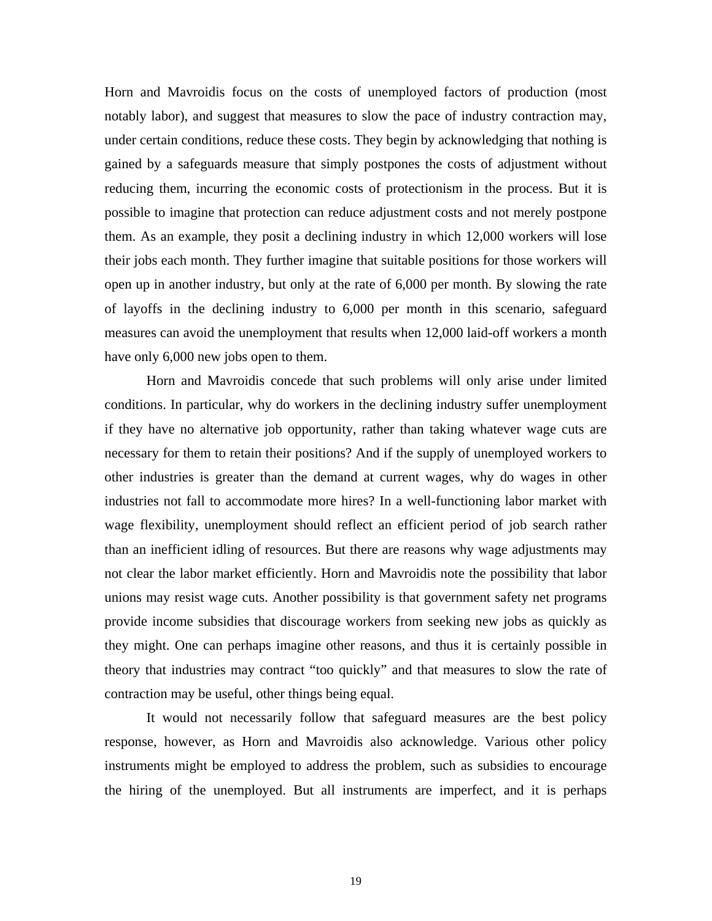Horn and Mavroidis focus on the costs of unemployed factors of production (most notably labor), and suggest that measures to slow the pace of industry contraction may, under certain conditions, reduce these costs. They begin by acknowledging that nothing is gained by a safeguards measure that simply postpones the costs of adjustment without reducing them, incurring the economic costs of protectionism in the process. But it is possible to imagine that protection can reduce adjustment costs and not merely postpone them. As an example, they posit a declining industry in which 12,000 workers will lose their jobs each month. They further imagine that suitable positions for those workers will open up in another industry, but only at the rate of 6,000 per month. By slowing the rate of layoffs in the declining industry to 6,000 per month in this scenario, safeguard measures can avoid the unemployment that results when 12,000 laid-off workers a month have only 6,000 new jobs open to them.

 Horn and Mavroidis concede that such problems will only arise under limited conditions. In particular, why do workers in the declining industry suffer unemployment if they have no alternative job opportunity, rather than taking whatever wage cuts are necessary for them to retain their positions? And if the supply of unemployed workers to other industries is greater than the demand at current wages, why do wages in other industries not fall to accommodate more hires? In a well-functioning labor market with wage flexibility, unemployment should reflect an efficient period of job search rather than an inefficient idling of resources. But there are reasons why wage adjustments may not clear the labor market efficiently. Horn and Mavroidis note the possibility that labor unions may resist wage cuts. Another possibility is that government safety net programs provide income subsidies that discourage workers from seeking new jobs as quickly as they might. One can perhaps imagine other reasons, and thus it is certainly possible in theory that industries may contract "too quickly" and that measures to slow the rate of contraction may be useful, other things being equal.

 It would not necessarily follow that safeguard measures are the best policy response, however, as Horn and Mavroidis also acknowledge. Various other policy instruments might be employed to address the problem, such as subsidies to encourage the hiring of the unemployed. But all instruments are imperfect, and it is perhaps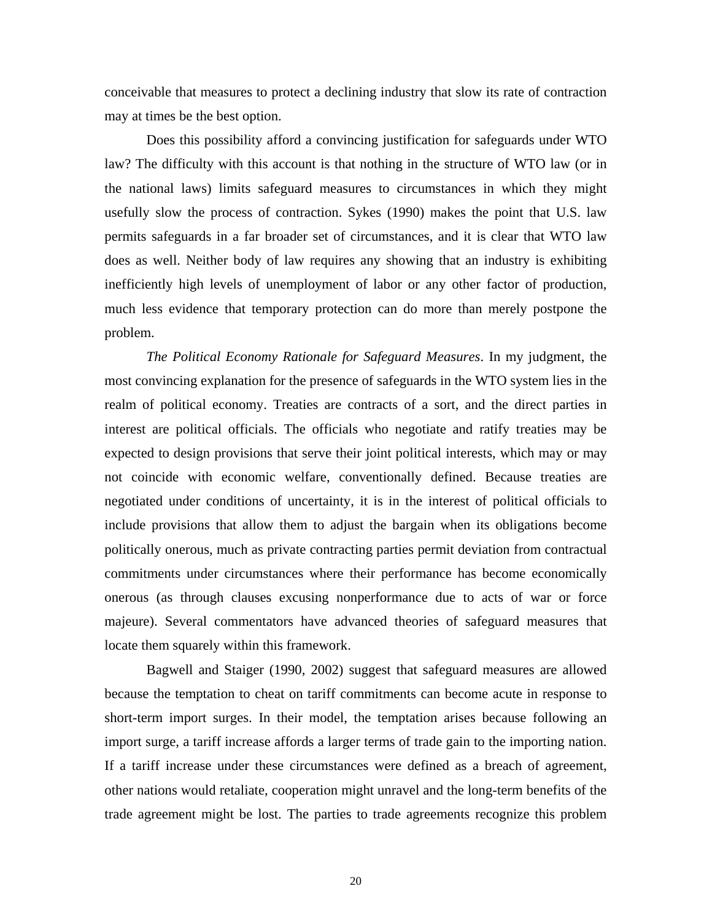conceivable that measures to protect a declining industry that slow its rate of contraction may at times be the best option.

 Does this possibility afford a convincing justification for safeguards under WTO law? The difficulty with this account is that nothing in the structure of WTO law (or in the national laws) limits safeguard measures to circumstances in which they might usefully slow the process of contraction. Sykes (1990) makes the point that U.S. law permits safeguards in a far broader set of circumstances, and it is clear that WTO law does as well. Neither body of law requires any showing that an industry is exhibiting inefficiently high levels of unemployment of labor or any other factor of production, much less evidence that temporary protection can do more than merely postpone the problem.

*The Political Economy Rationale for Safeguard Measures*. In my judgment, the most convincing explanation for the presence of safeguards in the WTO system lies in the realm of political economy. Treaties are contracts of a sort, and the direct parties in interest are political officials. The officials who negotiate and ratify treaties may be expected to design provisions that serve their joint political interests, which may or may not coincide with economic welfare, conventionally defined. Because treaties are negotiated under conditions of uncertainty, it is in the interest of political officials to include provisions that allow them to adjust the bargain when its obligations become politically onerous, much as private contracting parties permit deviation from contractual commitments under circumstances where their performance has become economically onerous (as through clauses excusing nonperformance due to acts of war or force majeure). Several commentators have advanced theories of safeguard measures that locate them squarely within this framework.

Bagwell and Staiger (1990, 2002) suggest that safeguard measures are allowed because the temptation to cheat on tariff commitments can become acute in response to short-term import surges. In their model, the temptation arises because following an import surge, a tariff increase affords a larger terms of trade gain to the importing nation. If a tariff increase under these circumstances were defined as a breach of agreement, other nations would retaliate, cooperation might unravel and the long-term benefits of the trade agreement might be lost. The parties to trade agreements recognize this problem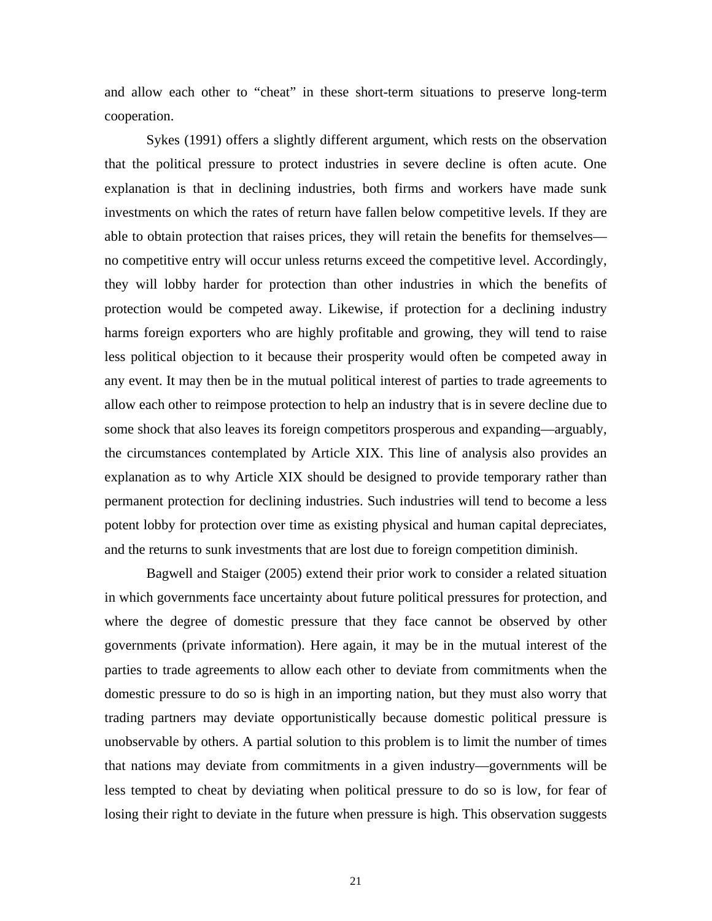and allow each other to "cheat" in these short-term situations to preserve long-term cooperation.

Sykes (1991) offers a slightly different argument, which rests on the observation that the political pressure to protect industries in severe decline is often acute. One explanation is that in declining industries, both firms and workers have made sunk investments on which the rates of return have fallen below competitive levels. If they are able to obtain protection that raises prices, they will retain the benefits for themselves no competitive entry will occur unless returns exceed the competitive level. Accordingly, they will lobby harder for protection than other industries in which the benefits of protection would be competed away. Likewise, if protection for a declining industry harms foreign exporters who are highly profitable and growing, they will tend to raise less political objection to it because their prosperity would often be competed away in any event. It may then be in the mutual political interest of parties to trade agreements to allow each other to reimpose protection to help an industry that is in severe decline due to some shock that also leaves its foreign competitors prosperous and expanding—arguably, the circumstances contemplated by Article XIX. This line of analysis also provides an explanation as to why Article XIX should be designed to provide temporary rather than permanent protection for declining industries. Such industries will tend to become a less potent lobby for protection over time as existing physical and human capital depreciates, and the returns to sunk investments that are lost due to foreign competition diminish.

Bagwell and Staiger (2005) extend their prior work to consider a related situation in which governments face uncertainty about future political pressures for protection, and where the degree of domestic pressure that they face cannot be observed by other governments (private information). Here again, it may be in the mutual interest of the parties to trade agreements to allow each other to deviate from commitments when the domestic pressure to do so is high in an importing nation, but they must also worry that trading partners may deviate opportunistically because domestic political pressure is unobservable by others. A partial solution to this problem is to limit the number of times that nations may deviate from commitments in a given industry—governments will be less tempted to cheat by deviating when political pressure to do so is low, for fear of losing their right to deviate in the future when pressure is high. This observation suggests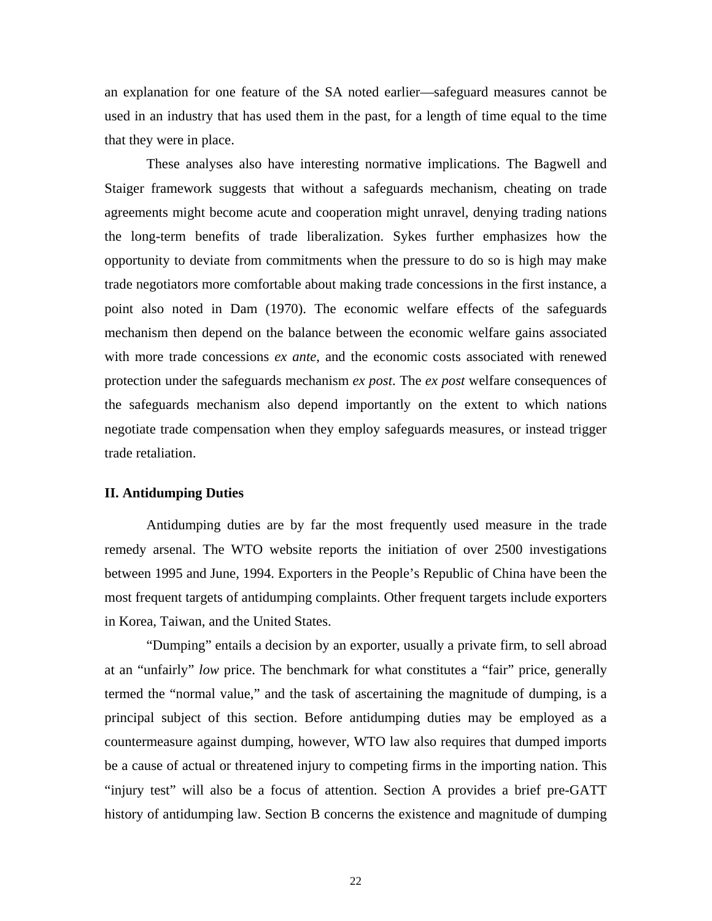an explanation for one feature of the SA noted earlier—safeguard measures cannot be used in an industry that has used them in the past, for a length of time equal to the time that they were in place.

 These analyses also have interesting normative implications. The Bagwell and Staiger framework suggests that without a safeguards mechanism, cheating on trade agreements might become acute and cooperation might unravel, denying trading nations the long-term benefits of trade liberalization. Sykes further emphasizes how the opportunity to deviate from commitments when the pressure to do so is high may make trade negotiators more comfortable about making trade concessions in the first instance, a point also noted in Dam (1970). The economic welfare effects of the safeguards mechanism then depend on the balance between the economic welfare gains associated with more trade concessions *ex ante*, and the economic costs associated with renewed protection under the safeguards mechanism *ex post*. The *ex post* welfare consequences of the safeguards mechanism also depend importantly on the extent to which nations negotiate trade compensation when they employ safeguards measures, or instead trigger trade retaliation.

#### **II. Antidumping Duties**

 Antidumping duties are by far the most frequently used measure in the trade remedy arsenal. The WTO website reports the initiation of over 2500 investigations between 1995 and June, 1994. Exporters in the People's Republic of China have been the most frequent targets of antidumping complaints. Other frequent targets include exporters in Korea, Taiwan, and the United States.

"Dumping" entails a decision by an exporter, usually a private firm, to sell abroad at an "unfairly" *low* price. The benchmark for what constitutes a "fair" price, generally termed the "normal value," and the task of ascertaining the magnitude of dumping, is a principal subject of this section. Before antidumping duties may be employed as a countermeasure against dumping, however, WTO law also requires that dumped imports be a cause of actual or threatened injury to competing firms in the importing nation. This "injury test" will also be a focus of attention. Section A provides a brief pre-GATT history of antidumping law. Section B concerns the existence and magnitude of dumping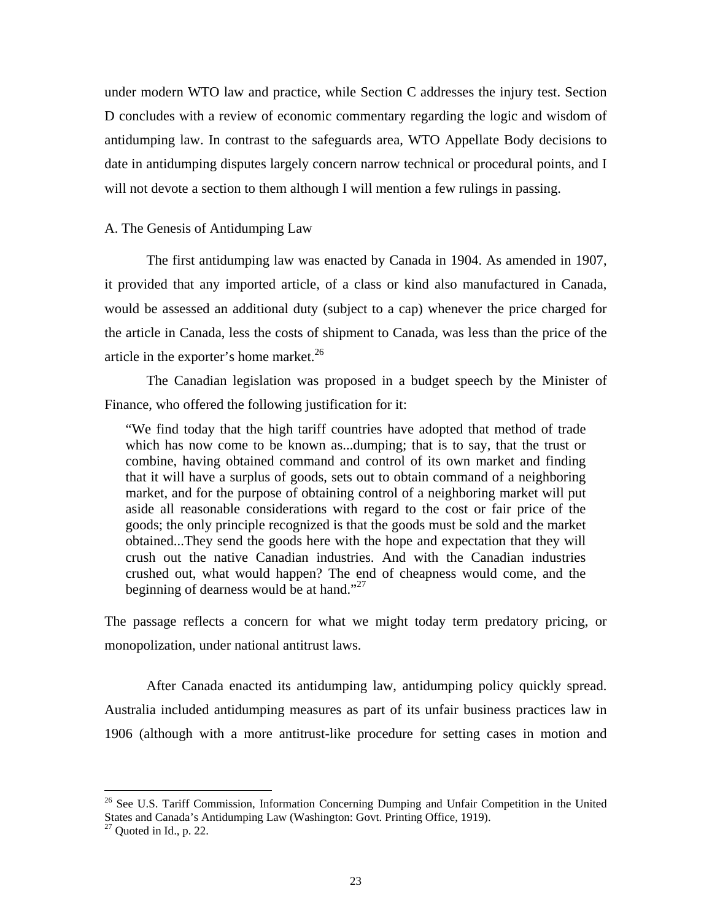under modern WTO law and practice, while Section C addresses the injury test. Section D concludes with a review of economic commentary regarding the logic and wisdom of antidumping law. In contrast to the safeguards area, WTO Appellate Body decisions to date in antidumping disputes largely concern narrow technical or procedural points, and I will not devote a section to them although I will mention a few rulings in passing.

#### A. The Genesis of Antidumping Law

 The first antidumping law was enacted by Canada in 1904. As amended in 1907, it provided that any imported article, of a class or kind also manufactured in Canada, would be assessed an additional duty (subject to a cap) whenever the price charged for the article in Canada, less the costs of shipment to Canada, was less than the price of the article in the exporter's home market. $26$ 

 The Canadian legislation was proposed in a budget speech by the Minister of Finance, who offered the following justification for it:

"We find today that the high tariff countries have adopted that method of trade which has now come to be known as...dumping; that is to say, that the trust or combine, having obtained command and control of its own market and finding that it will have a surplus of goods, sets out to obtain command of a neighboring market, and for the purpose of obtaining control of a neighboring market will put aside all reasonable considerations with regard to the cost or fair price of the goods; the only principle recognized is that the goods must be sold and the market obtained...They send the goods here with the hope and expectation that they will crush out the native Canadian industries. And with the Canadian industries crushed out, what would happen? The end of cheapness would come, and the beginning of dearness would be at hand."<sup>27</sup>

The passage reflects a concern for what we might today term predatory pricing, or monopolization, under national antitrust laws.

 After Canada enacted its antidumping law, antidumping policy quickly spread. Australia included antidumping measures as part of its unfair business practices law in 1906 (although with a more antitrust-like procedure for setting cases in motion and

<sup>&</sup>lt;sup>26</sup> See U.S. Tariff Commission, Information Concerning Dumping and Unfair Competition in the United States and Canada's Antidumping Law (Washington: Govt. Printing Office, 1919).

 $2^2$  Quoted in Id., p. 22.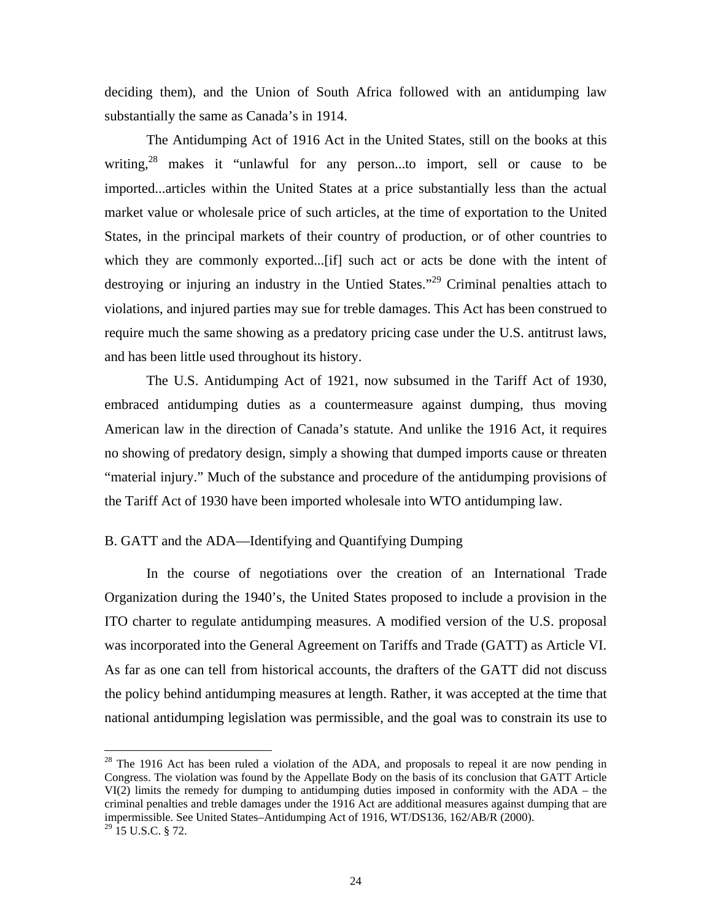deciding them), and the Union of South Africa followed with an antidumping law substantially the same as Canada's in 1914.

 The Antidumping Act of 1916 Act in the United States, still on the books at this writing,<sup>28</sup> makes it "unlawful for any person...to import, sell or cause to be imported...articles within the United States at a price substantially less than the actual market value or wholesale price of such articles, at the time of exportation to the United States, in the principal markets of their country of production, or of other countries to which they are commonly exported...[if] such act or acts be done with the intent of destroying or injuring an industry in the Untied States."<sup>29</sup> Criminal penalties attach to violations, and injured parties may sue for treble damages. This Act has been construed to require much the same showing as a predatory pricing case under the U.S. antitrust laws, and has been little used throughout its history.

 The U.S. Antidumping Act of 1921, now subsumed in the Tariff Act of 1930, embraced antidumping duties as a countermeasure against dumping, thus moving American law in the direction of Canada's statute. And unlike the 1916 Act, it requires no showing of predatory design, simply a showing that dumped imports cause or threaten "material injury." Much of the substance and procedure of the antidumping provisions of the Tariff Act of 1930 have been imported wholesale into WTO antidumping law.

#### B. GATT and the ADA—Identifying and Quantifying Dumping

 $\overline{a}$ 

In the course of negotiations over the creation of an International Trade Organization during the 1940's, the United States proposed to include a provision in the ITO charter to regulate antidumping measures. A modified version of the U.S. proposal was incorporated into the General Agreement on Tariffs and Trade (GATT) as Article VI. As far as one can tell from historical accounts, the drafters of the GATT did not discuss the policy behind antidumping measures at length. Rather, it was accepted at the time that national antidumping legislation was permissible, and the goal was to constrain its use to

 $28$  The 1916 Act has been ruled a violation of the ADA, and proposals to repeal it are now pending in Congress. The violation was found by the Appellate Body on the basis of its conclusion that GATT Article VI(2) limits the remedy for dumping to antidumping duties imposed in conformity with the ADA – the criminal penalties and treble damages under the 1916 Act are additional measures against dumping that are impermissible. See United States–Antidumping Act of 1916, WT/DS136, 162/AB/R (2000).  $^{29}$  15 U.S.C. § 72.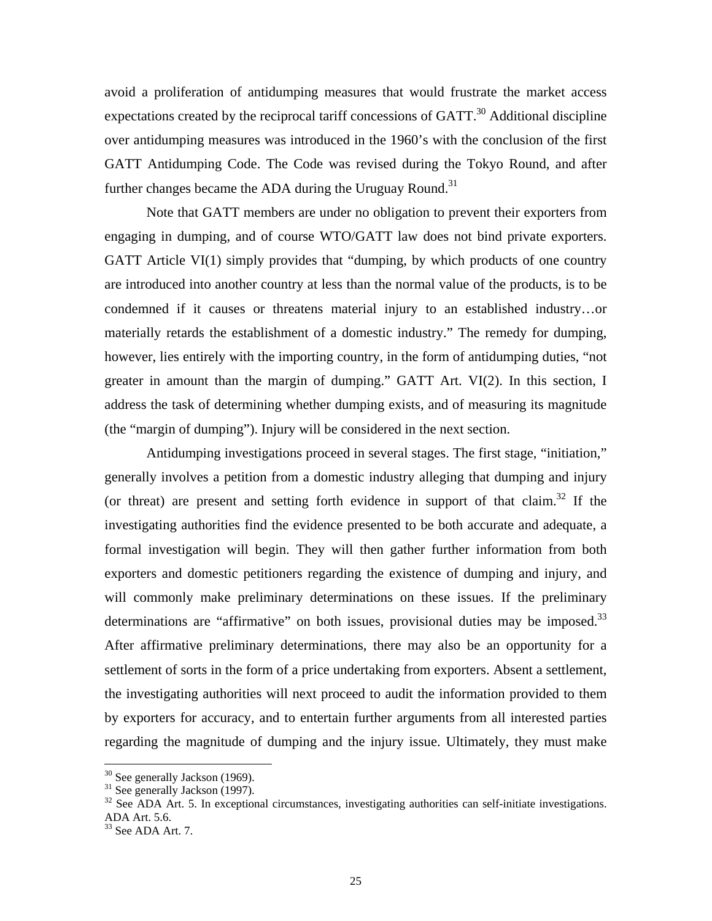avoid a proliferation of antidumping measures that would frustrate the market access expectations created by the reciprocal tariff concessions of GATT.<sup>30</sup> Additional discipline over antidumping measures was introduced in the 1960's with the conclusion of the first GATT Antidumping Code. The Code was revised during the Tokyo Round, and after further changes became the ADA during the Uruguay Round.<sup>31</sup>

 Note that GATT members are under no obligation to prevent their exporters from engaging in dumping, and of course WTO/GATT law does not bind private exporters. GATT Article VI(1) simply provides that "dumping, by which products of one country are introduced into another country at less than the normal value of the products, is to be condemned if it causes or threatens material injury to an established industry…or materially retards the establishment of a domestic industry." The remedy for dumping, however, lies entirely with the importing country, in the form of antidumping duties, "not greater in amount than the margin of dumping." GATT Art. VI(2). In this section, I address the task of determining whether dumping exists, and of measuring its magnitude (the "margin of dumping"). Injury will be considered in the next section.

Antidumping investigations proceed in several stages. The first stage, "initiation," generally involves a petition from a domestic industry alleging that dumping and injury (or threat) are present and setting forth evidence in support of that claim.<sup>32</sup> If the investigating authorities find the evidence presented to be both accurate and adequate, a formal investigation will begin. They will then gather further information from both exporters and domestic petitioners regarding the existence of dumping and injury, and will commonly make preliminary determinations on these issues. If the preliminary determinations are "affirmative" on both issues, provisional duties may be imposed.<sup>33</sup> After affirmative preliminary determinations, there may also be an opportunity for a settlement of sorts in the form of a price undertaking from exporters. Absent a settlement, the investigating authorities will next proceed to audit the information provided to them by exporters for accuracy, and to entertain further arguments from all interested parties regarding the magnitude of dumping and the injury issue. Ultimately, they must make

1

 $30$  See generally Jackson (1969).

 $31$  See generally Jackson (1997).

<sup>&</sup>lt;sup>32</sup> See ADA Art. 5. In exceptional circumstances, investigating authorities can self-initiate investigations. ADA Art. 5.6.

 $33$  See ADA Art. 7.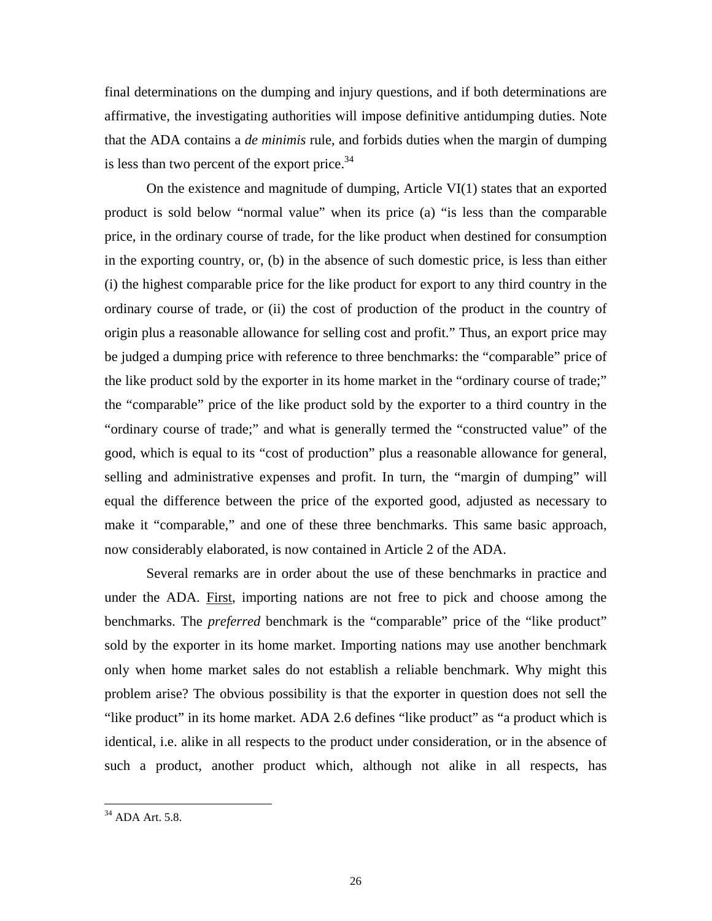final determinations on the dumping and injury questions, and if both determinations are affirmative, the investigating authorities will impose definitive antidumping duties. Note that the ADA contains a *de minimis* rule, and forbids duties when the margin of dumping is less than two percent of the export price. $34$ 

On the existence and magnitude of dumping, Article VI(1) states that an exported product is sold below "normal value" when its price (a) "is less than the comparable price, in the ordinary course of trade, for the like product when destined for consumption in the exporting country, or, (b) in the absence of such domestic price, is less than either (i) the highest comparable price for the like product for export to any third country in the ordinary course of trade, or (ii) the cost of production of the product in the country of origin plus a reasonable allowance for selling cost and profit." Thus, an export price may be judged a dumping price with reference to three benchmarks: the "comparable" price of the like product sold by the exporter in its home market in the "ordinary course of trade;" the "comparable" price of the like product sold by the exporter to a third country in the "ordinary course of trade;" and what is generally termed the "constructed value" of the good, which is equal to its "cost of production" plus a reasonable allowance for general, selling and administrative expenses and profit. In turn, the "margin of dumping" will equal the difference between the price of the exported good, adjusted as necessary to make it "comparable," and one of these three benchmarks. This same basic approach, now considerably elaborated, is now contained in Article 2 of the ADA.

 Several remarks are in order about the use of these benchmarks in practice and under the ADA. First, importing nations are not free to pick and choose among the benchmarks. The *preferred* benchmark is the "comparable" price of the "like product" sold by the exporter in its home market. Importing nations may use another benchmark only when home market sales do not establish a reliable benchmark. Why might this problem arise? The obvious possibility is that the exporter in question does not sell the "like product" in its home market. ADA 2.6 defines "like product" as "a product which is identical, i.e. alike in all respects to the product under consideration, or in the absence of such a product, another product which, although not alike in all respects, has

 $34$  ADA Art. 5.8.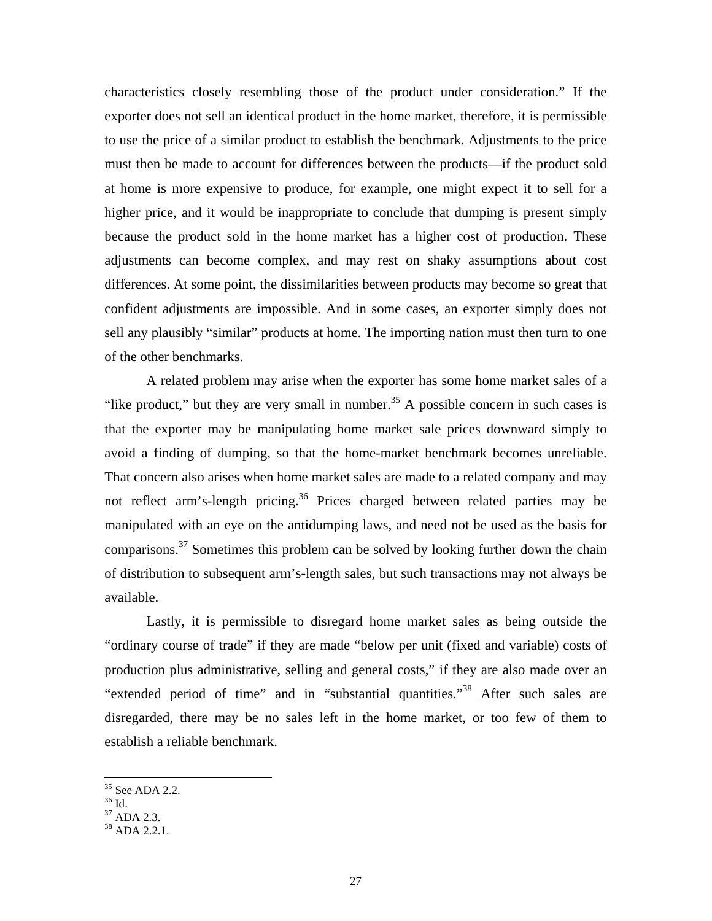characteristics closely resembling those of the product under consideration." If the exporter does not sell an identical product in the home market, therefore, it is permissible to use the price of a similar product to establish the benchmark. Adjustments to the price must then be made to account for differences between the products—if the product sold at home is more expensive to produce, for example, one might expect it to sell for a higher price, and it would be inappropriate to conclude that dumping is present simply because the product sold in the home market has a higher cost of production. These adjustments can become complex, and may rest on shaky assumptions about cost differences. At some point, the dissimilarities between products may become so great that confident adjustments are impossible. And in some cases, an exporter simply does not sell any plausibly "similar" products at home. The importing nation must then turn to one of the other benchmarks.

A related problem may arise when the exporter has some home market sales of a "like product," but they are very small in number.<sup>35</sup> A possible concern in such cases is that the exporter may be manipulating home market sale prices downward simply to avoid a finding of dumping, so that the home-market benchmark becomes unreliable. That concern also arises when home market sales are made to a related company and may not reflect arm's-length pricing.<sup>36</sup> Prices charged between related parties may be manipulated with an eye on the antidumping laws, and need not be used as the basis for comparisons.<sup>37</sup> Sometimes this problem can be solved by looking further down the chain of distribution to subsequent arm's-length sales, but such transactions may not always be available.

Lastly, it is permissible to disregard home market sales as being outside the "ordinary course of trade" if they are made "below per unit (fixed and variable) costs of production plus administrative, selling and general costs," if they are also made over an "extended period of time" and in "substantial quantities."38 After such sales are disregarded, there may be no sales left in the home market, or too few of them to establish a reliable benchmark.

 $36$  Id.

 $\overline{a}$ 

 $37$  ADA 2.3.

 $35$  See ADA 2.2.

 $38$  ADA 2.2.1.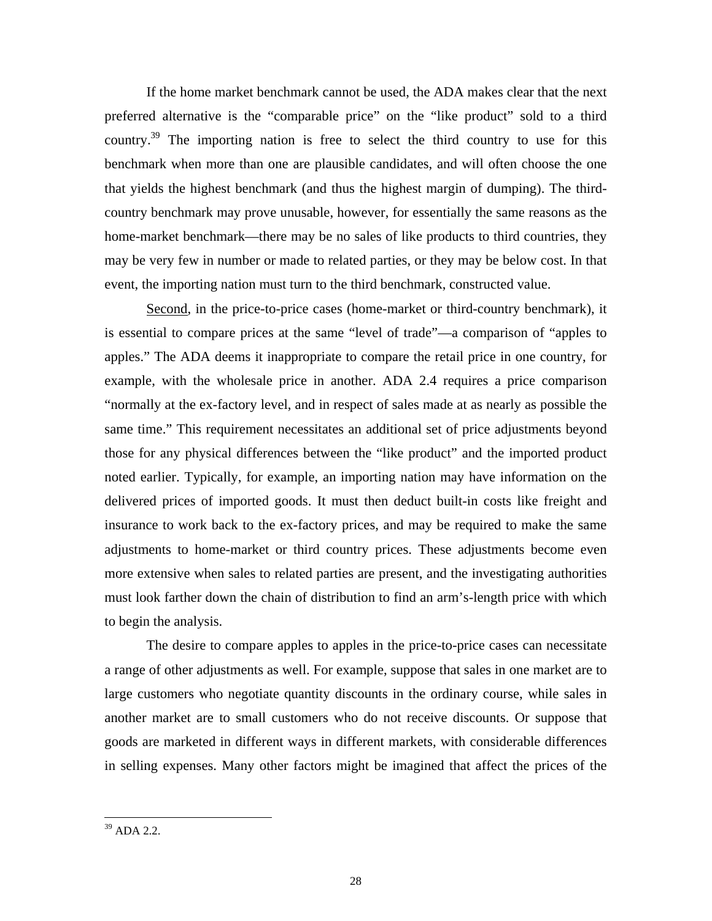If the home market benchmark cannot be used, the ADA makes clear that the next preferred alternative is the "comparable price" on the "like product" sold to a third country.39 The importing nation is free to select the third country to use for this benchmark when more than one are plausible candidates, and will often choose the one that yields the highest benchmark (and thus the highest margin of dumping). The thirdcountry benchmark may prove unusable, however, for essentially the same reasons as the home-market benchmark—there may be no sales of like products to third countries, they may be very few in number or made to related parties, or they may be below cost. In that event, the importing nation must turn to the third benchmark, constructed value.

 Second, in the price-to-price cases (home-market or third-country benchmark), it is essential to compare prices at the same "level of trade"—a comparison of "apples to apples." The ADA deems it inappropriate to compare the retail price in one country, for example, with the wholesale price in another. ADA 2.4 requires a price comparison "normally at the ex-factory level, and in respect of sales made at as nearly as possible the same time." This requirement necessitates an additional set of price adjustments beyond those for any physical differences between the "like product" and the imported product noted earlier. Typically, for example, an importing nation may have information on the delivered prices of imported goods. It must then deduct built-in costs like freight and insurance to work back to the ex-factory prices, and may be required to make the same adjustments to home-market or third country prices. These adjustments become even more extensive when sales to related parties are present, and the investigating authorities must look farther down the chain of distribution to find an arm's-length price with which to begin the analysis.

 The desire to compare apples to apples in the price-to-price cases can necessitate a range of other adjustments as well. For example, suppose that sales in one market are to large customers who negotiate quantity discounts in the ordinary course, while sales in another market are to small customers who do not receive discounts. Or suppose that goods are marketed in different ways in different markets, with considerable differences in selling expenses. Many other factors might be imagined that affect the prices of the

 $39$  ADA 2.2.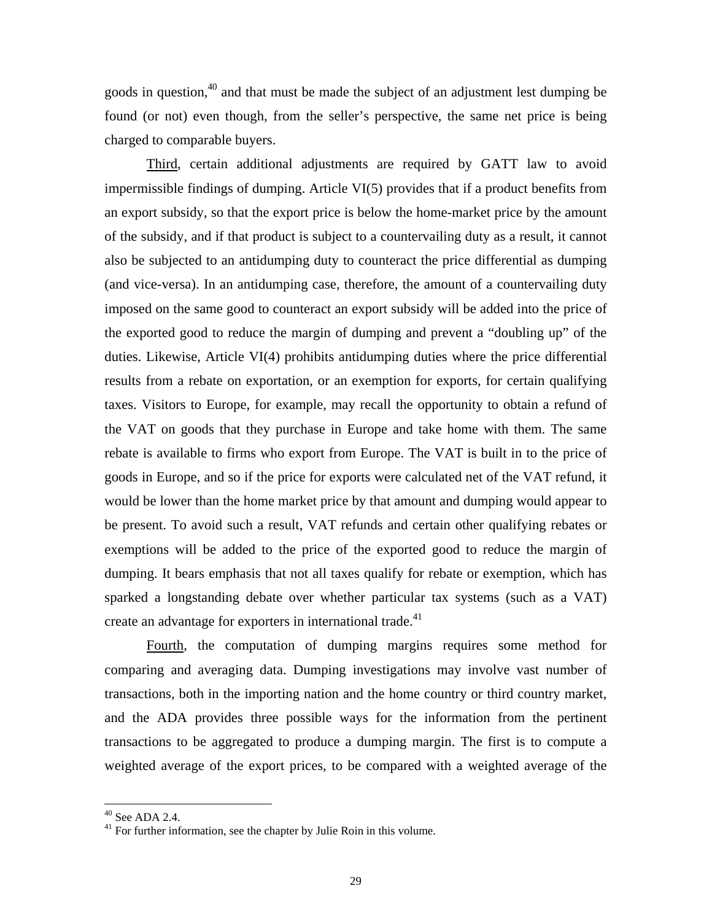goods in question, $40$  and that must be made the subject of an adjustment lest dumping be found (or not) even though, from the seller's perspective, the same net price is being charged to comparable buyers.

 Third, certain additional adjustments are required by GATT law to avoid impermissible findings of dumping. Article VI(5) provides that if a product benefits from an export subsidy, so that the export price is below the home-market price by the amount of the subsidy, and if that product is subject to a countervailing duty as a result, it cannot also be subjected to an antidumping duty to counteract the price differential as dumping (and vice-versa). In an antidumping case, therefore, the amount of a countervailing duty imposed on the same good to counteract an export subsidy will be added into the price of the exported good to reduce the margin of dumping and prevent a "doubling up" of the duties. Likewise, Article VI(4) prohibits antidumping duties where the price differential results from a rebate on exportation, or an exemption for exports, for certain qualifying taxes. Visitors to Europe, for example, may recall the opportunity to obtain a refund of the VAT on goods that they purchase in Europe and take home with them. The same rebate is available to firms who export from Europe. The VAT is built in to the price of goods in Europe, and so if the price for exports were calculated net of the VAT refund, it would be lower than the home market price by that amount and dumping would appear to be present. To avoid such a result, VAT refunds and certain other qualifying rebates or exemptions will be added to the price of the exported good to reduce the margin of dumping. It bears emphasis that not all taxes qualify for rebate or exemption, which has sparked a longstanding debate over whether particular tax systems (such as a VAT) create an advantage for exporters in international trade.<sup>41</sup>

 Fourth, the computation of dumping margins requires some method for comparing and averaging data. Dumping investigations may involve vast number of transactions, both in the importing nation and the home country or third country market, and the ADA provides three possible ways for the information from the pertinent transactions to be aggregated to produce a dumping margin. The first is to compute a weighted average of the export prices, to be compared with a weighted average of the

 $40$  See ADA 2.4.

<sup>&</sup>lt;sup>41</sup> For further information, see the chapter by Julie Roin in this volume.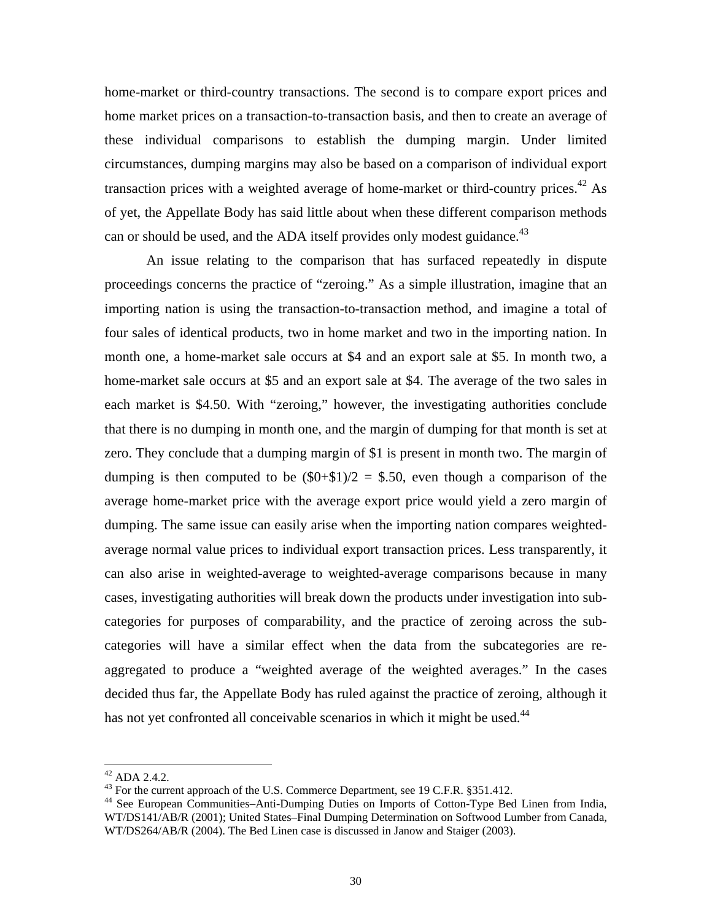home-market or third-country transactions. The second is to compare export prices and home market prices on a transaction-to-transaction basis, and then to create an average of these individual comparisons to establish the dumping margin. Under limited circumstances, dumping margins may also be based on a comparison of individual export transaction prices with a weighted average of home-market or third-country prices.<sup>42</sup> As of yet, the Appellate Body has said little about when these different comparison methods can or should be used, and the ADA itself provides only modest guidance.<sup>43</sup>

 An issue relating to the comparison that has surfaced repeatedly in dispute proceedings concerns the practice of "zeroing." As a simple illustration, imagine that an importing nation is using the transaction-to-transaction method, and imagine a total of four sales of identical products, two in home market and two in the importing nation. In month one, a home-market sale occurs at \$4 and an export sale at \$5. In month two, a home-market sale occurs at \$5 and an export sale at \$4. The average of the two sales in each market is \$4.50. With "zeroing," however, the investigating authorities conclude that there is no dumping in month one, and the margin of dumping for that month is set at zero. They conclude that a dumping margin of \$1 is present in month two. The margin of dumping is then computed to be  $(\$0+\$1)/2 = \$.50$ , even though a comparison of the average home-market price with the average export price would yield a zero margin of dumping. The same issue can easily arise when the importing nation compares weightedaverage normal value prices to individual export transaction prices. Less transparently, it can also arise in weighted-average to weighted-average comparisons because in many cases, investigating authorities will break down the products under investigation into subcategories for purposes of comparability, and the practice of zeroing across the subcategories will have a similar effect when the data from the subcategories are reaggregated to produce a "weighted average of the weighted averages." In the cases decided thus far, the Appellate Body has ruled against the practice of zeroing, although it has not yet confronted all conceivable scenarios in which it might be used.<sup>44</sup>

<sup>&</sup>lt;sup>42</sup> ADA 2.4.2.<br><sup>43</sup> For the current approach of the U.S. Commerce Department, see 19 C.F.R. §351.412.

<sup>&</sup>lt;sup>44</sup> See European Communities–Anti-Dumping Duties on Imports of Cotton-Type Bed Linen from India, WT/DS141/AB/R (2001); United States–Final Dumping Determination on Softwood Lumber from Canada, WT/DS264/AB/R (2004). The Bed Linen case is discussed in Janow and Staiger (2003).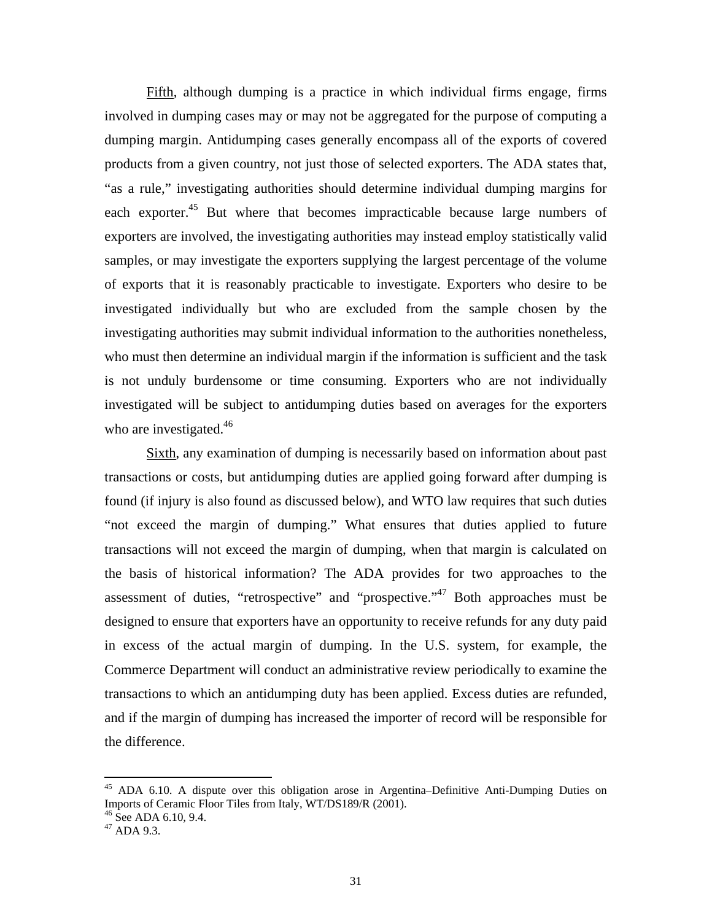Fifth, although dumping is a practice in which individual firms engage, firms involved in dumping cases may or may not be aggregated for the purpose of computing a dumping margin. Antidumping cases generally encompass all of the exports of covered products from a given country, not just those of selected exporters. The ADA states that, "as a rule," investigating authorities should determine individual dumping margins for each exporter.<sup>45</sup> But where that becomes impracticable because large numbers of exporters are involved, the investigating authorities may instead employ statistically valid samples, or may investigate the exporters supplying the largest percentage of the volume of exports that it is reasonably practicable to investigate. Exporters who desire to be investigated individually but who are excluded from the sample chosen by the investigating authorities may submit individual information to the authorities nonetheless, who must then determine an individual margin if the information is sufficient and the task is not unduly burdensome or time consuming. Exporters who are not individually investigated will be subject to antidumping duties based on averages for the exporters who are investigated. $46$ 

 Sixth, any examination of dumping is necessarily based on information about past transactions or costs, but antidumping duties are applied going forward after dumping is found (if injury is also found as discussed below), and WTO law requires that such duties "not exceed the margin of dumping." What ensures that duties applied to future transactions will not exceed the margin of dumping, when that margin is calculated on the basis of historical information? The ADA provides for two approaches to the assessment of duties, "retrospective" and "prospective."<sup>47</sup> Both approaches must be designed to ensure that exporters have an opportunity to receive refunds for any duty paid in excess of the actual margin of dumping. In the U.S. system, for example, the Commerce Department will conduct an administrative review periodically to examine the transactions to which an antidumping duty has been applied. Excess duties are refunded, and if the margin of dumping has increased the importer of record will be responsible for the difference.

<sup>45</sup> ADA 6.10. A dispute over this obligation arose in Argentina–Definitive Anti-Dumping Duties on Imports of Ceramic Floor Tiles from Italy, WT/DS189/R (2001).

<sup>&</sup>lt;sup>46</sup> See ADA 6.10, 9.4.

 $47$  ADA 9.3.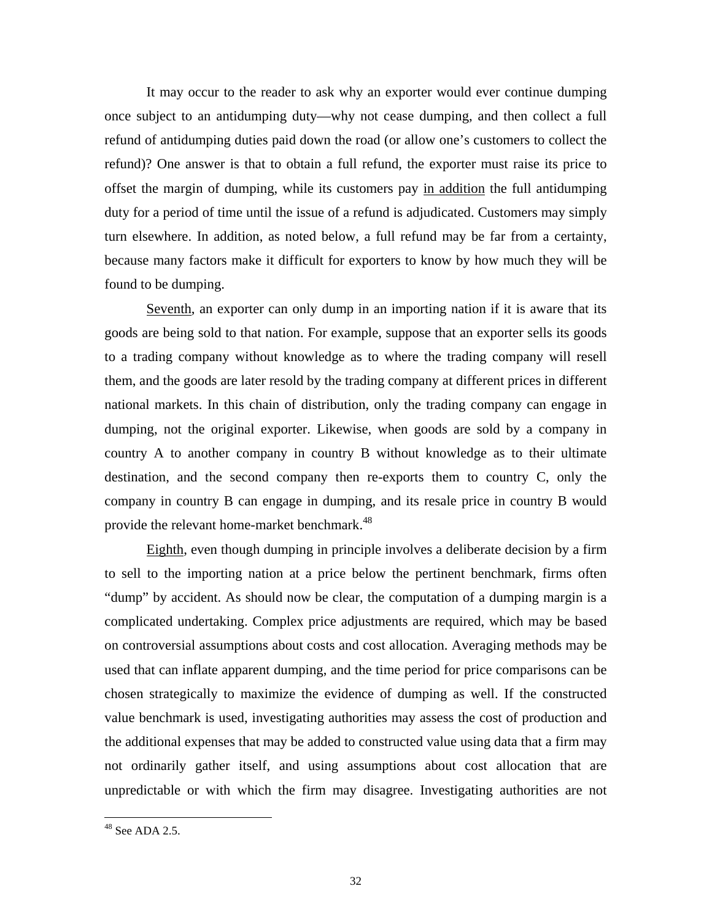It may occur to the reader to ask why an exporter would ever continue dumping once subject to an antidumping duty—why not cease dumping, and then collect a full refund of antidumping duties paid down the road (or allow one's customers to collect the refund)? One answer is that to obtain a full refund, the exporter must raise its price to offset the margin of dumping, while its customers pay in addition the full antidumping duty for a period of time until the issue of a refund is adjudicated. Customers may simply turn elsewhere. In addition, as noted below, a full refund may be far from a certainty, because many factors make it difficult for exporters to know by how much they will be found to be dumping.

 Seventh, an exporter can only dump in an importing nation if it is aware that its goods are being sold to that nation. For example, suppose that an exporter sells its goods to a trading company without knowledge as to where the trading company will resell them, and the goods are later resold by the trading company at different prices in different national markets. In this chain of distribution, only the trading company can engage in dumping, not the original exporter. Likewise, when goods are sold by a company in country A to another company in country B without knowledge as to their ultimate destination, and the second company then re-exports them to country C, only the company in country B can engage in dumping, and its resale price in country B would provide the relevant home-market benchmark.<sup>48</sup>

Eighth, even though dumping in principle involves a deliberate decision by a firm to sell to the importing nation at a price below the pertinent benchmark, firms often "dump" by accident. As should now be clear, the computation of a dumping margin is a complicated undertaking. Complex price adjustments are required, which may be based on controversial assumptions about costs and cost allocation. Averaging methods may be used that can inflate apparent dumping, and the time period for price comparisons can be chosen strategically to maximize the evidence of dumping as well. If the constructed value benchmark is used, investigating authorities may assess the cost of production and the additional expenses that may be added to constructed value using data that a firm may not ordinarily gather itself, and using assumptions about cost allocation that are unpredictable or with which the firm may disagree. Investigating authorities are not

 $48$  See ADA 2.5.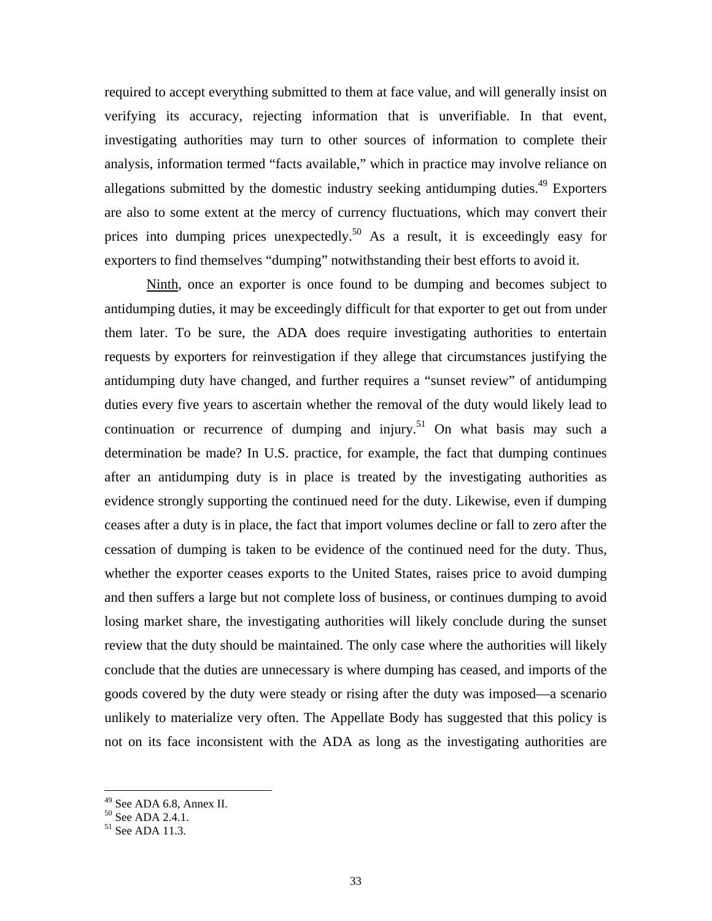required to accept everything submitted to them at face value, and will generally insist on verifying its accuracy, rejecting information that is unverifiable. In that event, investigating authorities may turn to other sources of information to complete their analysis, information termed "facts available," which in practice may involve reliance on allegations submitted by the domestic industry seeking antidumping duties.<sup>49</sup> Exporters are also to some extent at the mercy of currency fluctuations, which may convert their prices into dumping prices unexpectedly.<sup>50</sup> As a result, it is exceedingly easy for exporters to find themselves "dumping" notwithstanding their best efforts to avoid it.

Ninth, once an exporter is once found to be dumping and becomes subject to antidumping duties, it may be exceedingly difficult for that exporter to get out from under them later. To be sure, the ADA does require investigating authorities to entertain requests by exporters for reinvestigation if they allege that circumstances justifying the antidumping duty have changed, and further requires a "sunset review" of antidumping duties every five years to ascertain whether the removal of the duty would likely lead to continuation or recurrence of dumping and injury.<sup>51</sup> On what basis may such a determination be made? In U.S. practice, for example, the fact that dumping continues after an antidumping duty is in place is treated by the investigating authorities as evidence strongly supporting the continued need for the duty. Likewise, even if dumping ceases after a duty is in place, the fact that import volumes decline or fall to zero after the cessation of dumping is taken to be evidence of the continued need for the duty. Thus, whether the exporter ceases exports to the United States, raises price to avoid dumping and then suffers a large but not complete loss of business, or continues dumping to avoid losing market share, the investigating authorities will likely conclude during the sunset review that the duty should be maintained. The only case where the authorities will likely conclude that the duties are unnecessary is where dumping has ceased, and imports of the goods covered by the duty were steady or rising after the duty was imposed—a scenario unlikely to materialize very often. The Appellate Body has suggested that this policy is not on its face inconsistent with the ADA as long as the investigating authorities are

<sup>49</sup> See ADA 6.8, Annex II.

 $50$  See ADA 2.4.1.

<sup>&</sup>lt;sup>51</sup> See ADA 11.3.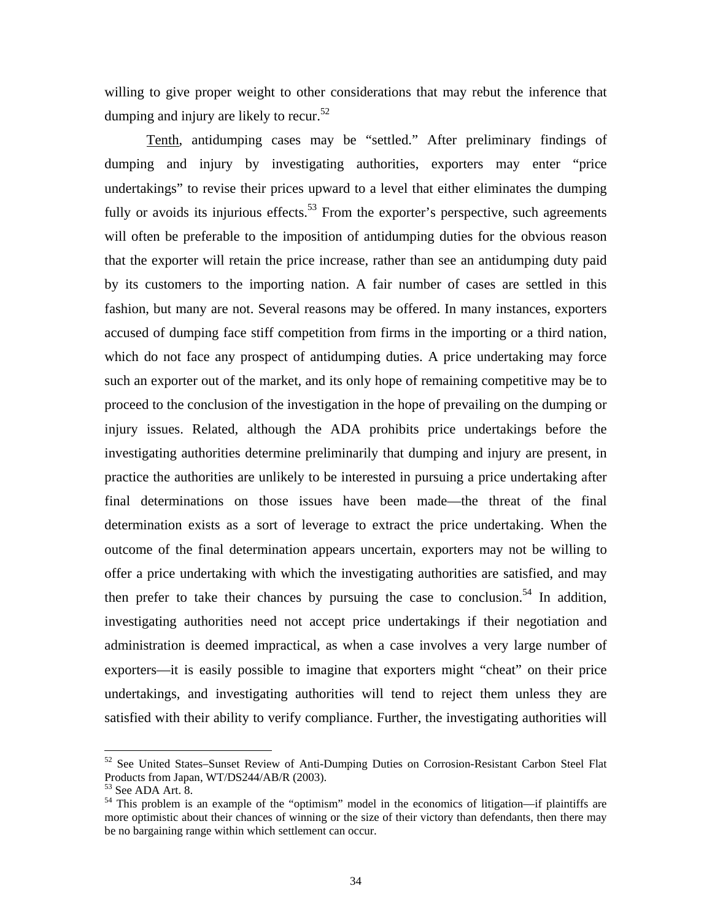willing to give proper weight to other considerations that may rebut the inference that dumping and injury are likely to recur.<sup>52</sup>

Tenth, antidumping cases may be "settled." After preliminary findings of dumping and injury by investigating authorities, exporters may enter "price undertakings" to revise their prices upward to a level that either eliminates the dumping fully or avoids its injurious effects.<sup>53</sup> From the exporter's perspective, such agreements will often be preferable to the imposition of antidumping duties for the obvious reason that the exporter will retain the price increase, rather than see an antidumping duty paid by its customers to the importing nation. A fair number of cases are settled in this fashion, but many are not. Several reasons may be offered. In many instances, exporters accused of dumping face stiff competition from firms in the importing or a third nation, which do not face any prospect of antidumping duties. A price undertaking may force such an exporter out of the market, and its only hope of remaining competitive may be to proceed to the conclusion of the investigation in the hope of prevailing on the dumping or injury issues. Related, although the ADA prohibits price undertakings before the investigating authorities determine preliminarily that dumping and injury are present, in practice the authorities are unlikely to be interested in pursuing a price undertaking after final determinations on those issues have been made—the threat of the final determination exists as a sort of leverage to extract the price undertaking. When the outcome of the final determination appears uncertain, exporters may not be willing to offer a price undertaking with which the investigating authorities are satisfied, and may then prefer to take their chances by pursuing the case to conclusion.<sup>54</sup> In addition, investigating authorities need not accept price undertakings if their negotiation and administration is deemed impractical, as when a case involves a very large number of exporters—it is easily possible to imagine that exporters might "cheat" on their price undertakings, and investigating authorities will tend to reject them unless they are satisfied with their ability to verify compliance. Further, the investigating authorities will

<sup>52</sup> See United States–Sunset Review of Anti-Dumping Duties on Corrosion-Resistant Carbon Steel Flat Products from Japan, WT/DS244/AB/R (2003).

<sup>53</sup> See ADA Art. 8.

 $54$  This problem is an example of the "optimism" model in the economics of litigation—if plaintiffs are more optimistic about their chances of winning or the size of their victory than defendants, then there may be no bargaining range within which settlement can occur.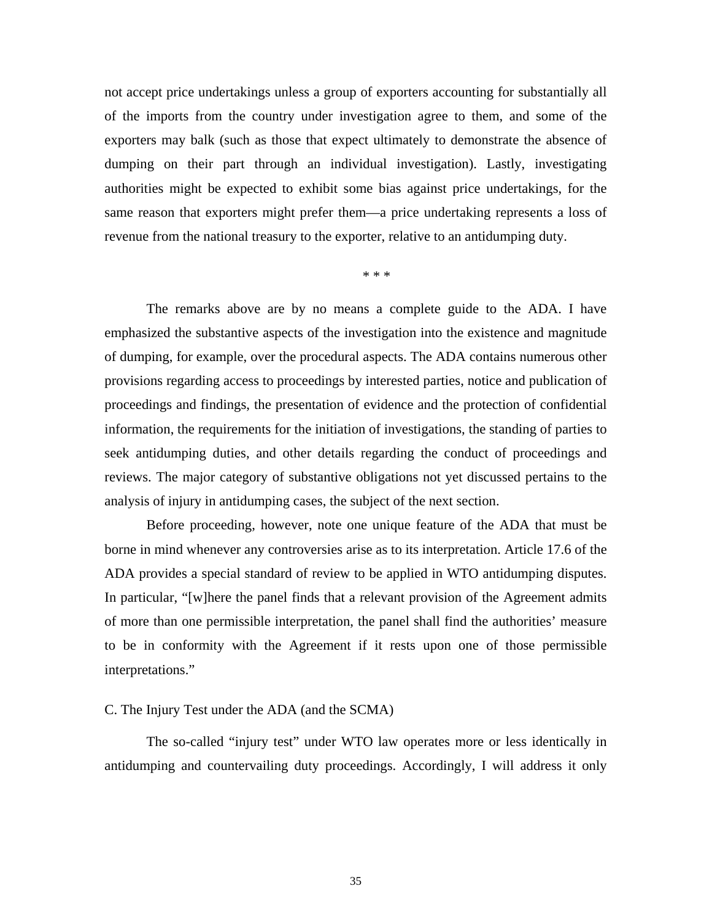not accept price undertakings unless a group of exporters accounting for substantially all of the imports from the country under investigation agree to them, and some of the exporters may balk (such as those that expect ultimately to demonstrate the absence of dumping on their part through an individual investigation). Lastly, investigating authorities might be expected to exhibit some bias against price undertakings, for the same reason that exporters might prefer them—a price undertaking represents a loss of revenue from the national treasury to the exporter, relative to an antidumping duty.

\* \* \*

The remarks above are by no means a complete guide to the ADA. I have emphasized the substantive aspects of the investigation into the existence and magnitude of dumping, for example, over the procedural aspects. The ADA contains numerous other provisions regarding access to proceedings by interested parties, notice and publication of proceedings and findings, the presentation of evidence and the protection of confidential information, the requirements for the initiation of investigations, the standing of parties to seek antidumping duties, and other details regarding the conduct of proceedings and reviews. The major category of substantive obligations not yet discussed pertains to the analysis of injury in antidumping cases, the subject of the next section.

Before proceeding, however, note one unique feature of the ADA that must be borne in mind whenever any controversies arise as to its interpretation. Article 17.6 of the ADA provides a special standard of review to be applied in WTO antidumping disputes. In particular, "[w]here the panel finds that a relevant provision of the Agreement admits of more than one permissible interpretation, the panel shall find the authorities' measure to be in conformity with the Agreement if it rests upon one of those permissible interpretations."

#### C. The Injury Test under the ADA (and the SCMA)

 The so-called "injury test" under WTO law operates more or less identically in antidumping and countervailing duty proceedings. Accordingly, I will address it only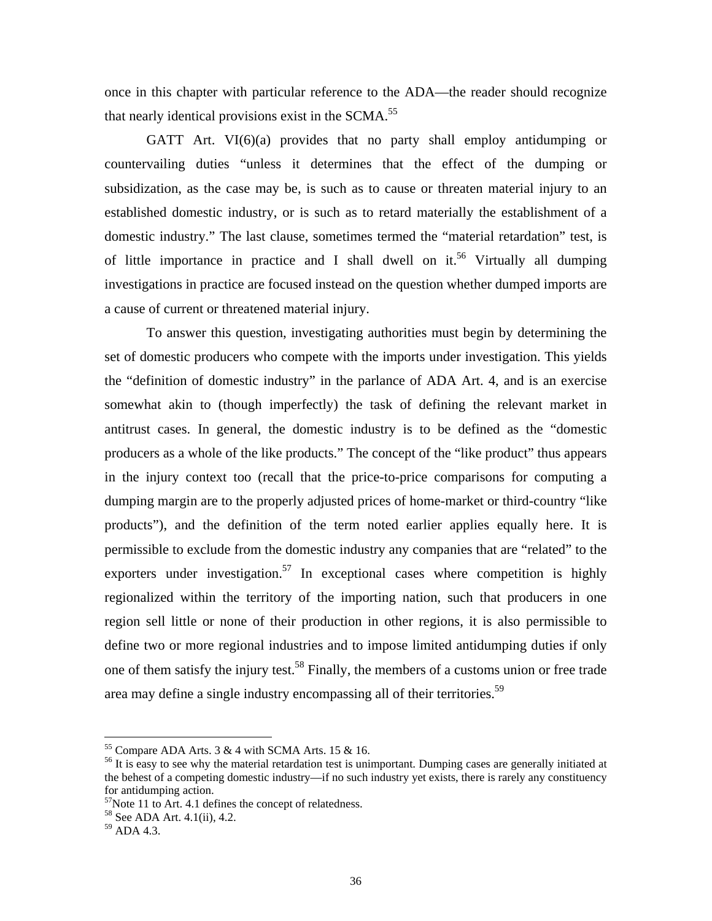once in this chapter with particular reference to the ADA—the reader should recognize that nearly identical provisions exist in the  $SCMA$ <sup>55</sup>

GATT Art. VI(6)(a) provides that no party shall employ antidumping or countervailing duties "unless it determines that the effect of the dumping or subsidization, as the case may be, is such as to cause or threaten material injury to an established domestic industry, or is such as to retard materially the establishment of a domestic industry." The last clause, sometimes termed the "material retardation" test, is of little importance in practice and I shall dwell on it.<sup>56</sup> Virtually all dumping investigations in practice are focused instead on the question whether dumped imports are a cause of current or threatened material injury.

To answer this question, investigating authorities must begin by determining the set of domestic producers who compete with the imports under investigation. This yields the "definition of domestic industry" in the parlance of ADA Art. 4, and is an exercise somewhat akin to (though imperfectly) the task of defining the relevant market in antitrust cases. In general, the domestic industry is to be defined as the "domestic producers as a whole of the like products." The concept of the "like product" thus appears in the injury context too (recall that the price-to-price comparisons for computing a dumping margin are to the properly adjusted prices of home-market or third-country "like products"), and the definition of the term noted earlier applies equally here. It is permissible to exclude from the domestic industry any companies that are "related" to the exporters under investigation.<sup>57</sup> In exceptional cases where competition is highly regionalized within the territory of the importing nation, such that producers in one region sell little or none of their production in other regions, it is also permissible to define two or more regional industries and to impose limited antidumping duties if only one of them satisfy the injury test.<sup>58</sup> Finally, the members of a customs union or free trade area may define a single industry encompassing all of their territories.<sup>59</sup>

 $55$  Compare ADA Arts. 3 & 4 with SCMA Arts. 15 & 16.

<sup>&</sup>lt;sup>56</sup> It is easy to see why the material retardation test is unimportant. Dumping cases are generally initiated at the behest of a competing domestic industry—if no such industry yet exists, there is rarely any constituency for antidumping action.

 $57$ Note 11 to Art. 4.1 defines the concept of relatedness.

<sup>58</sup> See ADA Art. 4.1(ii), 4.2.

<sup>59</sup> ADA 4.3.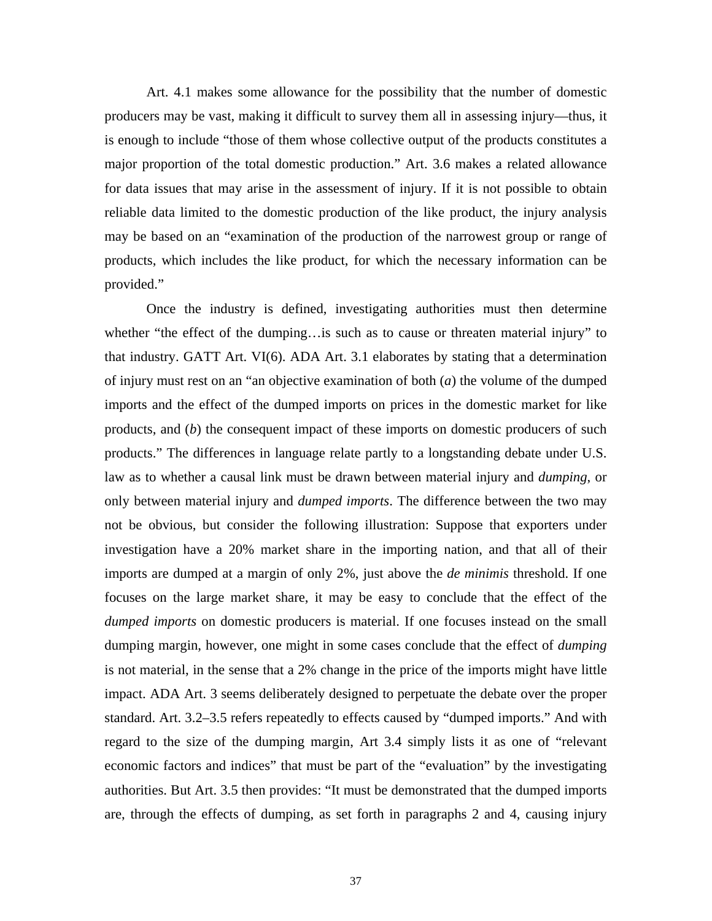Art. 4.1 makes some allowance for the possibility that the number of domestic producers may be vast, making it difficult to survey them all in assessing injury—thus, it is enough to include "those of them whose collective output of the products constitutes a major proportion of the total domestic production." Art. 3.6 makes a related allowance for data issues that may arise in the assessment of injury. If it is not possible to obtain reliable data limited to the domestic production of the like product, the injury analysis may be based on an "examination of the production of the narrowest group or range of products, which includes the like product, for which the necessary information can be provided."

Once the industry is defined, investigating authorities must then determine whether "the effect of the dumping... is such as to cause or threaten material injury" to that industry. GATT Art. VI(6). ADA Art. 3.1 elaborates by stating that a determination of injury must rest on an "an objective examination of both (*a*) the volume of the dumped imports and the effect of the dumped imports on prices in the domestic market for like products, and (*b*) the consequent impact of these imports on domestic producers of such products." The differences in language relate partly to a longstanding debate under U.S. law as to whether a causal link must be drawn between material injury and *dumping*, or only between material injury and *dumped imports*. The difference between the two may not be obvious, but consider the following illustration: Suppose that exporters under investigation have a 20% market share in the importing nation, and that all of their imports are dumped at a margin of only 2%, just above the *de minimis* threshold. If one focuses on the large market share, it may be easy to conclude that the effect of the *dumped imports* on domestic producers is material. If one focuses instead on the small dumping margin, however, one might in some cases conclude that the effect of *dumping* is not material, in the sense that a 2% change in the price of the imports might have little impact. ADA Art. 3 seems deliberately designed to perpetuate the debate over the proper standard. Art. 3.2–3.5 refers repeatedly to effects caused by "dumped imports." And with regard to the size of the dumping margin, Art 3.4 simply lists it as one of "relevant economic factors and indices" that must be part of the "evaluation" by the investigating authorities. But Art. 3.5 then provides: "It must be demonstrated that the dumped imports are, through the effects of dumping, as set forth in paragraphs 2 and 4, causing injury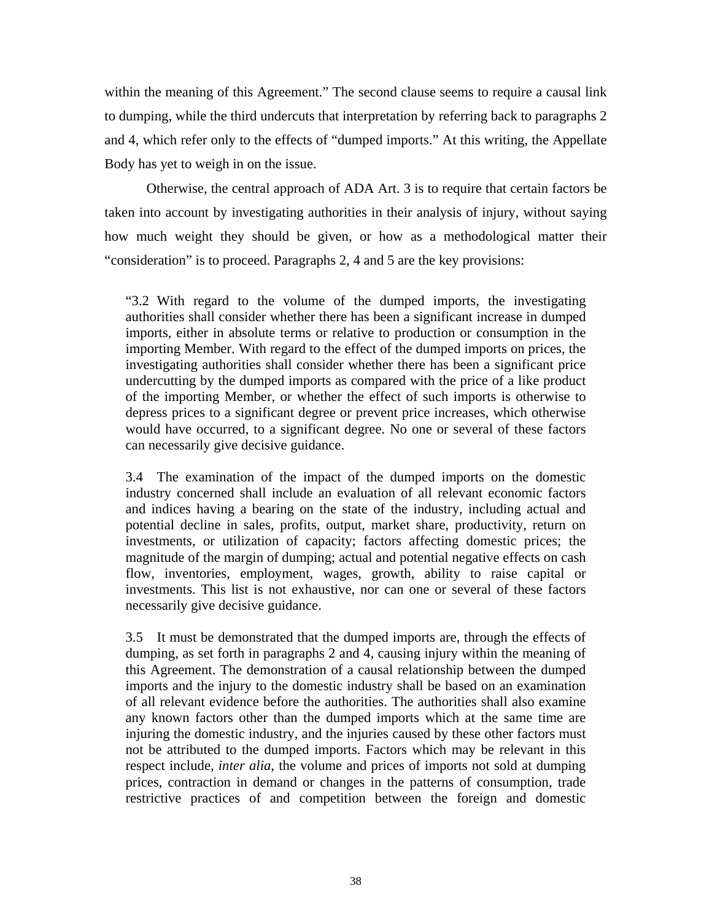within the meaning of this Agreement." The second clause seems to require a causal link to dumping, while the third undercuts that interpretation by referring back to paragraphs 2 and 4, which refer only to the effects of "dumped imports." At this writing, the Appellate Body has yet to weigh in on the issue.

Otherwise, the central approach of ADA Art. 3 is to require that certain factors be taken into account by investigating authorities in their analysis of injury, without saying how much weight they should be given, or how as a methodological matter their "consideration" is to proceed. Paragraphs 2, 4 and 5 are the key provisions:

"3.2 With regard to the volume of the dumped imports, the investigating authorities shall consider whether there has been a significant increase in dumped imports, either in absolute terms or relative to production or consumption in the importing Member. With regard to the effect of the dumped imports on prices, the investigating authorities shall consider whether there has been a significant price undercutting by the dumped imports as compared with the price of a like product of the importing Member, or whether the effect of such imports is otherwise to depress prices to a significant degree or prevent price increases, which otherwise would have occurred, to a significant degree. No one or several of these factors can necessarily give decisive guidance.

3.4 The examination of the impact of the dumped imports on the domestic industry concerned shall include an evaluation of all relevant economic factors and indices having a bearing on the state of the industry, including actual and potential decline in sales, profits, output, market share, productivity, return on investments, or utilization of capacity; factors affecting domestic prices; the magnitude of the margin of dumping; actual and potential negative effects on cash flow, inventories, employment, wages, growth, ability to raise capital or investments. This list is not exhaustive, nor can one or several of these factors necessarily give decisive guidance.

3.5 It must be demonstrated that the dumped imports are, through the effects of dumping, as set forth in paragraphs 2 and 4, causing injury within the meaning of this Agreement. The demonstration of a causal relationship between the dumped imports and the injury to the domestic industry shall be based on an examination of all relevant evidence before the authorities. The authorities shall also examine any known factors other than the dumped imports which at the same time are injuring the domestic industry, and the injuries caused by these other factors must not be attributed to the dumped imports. Factors which may be relevant in this respect include, *inter alia*, the volume and prices of imports not sold at dumping prices, contraction in demand or changes in the patterns of consumption, trade restrictive practices of and competition between the foreign and domestic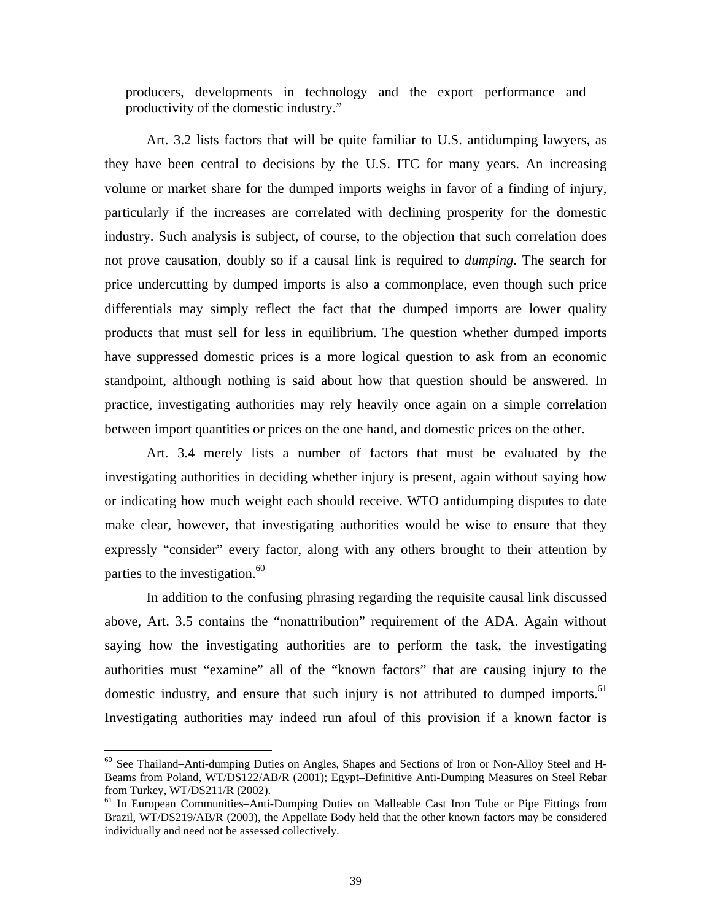producers, developments in technology and the export performance and productivity of the domestic industry."

 Art. 3.2 lists factors that will be quite familiar to U.S. antidumping lawyers, as they have been central to decisions by the U.S. ITC for many years. An increasing volume or market share for the dumped imports weighs in favor of a finding of injury, particularly if the increases are correlated with declining prosperity for the domestic industry. Such analysis is subject, of course, to the objection that such correlation does not prove causation, doubly so if a causal link is required to *dumping*. The search for price undercutting by dumped imports is also a commonplace, even though such price differentials may simply reflect the fact that the dumped imports are lower quality products that must sell for less in equilibrium. The question whether dumped imports have suppressed domestic prices is a more logical question to ask from an economic standpoint, although nothing is said about how that question should be answered. In practice, investigating authorities may rely heavily once again on a simple correlation between import quantities or prices on the one hand, and domestic prices on the other.

 Art. 3.4 merely lists a number of factors that must be evaluated by the investigating authorities in deciding whether injury is present, again without saying how or indicating how much weight each should receive. WTO antidumping disputes to date make clear, however, that investigating authorities would be wise to ensure that they expressly "consider" every factor, along with any others brought to their attention by parties to the investigation.<sup>60</sup>

 In addition to the confusing phrasing regarding the requisite causal link discussed above, Art. 3.5 contains the "nonattribution" requirement of the ADA. Again without saying how the investigating authorities are to perform the task, the investigating authorities must "examine" all of the "known factors" that are causing injury to the domestic industry, and ensure that such injury is not attributed to dumped imports.  $61$ Investigating authorities may indeed run afoul of this provision if a known factor is

<sup>&</sup>lt;sup>60</sup> See Thailand–Anti-dumping Duties on Angles, Shapes and Sections of Iron or Non-Alloy Steel and H-Beams from Poland, WT/DS122/AB/R (2001); Egypt–Definitive Anti-Dumping Measures on Steel Rebar from Turkey, WT/DS211/R (2002).

<sup>&</sup>lt;sup>61</sup> In European Communities–Anti-Dumping Duties on Malleable Cast Iron Tube or Pipe Fittings from Brazil, WT/DS219/AB/R (2003), the Appellate Body held that the other known factors may be considered individually and need not be assessed collectively.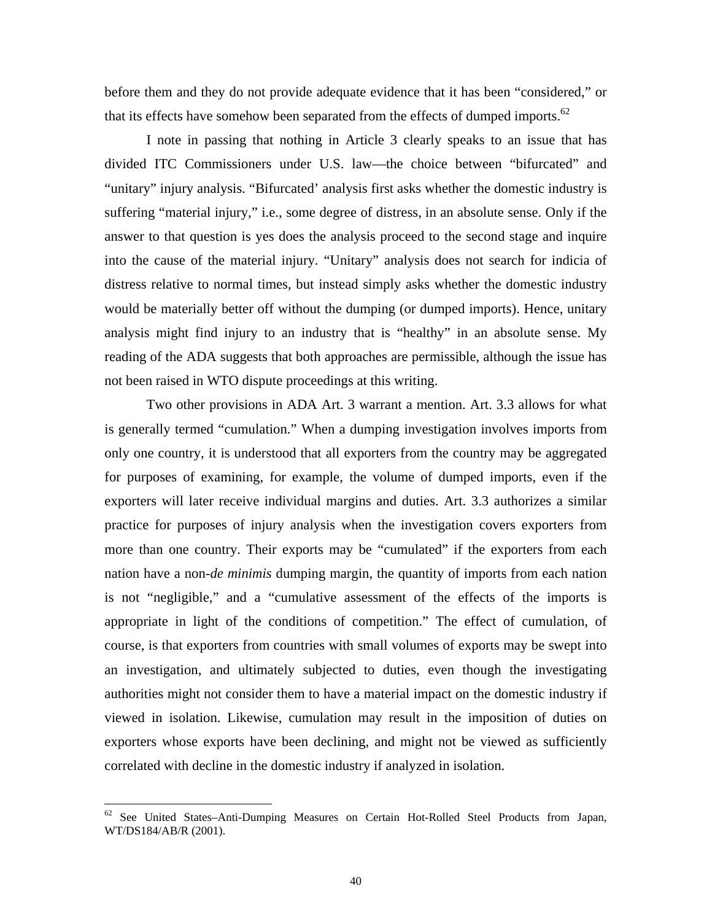before them and they do not provide adequate evidence that it has been "considered," or that its effects have somehow been separated from the effects of dumped imports.<sup>62</sup>

 I note in passing that nothing in Article 3 clearly speaks to an issue that has divided ITC Commissioners under U.S. law—the choice between "bifurcated" and "unitary" injury analysis. "Bifurcated' analysis first asks whether the domestic industry is suffering "material injury," i.e., some degree of distress, in an absolute sense. Only if the answer to that question is yes does the analysis proceed to the second stage and inquire into the cause of the material injury. "Unitary" analysis does not search for indicia of distress relative to normal times, but instead simply asks whether the domestic industry would be materially better off without the dumping (or dumped imports). Hence, unitary analysis might find injury to an industry that is "healthy" in an absolute sense. My reading of the ADA suggests that both approaches are permissible, although the issue has not been raised in WTO dispute proceedings at this writing.

 Two other provisions in ADA Art. 3 warrant a mention. Art. 3.3 allows for what is generally termed "cumulation." When a dumping investigation involves imports from only one country, it is understood that all exporters from the country may be aggregated for purposes of examining, for example, the volume of dumped imports, even if the exporters will later receive individual margins and duties. Art. 3.3 authorizes a similar practice for purposes of injury analysis when the investigation covers exporters from more than one country. Their exports may be "cumulated" if the exporters from each nation have a non-*de minimis* dumping margin, the quantity of imports from each nation is not "negligible," and a "cumulative assessment of the effects of the imports is appropriate in light of the conditions of competition." The effect of cumulation, of course, is that exporters from countries with small volumes of exports may be swept into an investigation, and ultimately subjected to duties, even though the investigating authorities might not consider them to have a material impact on the domestic industry if viewed in isolation. Likewise, cumulation may result in the imposition of duties on exporters whose exports have been declining, and might not be viewed as sufficiently correlated with decline in the domestic industry if analyzed in isolation.

See United States–Anti-Dumping Measures on Certain Hot-Rolled Steel Products from Japan, WT/DS184/AB/R (2001).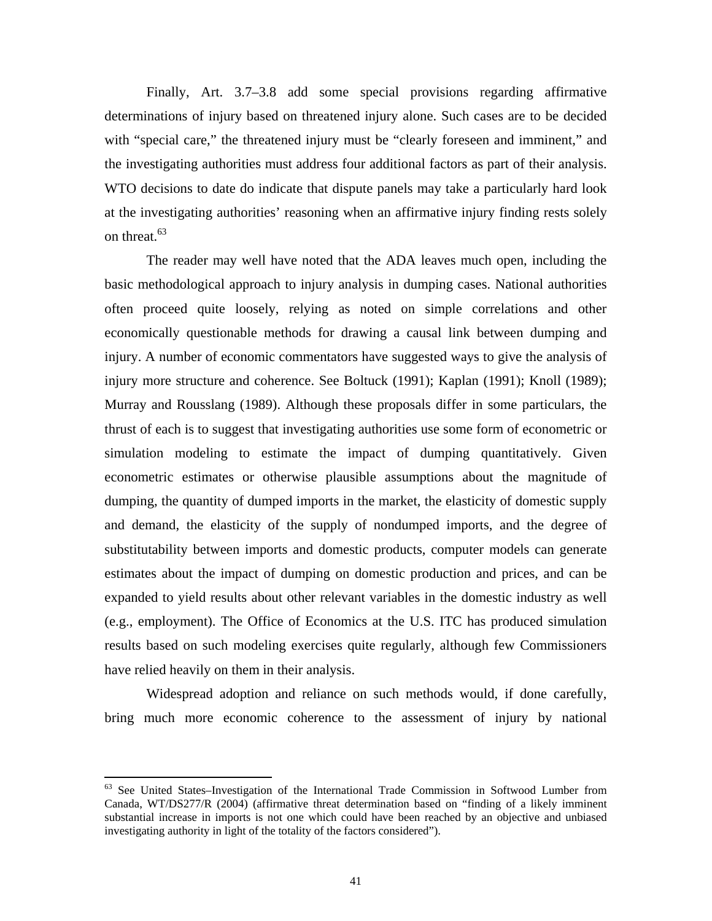Finally, Art. 3.7–3.8 add some special provisions regarding affirmative determinations of injury based on threatened injury alone. Such cases are to be decided with "special care," the threatened injury must be "clearly foreseen and imminent," and the investigating authorities must address four additional factors as part of their analysis. WTO decisions to date do indicate that dispute panels may take a particularly hard look at the investigating authorities' reasoning when an affirmative injury finding rests solely on threat.<sup>63</sup>

 The reader may well have noted that the ADA leaves much open, including the basic methodological approach to injury analysis in dumping cases. National authorities often proceed quite loosely, relying as noted on simple correlations and other economically questionable methods for drawing a causal link between dumping and injury. A number of economic commentators have suggested ways to give the analysis of injury more structure and coherence. See Boltuck (1991); Kaplan (1991); Knoll (1989); Murray and Rousslang (1989). Although these proposals differ in some particulars, the thrust of each is to suggest that investigating authorities use some form of econometric or simulation modeling to estimate the impact of dumping quantitatively. Given econometric estimates or otherwise plausible assumptions about the magnitude of dumping, the quantity of dumped imports in the market, the elasticity of domestic supply and demand, the elasticity of the supply of nondumped imports, and the degree of substitutability between imports and domestic products, computer models can generate estimates about the impact of dumping on domestic production and prices, and can be expanded to yield results about other relevant variables in the domestic industry as well (e.g., employment). The Office of Economics at the U.S. ITC has produced simulation results based on such modeling exercises quite regularly, although few Commissioners have relied heavily on them in their analysis.

 Widespread adoption and reliance on such methods would, if done carefully, bring much more economic coherence to the assessment of injury by national

<sup>&</sup>lt;sup>63</sup> See United States–Investigation of the International Trade Commission in Softwood Lumber from Canada, WT/DS277/R (2004) (affirmative threat determination based on "finding of a likely imminent substantial increase in imports is not one which could have been reached by an objective and unbiased investigating authority in light of the totality of the factors considered").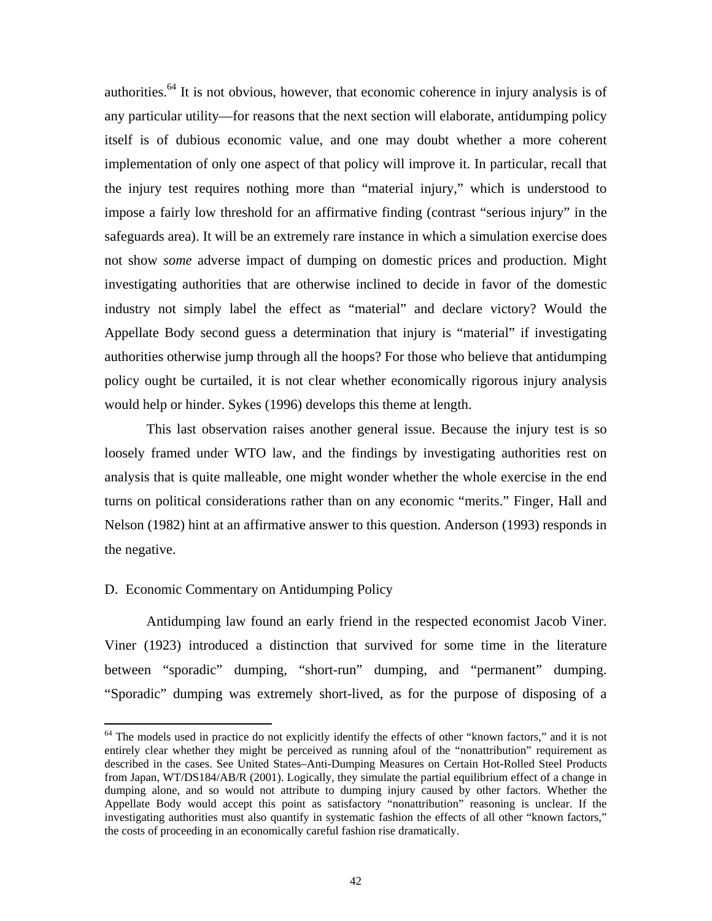authorities.<sup>64</sup> It is not obvious, however, that economic coherence in injury analysis is of any particular utility—for reasons that the next section will elaborate, antidumping policy itself is of dubious economic value, and one may doubt whether a more coherent implementation of only one aspect of that policy will improve it. In particular, recall that the injury test requires nothing more than "material injury," which is understood to impose a fairly low threshold for an affirmative finding (contrast "serious injury" in the safeguards area). It will be an extremely rare instance in which a simulation exercise does not show *some* adverse impact of dumping on domestic prices and production. Might investigating authorities that are otherwise inclined to decide in favor of the domestic industry not simply label the effect as "material" and declare victory? Would the Appellate Body second guess a determination that injury is "material" if investigating authorities otherwise jump through all the hoops? For those who believe that antidumping policy ought be curtailed, it is not clear whether economically rigorous injury analysis would help or hinder. Sykes (1996) develops this theme at length.

 This last observation raises another general issue. Because the injury test is so loosely framed under WTO law, and the findings by investigating authorities rest on analysis that is quite malleable, one might wonder whether the whole exercise in the end turns on political considerations rather than on any economic "merits." Finger, Hall and Nelson (1982) hint at an affirmative answer to this question. Anderson (1993) responds in the negative.

#### D. Economic Commentary on Antidumping Policy

 $\overline{a}$ 

 Antidumping law found an early friend in the respected economist Jacob Viner. Viner (1923) introduced a distinction that survived for some time in the literature between "sporadic" dumping, "short-run" dumping, and "permanent" dumping. "Sporadic" dumping was extremely short-lived, as for the purpose of disposing of a

 $64$  The models used in practice do not explicitly identify the effects of other "known factors," and it is not entirely clear whether they might be perceived as running afoul of the "nonattribution" requirement as described in the cases. See United States–Anti-Dumping Measures on Certain Hot-Rolled Steel Products from Japan, WT/DS184/AB/R (2001). Logically, they simulate the partial equilibrium effect of a change in dumping alone, and so would not attribute to dumping injury caused by other factors. Whether the Appellate Body would accept this point as satisfactory "nonattribution" reasoning is unclear. If the investigating authorities must also quantify in systematic fashion the effects of all other "known factors," the costs of proceeding in an economically careful fashion rise dramatically.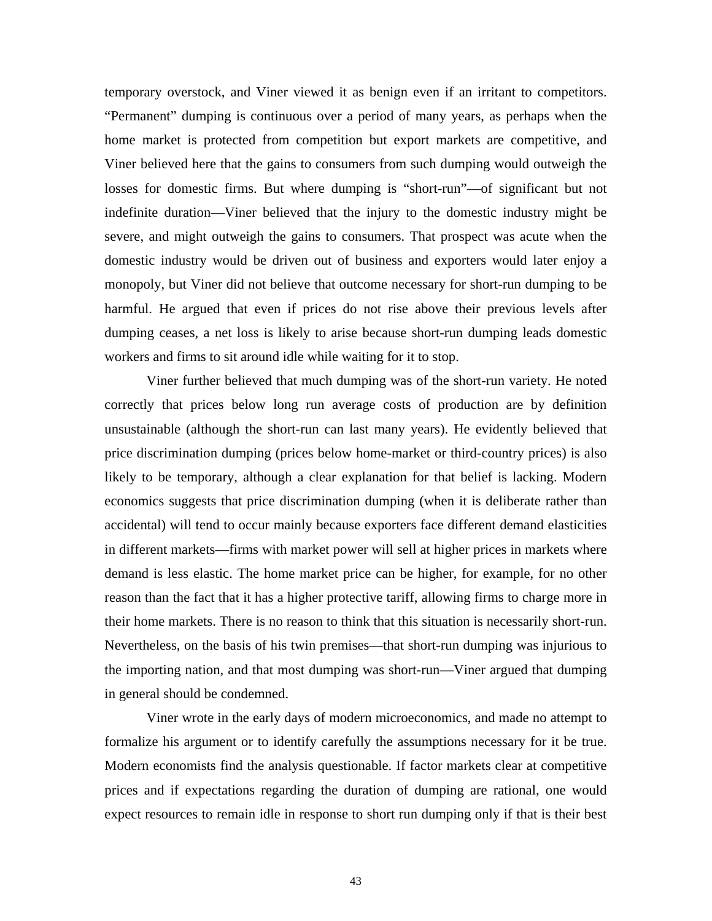temporary overstock, and Viner viewed it as benign even if an irritant to competitors. "Permanent" dumping is continuous over a period of many years, as perhaps when the home market is protected from competition but export markets are competitive, and Viner believed here that the gains to consumers from such dumping would outweigh the losses for domestic firms. But where dumping is "short-run"—of significant but not indefinite duration—Viner believed that the injury to the domestic industry might be severe, and might outweigh the gains to consumers. That prospect was acute when the domestic industry would be driven out of business and exporters would later enjoy a monopoly, but Viner did not believe that outcome necessary for short-run dumping to be harmful. He argued that even if prices do not rise above their previous levels after dumping ceases, a net loss is likely to arise because short-run dumping leads domestic workers and firms to sit around idle while waiting for it to stop.

 Viner further believed that much dumping was of the short-run variety. He noted correctly that prices below long run average costs of production are by definition unsustainable (although the short-run can last many years). He evidently believed that price discrimination dumping (prices below home-market or third-country prices) is also likely to be temporary, although a clear explanation for that belief is lacking. Modern economics suggests that price discrimination dumping (when it is deliberate rather than accidental) will tend to occur mainly because exporters face different demand elasticities in different markets—firms with market power will sell at higher prices in markets where demand is less elastic. The home market price can be higher, for example, for no other reason than the fact that it has a higher protective tariff, allowing firms to charge more in their home markets. There is no reason to think that this situation is necessarily short-run. Nevertheless, on the basis of his twin premises—that short-run dumping was injurious to the importing nation, and that most dumping was short-run—Viner argued that dumping in general should be condemned.

 Viner wrote in the early days of modern microeconomics, and made no attempt to formalize his argument or to identify carefully the assumptions necessary for it be true. Modern economists find the analysis questionable. If factor markets clear at competitive prices and if expectations regarding the duration of dumping are rational, one would expect resources to remain idle in response to short run dumping only if that is their best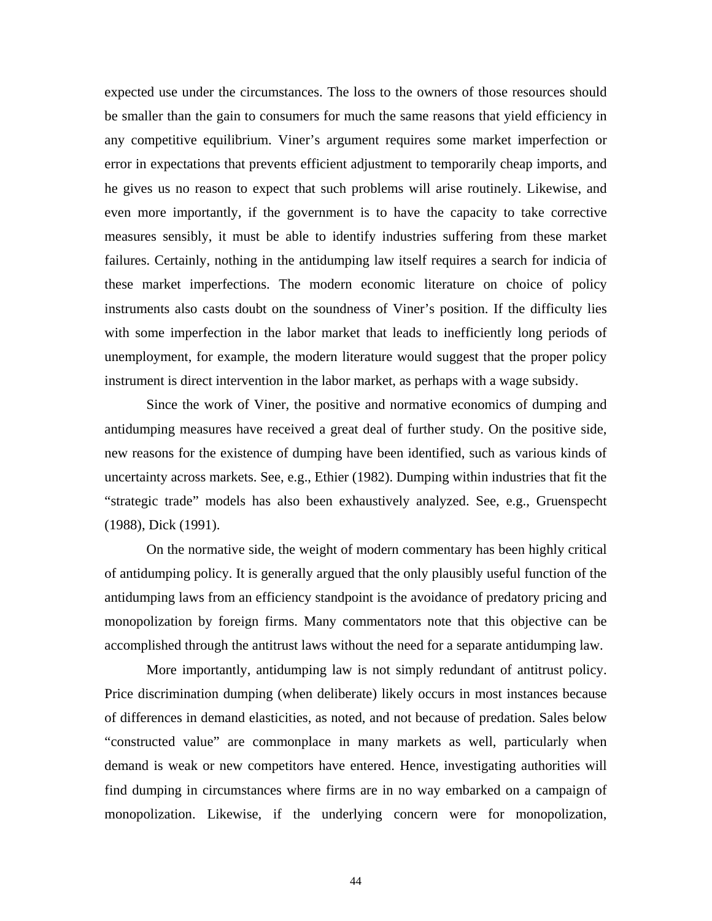expected use under the circumstances. The loss to the owners of those resources should be smaller than the gain to consumers for much the same reasons that yield efficiency in any competitive equilibrium. Viner's argument requires some market imperfection or error in expectations that prevents efficient adjustment to temporarily cheap imports, and he gives us no reason to expect that such problems will arise routinely. Likewise, and even more importantly, if the government is to have the capacity to take corrective measures sensibly, it must be able to identify industries suffering from these market failures. Certainly, nothing in the antidumping law itself requires a search for indicia of these market imperfections. The modern economic literature on choice of policy instruments also casts doubt on the soundness of Viner's position. If the difficulty lies with some imperfection in the labor market that leads to inefficiently long periods of unemployment, for example, the modern literature would suggest that the proper policy instrument is direct intervention in the labor market, as perhaps with a wage subsidy.

 Since the work of Viner, the positive and normative economics of dumping and antidumping measures have received a great deal of further study. On the positive side, new reasons for the existence of dumping have been identified, such as various kinds of uncertainty across markets. See, e.g., Ethier (1982). Dumping within industries that fit the "strategic trade" models has also been exhaustively analyzed. See, e.g., Gruenspecht (1988), Dick (1991).

 On the normative side, the weight of modern commentary has been highly critical of antidumping policy. It is generally argued that the only plausibly useful function of the antidumping laws from an efficiency standpoint is the avoidance of predatory pricing and monopolization by foreign firms. Many commentators note that this objective can be accomplished through the antitrust laws without the need for a separate antidumping law.

More importantly, antidumping law is not simply redundant of antitrust policy. Price discrimination dumping (when deliberate) likely occurs in most instances because of differences in demand elasticities, as noted, and not because of predation. Sales below "constructed value" are commonplace in many markets as well, particularly when demand is weak or new competitors have entered. Hence, investigating authorities will find dumping in circumstances where firms are in no way embarked on a campaign of monopolization. Likewise, if the underlying concern were for monopolization,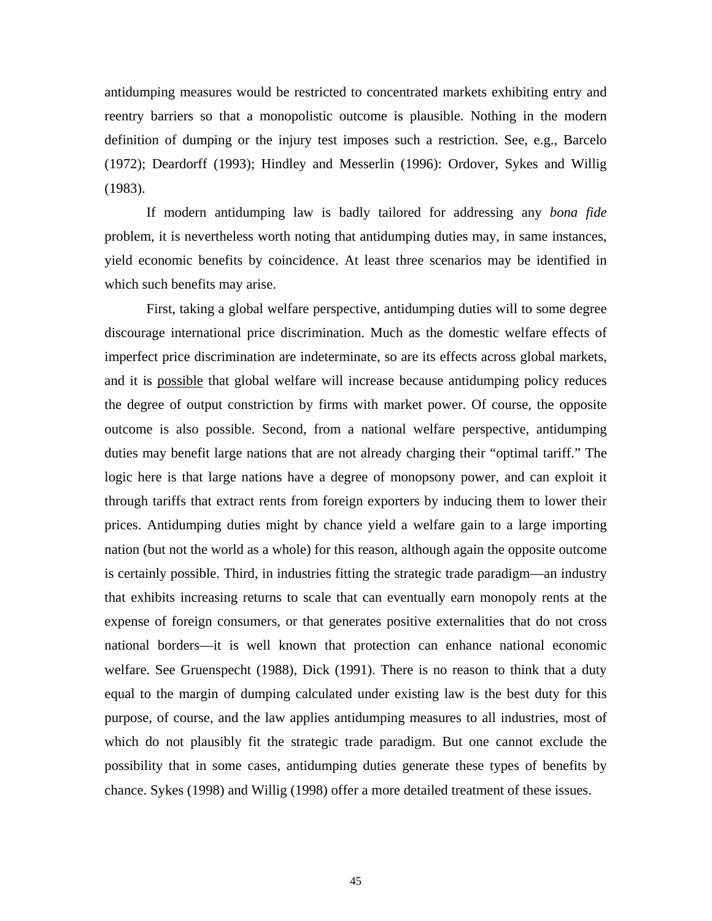antidumping measures would be restricted to concentrated markets exhibiting entry and reentry barriers so that a monopolistic outcome is plausible. Nothing in the modern definition of dumping or the injury test imposes such a restriction. See, e.g., Barcelo (1972); Deardorff (1993); Hindley and Messerlin (1996): Ordover, Sykes and Willig (1983).

 If modern antidumping law is badly tailored for addressing any *bona fide* problem, it is nevertheless worth noting that antidumping duties may, in same instances, yield economic benefits by coincidence. At least three scenarios may be identified in which such benefits may arise.

 First, taking a global welfare perspective, antidumping duties will to some degree discourage international price discrimination. Much as the domestic welfare effects of imperfect price discrimination are indeterminate, so are its effects across global markets, and it is possible that global welfare will increase because antidumping policy reduces the degree of output constriction by firms with market power. Of course, the opposite outcome is also possible. Second, from a national welfare perspective, antidumping duties may benefit large nations that are not already charging their "optimal tariff." The logic here is that large nations have a degree of monopsony power, and can exploit it through tariffs that extract rents from foreign exporters by inducing them to lower their prices. Antidumping duties might by chance yield a welfare gain to a large importing nation (but not the world as a whole) for this reason, although again the opposite outcome is certainly possible. Third, in industries fitting the strategic trade paradigm—an industry that exhibits increasing returns to scale that can eventually earn monopoly rents at the expense of foreign consumers, or that generates positive externalities that do not cross national borders—it is well known that protection can enhance national economic welfare. See Gruenspecht (1988), Dick (1991). There is no reason to think that a duty equal to the margin of dumping calculated under existing law is the best duty for this purpose, of course, and the law applies antidumping measures to all industries, most of which do not plausibly fit the strategic trade paradigm. But one cannot exclude the possibility that in some cases, antidumping duties generate these types of benefits by chance. Sykes (1998) and Willig (1998) offer a more detailed treatment of these issues.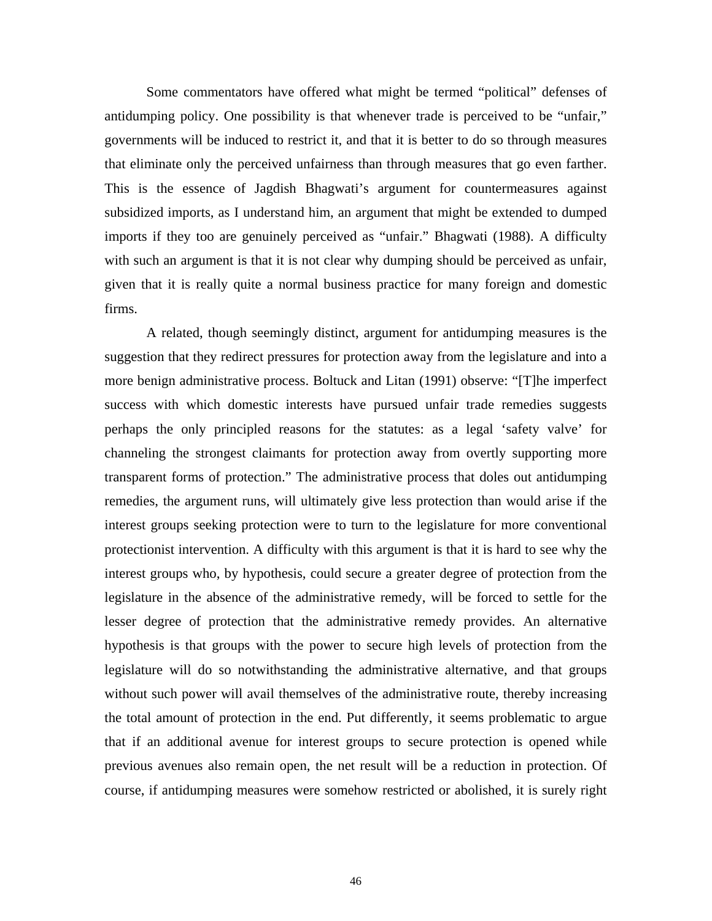Some commentators have offered what might be termed "political" defenses of antidumping policy. One possibility is that whenever trade is perceived to be "unfair," governments will be induced to restrict it, and that it is better to do so through measures that eliminate only the perceived unfairness than through measures that go even farther. This is the essence of Jagdish Bhagwati's argument for countermeasures against subsidized imports, as I understand him, an argument that might be extended to dumped imports if they too are genuinely perceived as "unfair." Bhagwati (1988). A difficulty with such an argument is that it is not clear why dumping should be perceived as unfair, given that it is really quite a normal business practice for many foreign and domestic firms.

 A related, though seemingly distinct, argument for antidumping measures is the suggestion that they redirect pressures for protection away from the legislature and into a more benign administrative process. Boltuck and Litan (1991) observe: "[T]he imperfect success with which domestic interests have pursued unfair trade remedies suggests perhaps the only principled reasons for the statutes: as a legal 'safety valve' for channeling the strongest claimants for protection away from overtly supporting more transparent forms of protection." The administrative process that doles out antidumping remedies, the argument runs, will ultimately give less protection than would arise if the interest groups seeking protection were to turn to the legislature for more conventional protectionist intervention. A difficulty with this argument is that it is hard to see why the interest groups who, by hypothesis, could secure a greater degree of protection from the legislature in the absence of the administrative remedy, will be forced to settle for the lesser degree of protection that the administrative remedy provides. An alternative hypothesis is that groups with the power to secure high levels of protection from the legislature will do so notwithstanding the administrative alternative, and that groups without such power will avail themselves of the administrative route, thereby increasing the total amount of protection in the end. Put differently, it seems problematic to argue that if an additional avenue for interest groups to secure protection is opened while previous avenues also remain open, the net result will be a reduction in protection. Of course, if antidumping measures were somehow restricted or abolished, it is surely right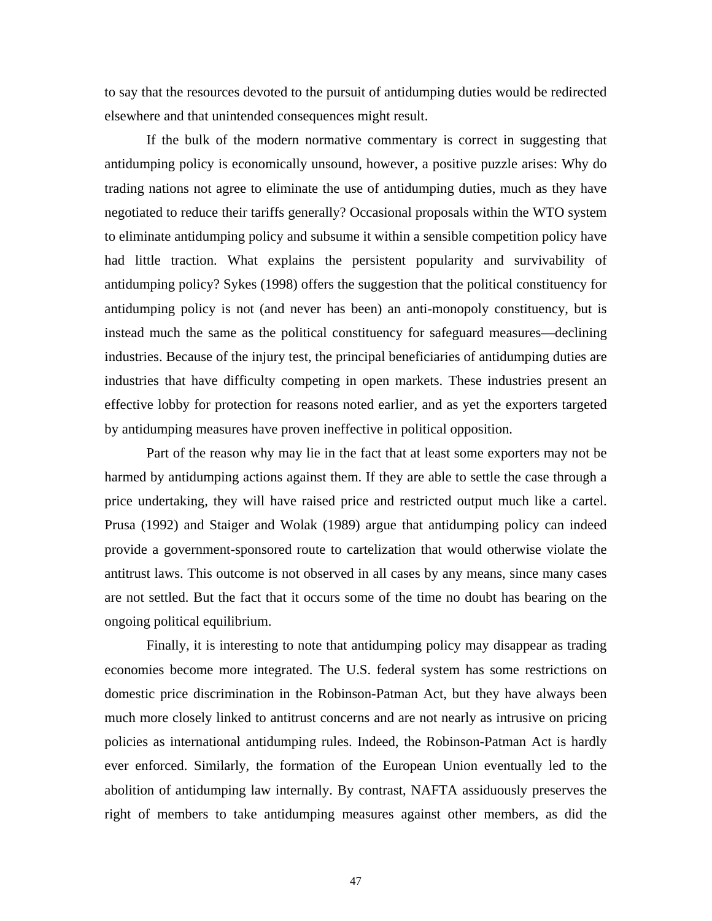to say that the resources devoted to the pursuit of antidumping duties would be redirected elsewhere and that unintended consequences might result.

 If the bulk of the modern normative commentary is correct in suggesting that antidumping policy is economically unsound, however, a positive puzzle arises: Why do trading nations not agree to eliminate the use of antidumping duties, much as they have negotiated to reduce their tariffs generally? Occasional proposals within the WTO system to eliminate antidumping policy and subsume it within a sensible competition policy have had little traction. What explains the persistent popularity and survivability of antidumping policy? Sykes (1998) offers the suggestion that the political constituency for antidumping policy is not (and never has been) an anti-monopoly constituency, but is instead much the same as the political constituency for safeguard measures—declining industries. Because of the injury test, the principal beneficiaries of antidumping duties are industries that have difficulty competing in open markets. These industries present an effective lobby for protection for reasons noted earlier, and as yet the exporters targeted by antidumping measures have proven ineffective in political opposition.

 Part of the reason why may lie in the fact that at least some exporters may not be harmed by antidumping actions against them. If they are able to settle the case through a price undertaking, they will have raised price and restricted output much like a cartel. Prusa (1992) and Staiger and Wolak (1989) argue that antidumping policy can indeed provide a government-sponsored route to cartelization that would otherwise violate the antitrust laws. This outcome is not observed in all cases by any means, since many cases are not settled. But the fact that it occurs some of the time no doubt has bearing on the ongoing political equilibrium.

 Finally, it is interesting to note that antidumping policy may disappear as trading economies become more integrated. The U.S. federal system has some restrictions on domestic price discrimination in the Robinson-Patman Act, but they have always been much more closely linked to antitrust concerns and are not nearly as intrusive on pricing policies as international antidumping rules. Indeed, the Robinson-Patman Act is hardly ever enforced. Similarly, the formation of the European Union eventually led to the abolition of antidumping law internally. By contrast, NAFTA assiduously preserves the right of members to take antidumping measures against other members, as did the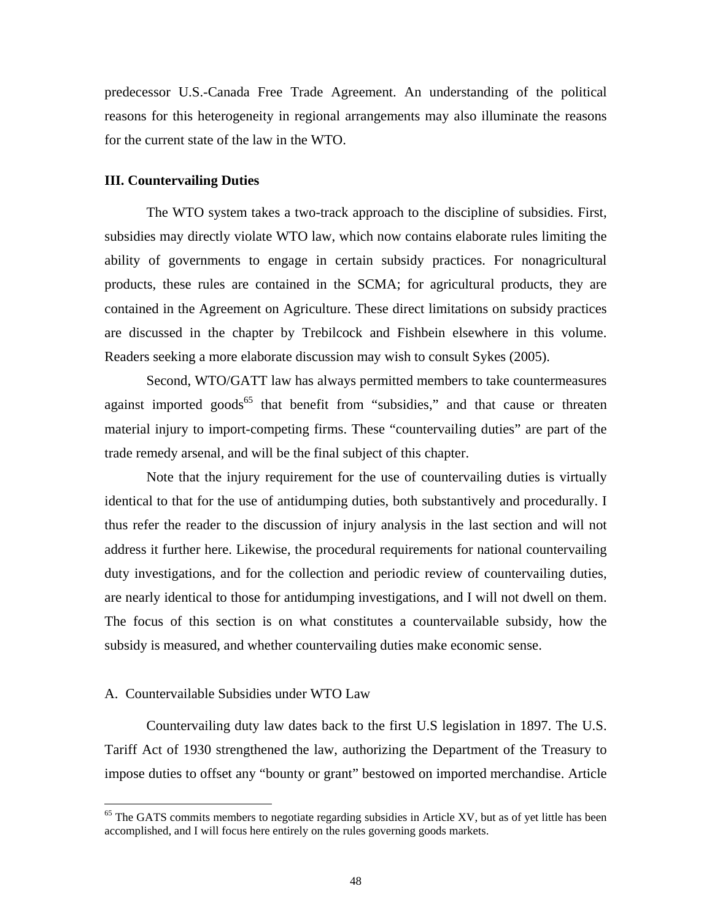predecessor U.S.-Canada Free Trade Agreement. An understanding of the political reasons for this heterogeneity in regional arrangements may also illuminate the reasons for the current state of the law in the WTO.

#### **III. Countervailing Duties**

 The WTO system takes a two-track approach to the discipline of subsidies. First, subsidies may directly violate WTO law, which now contains elaborate rules limiting the ability of governments to engage in certain subsidy practices. For nonagricultural products, these rules are contained in the SCMA; for agricultural products, they are contained in the Agreement on Agriculture. These direct limitations on subsidy practices are discussed in the chapter by Trebilcock and Fishbein elsewhere in this volume. Readers seeking a more elaborate discussion may wish to consult Sykes (2005).

 Second, WTO/GATT law has always permitted members to take countermeasures against imported goods<sup>65</sup> that benefit from "subsidies," and that cause or threaten material injury to import-competing firms. These "countervailing duties" are part of the trade remedy arsenal, and will be the final subject of this chapter.

 Note that the injury requirement for the use of countervailing duties is virtually identical to that for the use of antidumping duties, both substantively and procedurally. I thus refer the reader to the discussion of injury analysis in the last section and will not address it further here. Likewise, the procedural requirements for national countervailing duty investigations, and for the collection and periodic review of countervailing duties, are nearly identical to those for antidumping investigations, and I will not dwell on them. The focus of this section is on what constitutes a countervailable subsidy, how the subsidy is measured, and whether countervailing duties make economic sense.

#### A. Countervailable Subsidies under WTO Law

 $\overline{a}$ 

Countervailing duty law dates back to the first U.S legislation in 1897. The U.S. Tariff Act of 1930 strengthened the law, authorizing the Department of the Treasury to impose duties to offset any "bounty or grant" bestowed on imported merchandise. Article

<sup>&</sup>lt;sup>65</sup> The GATS commits members to negotiate regarding subsidies in Article XV, but as of yet little has been accomplished, and I will focus here entirely on the rules governing goods markets.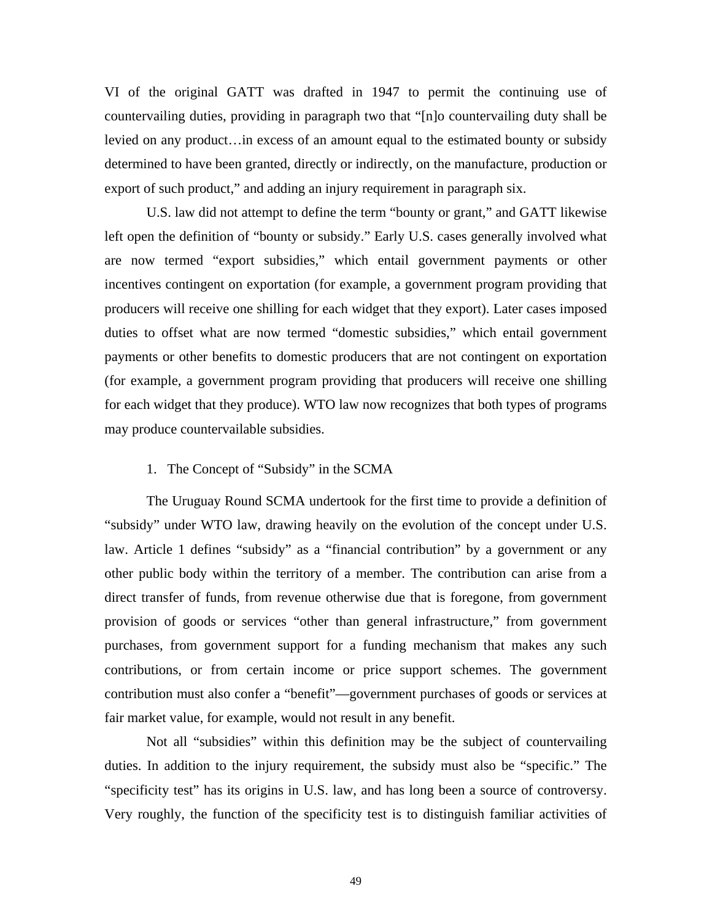VI of the original GATT was drafted in 1947 to permit the continuing use of countervailing duties, providing in paragraph two that "[n]o countervailing duty shall be levied on any product…in excess of an amount equal to the estimated bounty or subsidy determined to have been granted, directly or indirectly, on the manufacture, production or export of such product," and adding an injury requirement in paragraph six.

 U.S. law did not attempt to define the term "bounty or grant," and GATT likewise left open the definition of "bounty or subsidy." Early U.S. cases generally involved what are now termed "export subsidies," which entail government payments or other incentives contingent on exportation (for example, a government program providing that producers will receive one shilling for each widget that they export). Later cases imposed duties to offset what are now termed "domestic subsidies," which entail government payments or other benefits to domestic producers that are not contingent on exportation (for example, a government program providing that producers will receive one shilling for each widget that they produce). WTO law now recognizes that both types of programs may produce countervailable subsidies.

#### 1. The Concept of "Subsidy" in the SCMA

The Uruguay Round SCMA undertook for the first time to provide a definition of "subsidy" under WTO law, drawing heavily on the evolution of the concept under U.S. law. Article 1 defines "subsidy" as a "financial contribution" by a government or any other public body within the territory of a member. The contribution can arise from a direct transfer of funds, from revenue otherwise due that is foregone, from government provision of goods or services "other than general infrastructure," from government purchases, from government support for a funding mechanism that makes any such contributions, or from certain income or price support schemes. The government contribution must also confer a "benefit"—government purchases of goods or services at fair market value, for example, would not result in any benefit.

Not all "subsidies" within this definition may be the subject of countervailing duties. In addition to the injury requirement, the subsidy must also be "specific." The "specificity test" has its origins in U.S. law, and has long been a source of controversy. Very roughly, the function of the specificity test is to distinguish familiar activities of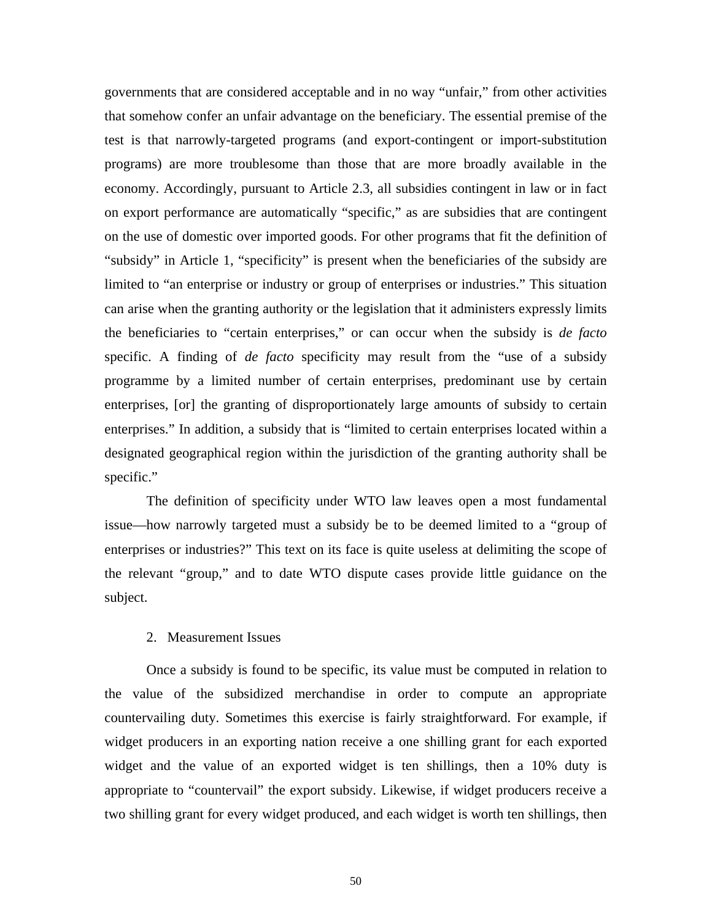governments that are considered acceptable and in no way "unfair," from other activities that somehow confer an unfair advantage on the beneficiary. The essential premise of the test is that narrowly-targeted programs (and export-contingent or import-substitution programs) are more troublesome than those that are more broadly available in the economy. Accordingly, pursuant to Article 2.3, all subsidies contingent in law or in fact on export performance are automatically "specific," as are subsidies that are contingent on the use of domestic over imported goods. For other programs that fit the definition of "subsidy" in Article 1, "specificity" is present when the beneficiaries of the subsidy are limited to "an enterprise or industry or group of enterprises or industries." This situation can arise when the granting authority or the legislation that it administers expressly limits the beneficiaries to "certain enterprises," or can occur when the subsidy is *de facto* specific. A finding of *de facto* specificity may result from the "use of a subsidy programme by a limited number of certain enterprises, predominant use by certain enterprises, [or] the granting of disproportionately large amounts of subsidy to certain enterprises." In addition, a subsidy that is "limited to certain enterprises located within a designated geographical region within the jurisdiction of the granting authority shall be specific."

The definition of specificity under WTO law leaves open a most fundamental issue—how narrowly targeted must a subsidy be to be deemed limited to a "group of enterprises or industries?" This text on its face is quite useless at delimiting the scope of the relevant "group," and to date WTO dispute cases provide little guidance on the subject.

#### 2. Measurement Issues

Once a subsidy is found to be specific, its value must be computed in relation to the value of the subsidized merchandise in order to compute an appropriate countervailing duty. Sometimes this exercise is fairly straightforward. For example, if widget producers in an exporting nation receive a one shilling grant for each exported widget and the value of an exported widget is ten shillings, then a 10% duty is appropriate to "countervail" the export subsidy. Likewise, if widget producers receive a two shilling grant for every widget produced, and each widget is worth ten shillings, then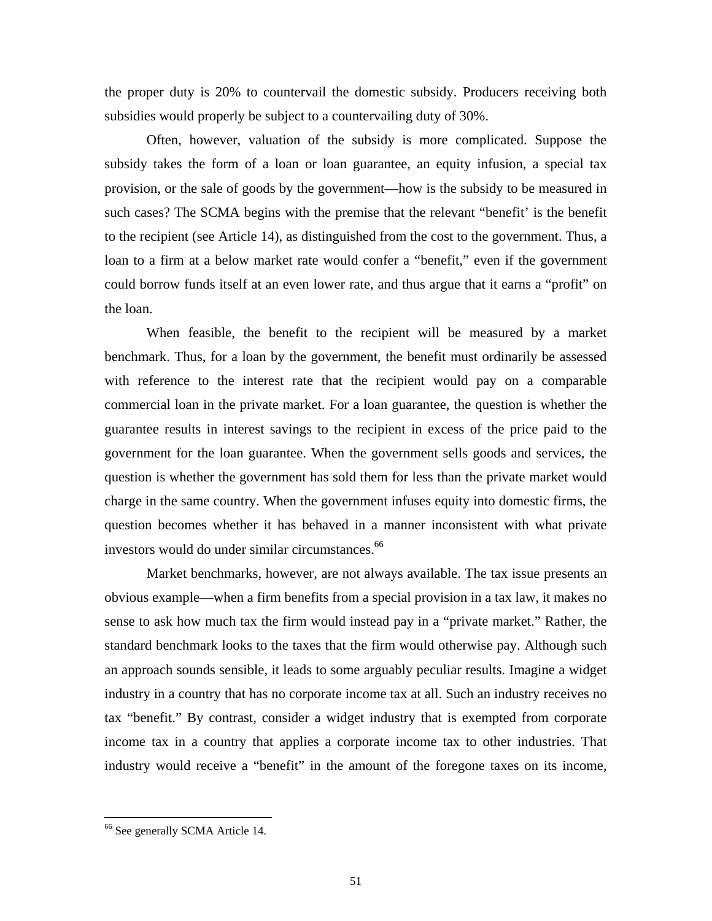the proper duty is 20% to countervail the domestic subsidy. Producers receiving both subsidies would properly be subject to a countervailing duty of 30%.

Often, however, valuation of the subsidy is more complicated. Suppose the subsidy takes the form of a loan or loan guarantee, an equity infusion, a special tax provision, or the sale of goods by the government—how is the subsidy to be measured in such cases? The SCMA begins with the premise that the relevant "benefit' is the benefit to the recipient (see Article 14), as distinguished from the cost to the government. Thus, a loan to a firm at a below market rate would confer a "benefit," even if the government could borrow funds itself at an even lower rate, and thus argue that it earns a "profit" on the loan.

When feasible, the benefit to the recipient will be measured by a market benchmark. Thus, for a loan by the government, the benefit must ordinarily be assessed with reference to the interest rate that the recipient would pay on a comparable commercial loan in the private market. For a loan guarantee, the question is whether the guarantee results in interest savings to the recipient in excess of the price paid to the government for the loan guarantee. When the government sells goods and services, the question is whether the government has sold them for less than the private market would charge in the same country. When the government infuses equity into domestic firms, the question becomes whether it has behaved in a manner inconsistent with what private investors would do under similar circumstances.<sup>66</sup>

Market benchmarks, however, are not always available. The tax issue presents an obvious example—when a firm benefits from a special provision in a tax law, it makes no sense to ask how much tax the firm would instead pay in a "private market." Rather, the standard benchmark looks to the taxes that the firm would otherwise pay. Although such an approach sounds sensible, it leads to some arguably peculiar results. Imagine a widget industry in a country that has no corporate income tax at all. Such an industry receives no tax "benefit." By contrast, consider a widget industry that is exempted from corporate income tax in a country that applies a corporate income tax to other industries. That industry would receive a "benefit" in the amount of the foregone taxes on its income,

<sup>66</sup> See generally SCMA Article 14.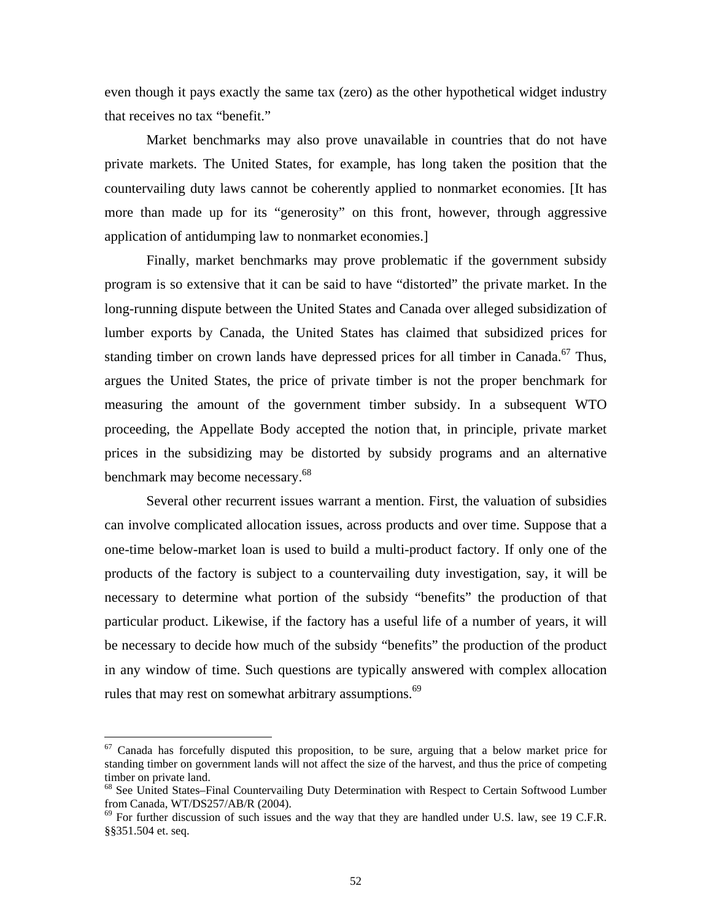even though it pays exactly the same tax (zero) as the other hypothetical widget industry that receives no tax "benefit."

Market benchmarks may also prove unavailable in countries that do not have private markets. The United States, for example, has long taken the position that the countervailing duty laws cannot be coherently applied to nonmarket economies. [It has more than made up for its "generosity" on this front, however, through aggressive application of antidumping law to nonmarket economies.]

Finally, market benchmarks may prove problematic if the government subsidy program is so extensive that it can be said to have "distorted" the private market. In the long-running dispute between the United States and Canada over alleged subsidization of lumber exports by Canada, the United States has claimed that subsidized prices for standing timber on crown lands have depressed prices for all timber in Canada. $^{67}$  Thus, argues the United States, the price of private timber is not the proper benchmark for measuring the amount of the government timber subsidy. In a subsequent WTO proceeding, the Appellate Body accepted the notion that, in principle, private market prices in the subsidizing may be distorted by subsidy programs and an alternative benchmark may become necessary.<sup>68</sup>

Several other recurrent issues warrant a mention. First, the valuation of subsidies can involve complicated allocation issues, across products and over time. Suppose that a one-time below-market loan is used to build a multi-product factory. If only one of the products of the factory is subject to a countervailing duty investigation, say, it will be necessary to determine what portion of the subsidy "benefits" the production of that particular product. Likewise, if the factory has a useful life of a number of years, it will be necessary to decide how much of the subsidy "benefits" the production of the product in any window of time. Such questions are typically answered with complex allocation rules that may rest on somewhat arbitrary assumptions.<sup>69</sup>

 $67$  Canada has forcefully disputed this proposition, to be sure, arguing that a below market price for standing timber on government lands will not affect the size of the harvest, and thus the price of competing timber on private land.

<sup>&</sup>lt;sup>68</sup> See United States–Final Countervailing Duty Determination with Respect to Certain Softwood Lumber from Canada, WT/DS257/AB/R (2004).

 $69$  For further discussion of such issues and the way that they are handled under U.S. law, see 19 C.F.R. §§351.504 et. seq.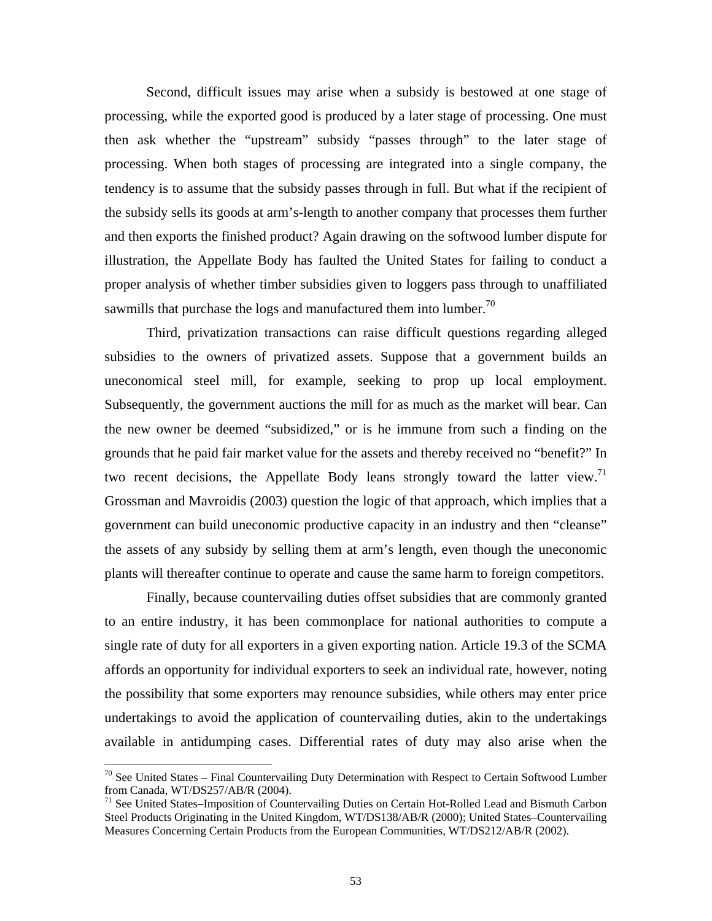Second, difficult issues may arise when a subsidy is bestowed at one stage of processing, while the exported good is produced by a later stage of processing. One must then ask whether the "upstream" subsidy "passes through" to the later stage of processing. When both stages of processing are integrated into a single company, the tendency is to assume that the subsidy passes through in full. But what if the recipient of the subsidy sells its goods at arm's-length to another company that processes them further and then exports the finished product? Again drawing on the softwood lumber dispute for illustration, the Appellate Body has faulted the United States for failing to conduct a proper analysis of whether timber subsidies given to loggers pass through to unaffiliated sawmills that purchase the logs and manufactured them into lumber.<sup>70</sup>

Third, privatization transactions can raise difficult questions regarding alleged subsidies to the owners of privatized assets. Suppose that a government builds an uneconomical steel mill, for example, seeking to prop up local employment. Subsequently, the government auctions the mill for as much as the market will bear. Can the new owner be deemed "subsidized," or is he immune from such a finding on the grounds that he paid fair market value for the assets and thereby received no "benefit?" In two recent decisions, the Appellate Body leans strongly toward the latter view.<sup>71</sup> Grossman and Mavroidis (2003) question the logic of that approach, which implies that a government can build uneconomic productive capacity in an industry and then "cleanse" the assets of any subsidy by selling them at arm's length, even though the uneconomic plants will thereafter continue to operate and cause the same harm to foreign competitors.

Finally, because countervailing duties offset subsidies that are commonly granted to an entire industry, it has been commonplace for national authorities to compute a single rate of duty for all exporters in a given exporting nation. Article 19.3 of the SCMA affords an opportunity for individual exporters to seek an individual rate, however, noting the possibility that some exporters may renounce subsidies, while others may enter price undertakings to avoid the application of countervailing duties, akin to the undertakings available in antidumping cases. Differential rates of duty may also arise when the

1

 $70$  See United States – Final Countervailing Duty Determination with Respect to Certain Softwood Lumber from Canada, WT/DS257/AB/R (2004).

<sup>71</sup> See United States–Imposition of Countervailing Duties on Certain Hot-Rolled Lead and Bismuth Carbon Steel Products Originating in the United Kingdom, WT/DS138/AB/R (2000); United States–Countervailing Measures Concerning Certain Products from the European Communities, WT/DS212/AB/R (2002).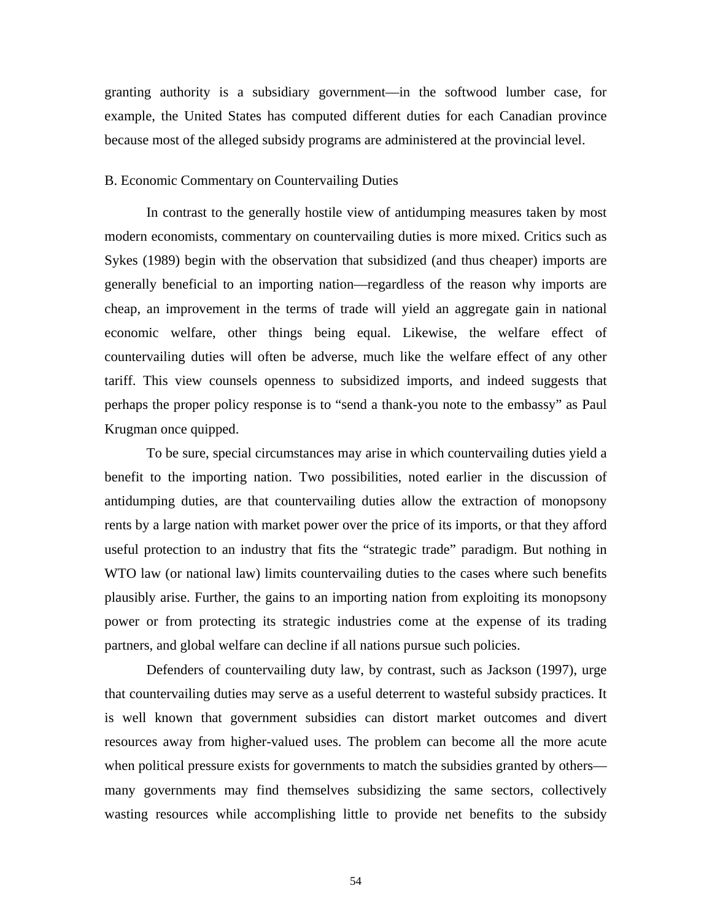granting authority is a subsidiary government—in the softwood lumber case, for example, the United States has computed different duties for each Canadian province because most of the alleged subsidy programs are administered at the provincial level.

#### B. Economic Commentary on Countervailing Duties

 In contrast to the generally hostile view of antidumping measures taken by most modern economists, commentary on countervailing duties is more mixed. Critics such as Sykes (1989) begin with the observation that subsidized (and thus cheaper) imports are generally beneficial to an importing nation—regardless of the reason why imports are cheap, an improvement in the terms of trade will yield an aggregate gain in national economic welfare, other things being equal. Likewise, the welfare effect of countervailing duties will often be adverse, much like the welfare effect of any other tariff. This view counsels openness to subsidized imports, and indeed suggests that perhaps the proper policy response is to "send a thank-you note to the embassy" as Paul Krugman once quipped.

 To be sure, special circumstances may arise in which countervailing duties yield a benefit to the importing nation. Two possibilities, noted earlier in the discussion of antidumping duties, are that countervailing duties allow the extraction of monopsony rents by a large nation with market power over the price of its imports, or that they afford useful protection to an industry that fits the "strategic trade" paradigm. But nothing in WTO law (or national law) limits countervailing duties to the cases where such benefits plausibly arise. Further, the gains to an importing nation from exploiting its monopsony power or from protecting its strategic industries come at the expense of its trading partners, and global welfare can decline if all nations pursue such policies.

 Defenders of countervailing duty law, by contrast, such as Jackson (1997), urge that countervailing duties may serve as a useful deterrent to wasteful subsidy practices. It is well known that government subsidies can distort market outcomes and divert resources away from higher-valued uses. The problem can become all the more acute when political pressure exists for governments to match the subsidies granted by others many governments may find themselves subsidizing the same sectors, collectively wasting resources while accomplishing little to provide net benefits to the subsidy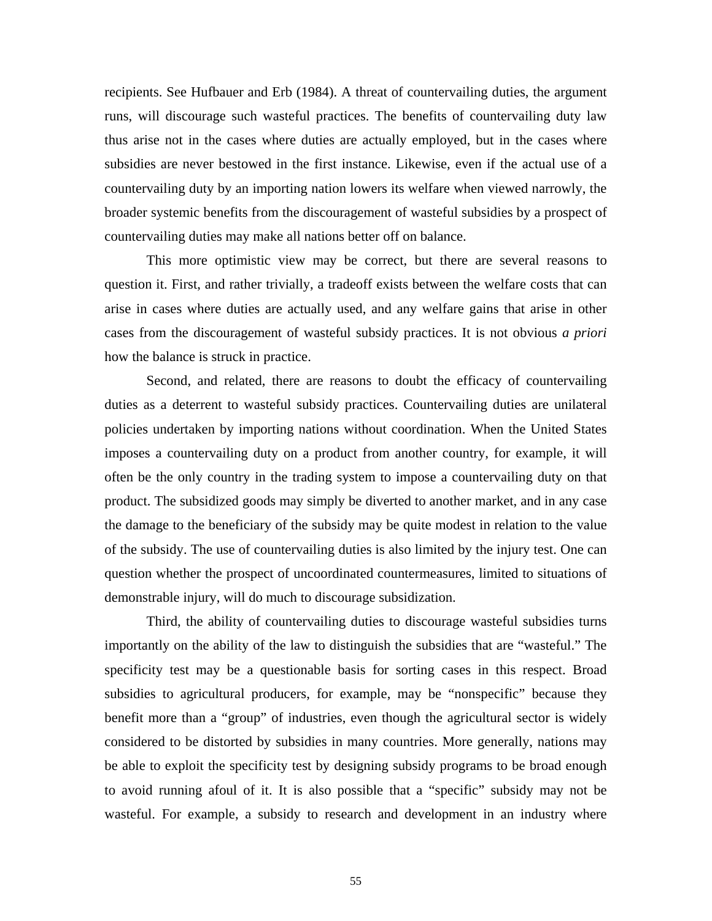recipients. See Hufbauer and Erb (1984). A threat of countervailing duties, the argument runs, will discourage such wasteful practices. The benefits of countervailing duty law thus arise not in the cases where duties are actually employed, but in the cases where subsidies are never bestowed in the first instance. Likewise, even if the actual use of a countervailing duty by an importing nation lowers its welfare when viewed narrowly, the broader systemic benefits from the discouragement of wasteful subsidies by a prospect of countervailing duties may make all nations better off on balance.

 This more optimistic view may be correct, but there are several reasons to question it. First, and rather trivially, a tradeoff exists between the welfare costs that can arise in cases where duties are actually used, and any welfare gains that arise in other cases from the discouragement of wasteful subsidy practices. It is not obvious *a priori* how the balance is struck in practice.

 Second, and related, there are reasons to doubt the efficacy of countervailing duties as a deterrent to wasteful subsidy practices. Countervailing duties are unilateral policies undertaken by importing nations without coordination. When the United States imposes a countervailing duty on a product from another country, for example, it will often be the only country in the trading system to impose a countervailing duty on that product. The subsidized goods may simply be diverted to another market, and in any case the damage to the beneficiary of the subsidy may be quite modest in relation to the value of the subsidy. The use of countervailing duties is also limited by the injury test. One can question whether the prospect of uncoordinated countermeasures, limited to situations of demonstrable injury, will do much to discourage subsidization.

 Third, the ability of countervailing duties to discourage wasteful subsidies turns importantly on the ability of the law to distinguish the subsidies that are "wasteful." The specificity test may be a questionable basis for sorting cases in this respect. Broad subsidies to agricultural producers, for example, may be "nonspecific" because they benefit more than a "group" of industries, even though the agricultural sector is widely considered to be distorted by subsidies in many countries. More generally, nations may be able to exploit the specificity test by designing subsidy programs to be broad enough to avoid running afoul of it. It is also possible that a "specific" subsidy may not be wasteful. For example, a subsidy to research and development in an industry where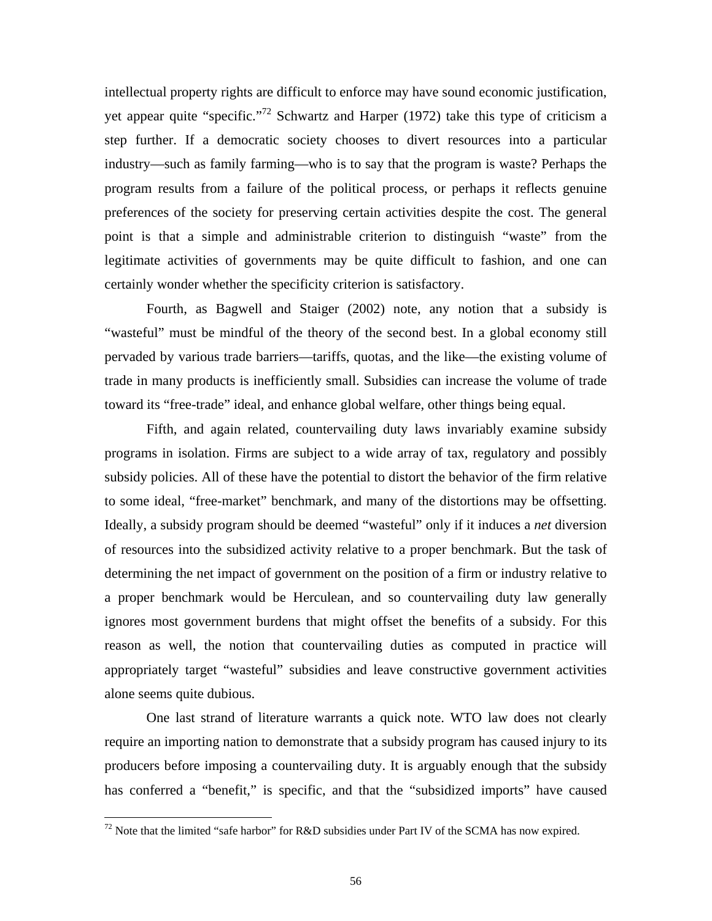intellectual property rights are difficult to enforce may have sound economic justification, yet appear quite "specific."<sup>72</sup> Schwartz and Harper (1972) take this type of criticism a step further. If a democratic society chooses to divert resources into a particular industry—such as family farming—who is to say that the program is waste? Perhaps the program results from a failure of the political process, or perhaps it reflects genuine preferences of the society for preserving certain activities despite the cost. The general point is that a simple and administrable criterion to distinguish "waste" from the legitimate activities of governments may be quite difficult to fashion, and one can certainly wonder whether the specificity criterion is satisfactory.

 Fourth, as Bagwell and Staiger (2002) note, any notion that a subsidy is "wasteful" must be mindful of the theory of the second best. In a global economy still pervaded by various trade barriers—tariffs, quotas, and the like—the existing volume of trade in many products is inefficiently small. Subsidies can increase the volume of trade toward its "free-trade" ideal, and enhance global welfare, other things being equal.

 Fifth, and again related, countervailing duty laws invariably examine subsidy programs in isolation. Firms are subject to a wide array of tax, regulatory and possibly subsidy policies. All of these have the potential to distort the behavior of the firm relative to some ideal, "free-market" benchmark, and many of the distortions may be offsetting. Ideally, a subsidy program should be deemed "wasteful" only if it induces a *net* diversion of resources into the subsidized activity relative to a proper benchmark. But the task of determining the net impact of government on the position of a firm or industry relative to a proper benchmark would be Herculean, and so countervailing duty law generally ignores most government burdens that might offset the benefits of a subsidy. For this reason as well, the notion that countervailing duties as computed in practice will appropriately target "wasteful" subsidies and leave constructive government activities alone seems quite dubious.

 One last strand of literature warrants a quick note. WTO law does not clearly require an importing nation to demonstrate that a subsidy program has caused injury to its producers before imposing a countervailing duty. It is arguably enough that the subsidy has conferred a "benefit," is specific, and that the "subsidized imports" have caused

<sup>&</sup>lt;sup>72</sup> Note that the limited "safe harbor" for R&D subsidies under Part IV of the SCMA has now expired.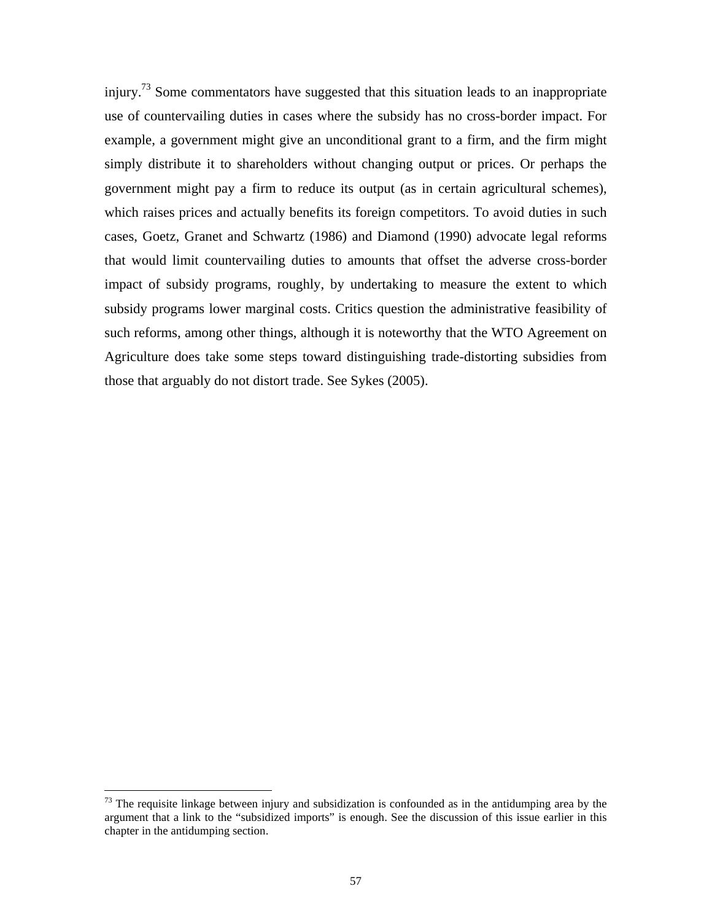injury.<sup>73</sup> Some commentators have suggested that this situation leads to an inappropriate use of countervailing duties in cases where the subsidy has no cross-border impact. For example, a government might give an unconditional grant to a firm, and the firm might simply distribute it to shareholders without changing output or prices. Or perhaps the government might pay a firm to reduce its output (as in certain agricultural schemes), which raises prices and actually benefits its foreign competitors. To avoid duties in such cases, Goetz, Granet and Schwartz (1986) and Diamond (1990) advocate legal reforms that would limit countervailing duties to amounts that offset the adverse cross-border impact of subsidy programs, roughly, by undertaking to measure the extent to which subsidy programs lower marginal costs. Critics question the administrative feasibility of such reforms, among other things, although it is noteworthy that the WTO Agreement on Agriculture does take some steps toward distinguishing trade-distorting subsidies from those that arguably do not distort trade. See Sykes (2005).

<u>.</u>

 $73$  The requisite linkage between injury and subsidization is confounded as in the antidumping area by the argument that a link to the "subsidized imports" is enough. See the discussion of this issue earlier in this chapter in the antidumping section.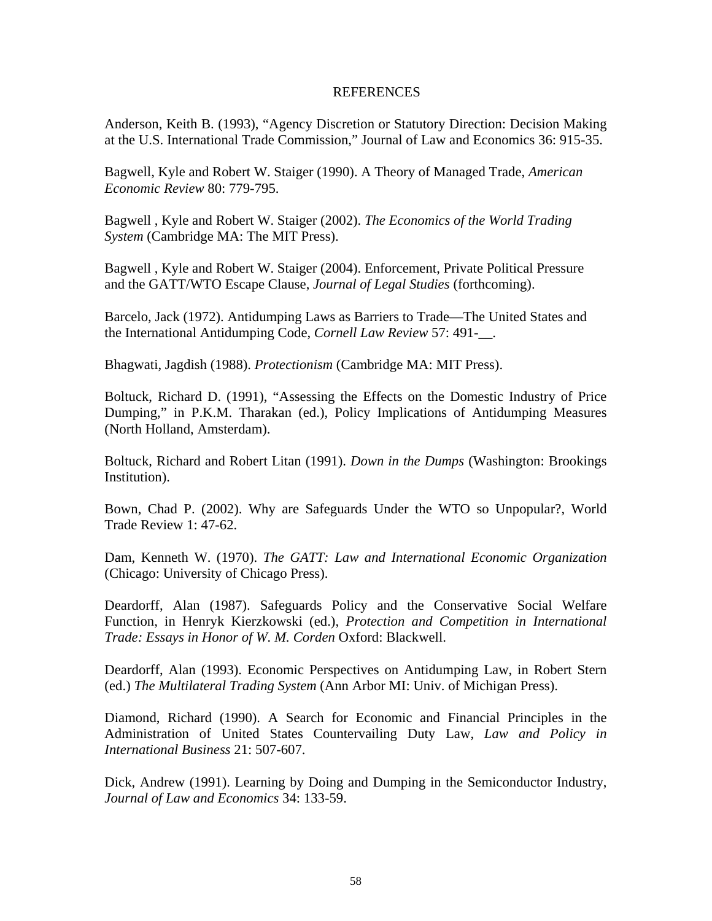#### REFERENCES

Anderson, Keith B. (1993), "Agency Discretion or Statutory Direction: Decision Making at the U.S. International Trade Commission," Journal of Law and Economics 36: 915-35.

Bagwell, Kyle and Robert W. Staiger (1990). A Theory of Managed Trade, *American Economic Review* 80: 779-795.

Bagwell , Kyle and Robert W. Staiger (2002). *The Economics of the World Trading System* (Cambridge MA: The MIT Press).

Bagwell , Kyle and Robert W. Staiger (2004). Enforcement, Private Political Pressure and the GATT/WTO Escape Clause, *Journal of Legal Studies* (forthcoming).

Barcelo, Jack (1972). Antidumping Laws as Barriers to Trade—The United States and the International Antidumping Code, *Cornell Law Review* 57: 491-\_\_.

Bhagwati, Jagdish (1988). *Protectionism* (Cambridge MA: MIT Press).

Boltuck, Richard D. (1991), "Assessing the Effects on the Domestic Industry of Price Dumping," in P.K.M. Tharakan (ed.), Policy Implications of Antidumping Measures (North Holland, Amsterdam).

Boltuck, Richard and Robert Litan (1991). *Down in the Dumps* (Washington: Brookings Institution).

Bown, Chad P. (2002). Why are Safeguards Under the WTO so Unpopular?, World Trade Review 1: 47-62.

Dam, Kenneth W. (1970). *The GATT: Law and International Economic Organization* (Chicago: University of Chicago Press).

Deardorff, Alan (1987). Safeguards Policy and the Conservative Social Welfare Function, in Henryk Kierzkowski (ed.), *Protection and Competition in International Trade: Essays in Honor of W. M. Corden* Oxford: Blackwell.

Deardorff, Alan (1993). Economic Perspectives on Antidumping Law, in Robert Stern (ed.) *The Multilateral Trading System* (Ann Arbor MI: Univ. of Michigan Press).

Diamond, Richard (1990). A Search for Economic and Financial Principles in the Administration of United States Countervailing Duty Law, *Law and Policy in International Business* 21: 507-607.

Dick, Andrew (1991). Learning by Doing and Dumping in the Semiconductor Industry, *Journal of Law and Economics* 34: 133-59.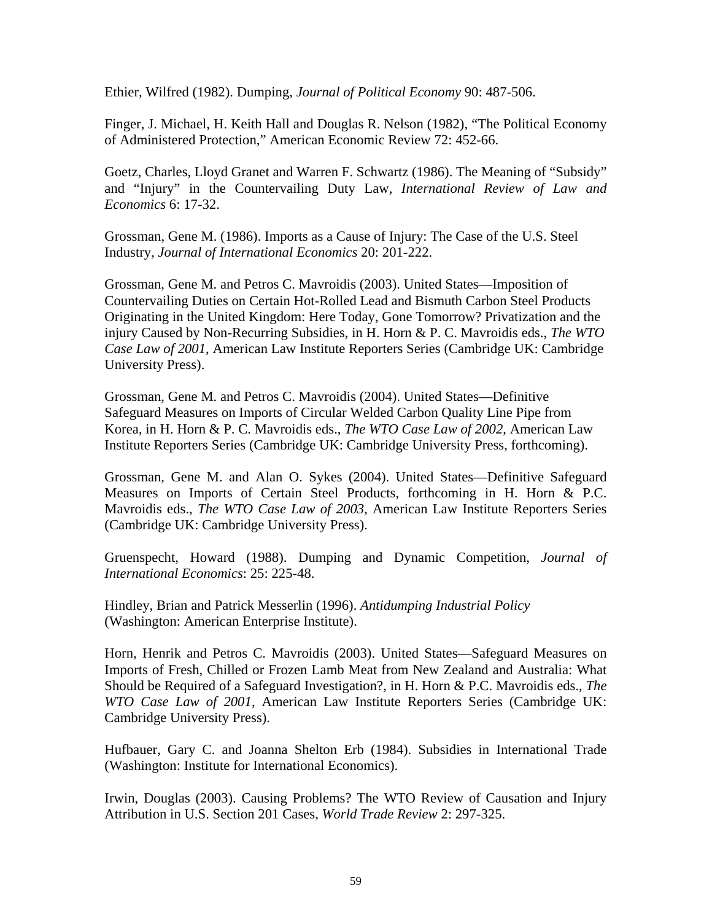Ethier, Wilfred (1982). Dumping, *Journal of Political Economy* 90: 487-506.

Finger, J. Michael, H. Keith Hall and Douglas R. Nelson (1982), "The Political Economy of Administered Protection," American Economic Review 72: 452-66.

Goetz, Charles, Lloyd Granet and Warren F. Schwartz (1986). The Meaning of "Subsidy" and "Injury" in the Countervailing Duty Law, *International Review of Law and Economics* 6: 17-32.

Grossman, Gene M. (1986). Imports as a Cause of Injury: The Case of the U.S. Steel Industry, *Journal of International Economics* 20: 201-222.

Grossman, Gene M. and Petros C. Mavroidis (2003). United States—Imposition of Countervailing Duties on Certain Hot-Rolled Lead and Bismuth Carbon Steel Products Originating in the United Kingdom: Here Today, Gone Tomorrow? Privatization and the injury Caused by Non-Recurring Subsidies, in H. Horn & P. C. Mavroidis eds., *The WTO Case Law of 2001*, American Law Institute Reporters Series (Cambridge UK: Cambridge University Press).

Grossman, Gene M. and Petros C. Mavroidis (2004). United States—Definitive Safeguard Measures on Imports of Circular Welded Carbon Quality Line Pipe from Korea, in H. Horn & P. C. Mavroidis eds., *The WTO Case Law of 2002*, American Law Institute Reporters Series (Cambridge UK: Cambridge University Press, forthcoming).

Grossman, Gene M. and Alan O. Sykes (2004). United States—Definitive Safeguard Measures on Imports of Certain Steel Products, forthcoming in H. Horn & P.C. Mavroidis eds., *The WTO Case Law of 2003*, American Law Institute Reporters Series (Cambridge UK: Cambridge University Press).

Gruenspecht, Howard (1988). Dumping and Dynamic Competition, *Journal of International Economics*: 25: 225-48.

Hindley, Brian and Patrick Messerlin (1996). *Antidumping Industrial Policy* (Washington: American Enterprise Institute).

Horn, Henrik and Petros C. Mavroidis (2003). United States—Safeguard Measures on Imports of Fresh, Chilled or Frozen Lamb Meat from New Zealand and Australia: What Should be Required of a Safeguard Investigation?, in H. Horn & P.C. Mavroidis eds., *The WTO Case Law of 2001*, American Law Institute Reporters Series (Cambridge UK: Cambridge University Press).

Hufbauer, Gary C. and Joanna Shelton Erb (1984). Subsidies in International Trade (Washington: Institute for International Economics).

Irwin, Douglas (2003). Causing Problems? The WTO Review of Causation and Injury Attribution in U.S. Section 201 Cases, *World Trade Review* 2: 297-325.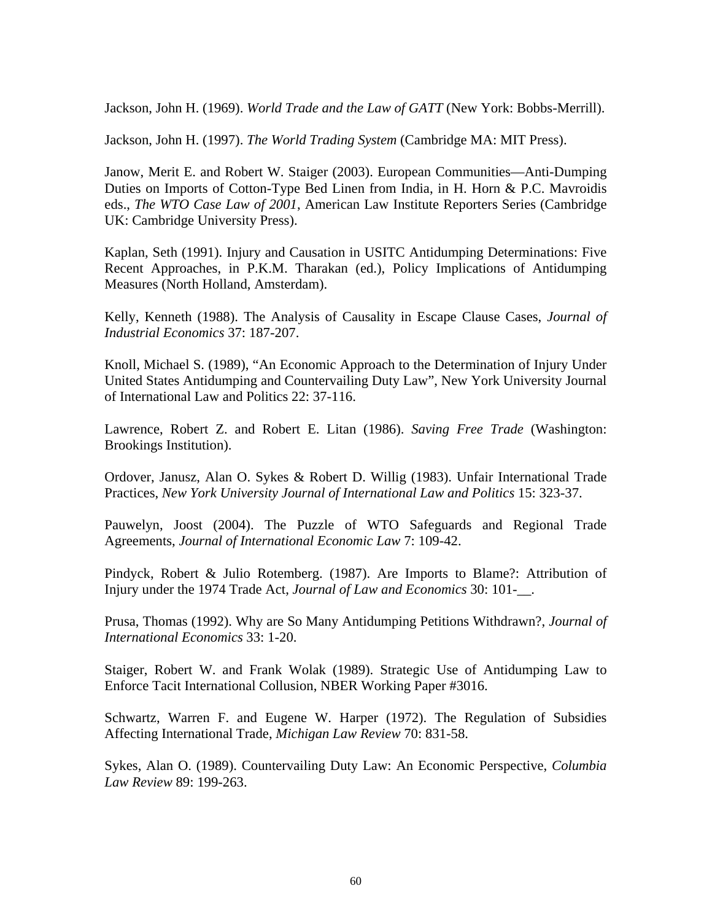Jackson, John H. (1969). *World Trade and the Law of GATT* (New York: Bobbs-Merrill).

Jackson, John H. (1997). *The World Trading System* (Cambridge MA: MIT Press).

Janow, Merit E. and Robert W. Staiger (2003). European Communities—Anti-Dumping Duties on Imports of Cotton-Type Bed Linen from India, in H. Horn & P.C. Mavroidis eds., *The WTO Case Law of 2001*, American Law Institute Reporters Series (Cambridge UK: Cambridge University Press).

Kaplan, Seth (1991). Injury and Causation in USITC Antidumping Determinations: Five Recent Approaches, in P.K.M. Tharakan (ed.), Policy Implications of Antidumping Measures (North Holland, Amsterdam).

Kelly, Kenneth (1988). The Analysis of Causality in Escape Clause Cases, *Journal of Industrial Economics* 37: 187-207.

Knoll, Michael S. (1989), "An Economic Approach to the Determination of Injury Under United States Antidumping and Countervailing Duty Law", New York University Journal of International Law and Politics 22: 37-116.

Lawrence, Robert Z. and Robert E. Litan (1986). *Saving Free Trade* (Washington: Brookings Institution).

Ordover, Janusz, Alan O. Sykes & Robert D. Willig (1983). Unfair International Trade Practices, *New York University Journal of International Law and Politics* 15: 323-37.

Pauwelyn, Joost (2004). The Puzzle of WTO Safeguards and Regional Trade Agreements, *Journal of International Economic Law* 7: 109-42.

Pindyck, Robert & Julio Rotemberg. (1987). Are Imports to Blame?: Attribution of Injury under the 1974 Trade Act, *Journal of Law and Economics* 30: 101-\_\_.

Prusa, Thomas (1992). Why are So Many Antidumping Petitions Withdrawn?, *Journal of International Economics* 33: 1-20.

Staiger, Robert W. and Frank Wolak (1989). Strategic Use of Antidumping Law to Enforce Tacit International Collusion, NBER Working Paper #3016.

Schwartz, Warren F. and Eugene W. Harper (1972). The Regulation of Subsidies Affecting International Trade, *Michigan Law Review* 70: 831-58.

Sykes, Alan O. (1989). Countervailing Duty Law: An Economic Perspective, *Columbia Law Review* 89: 199-263.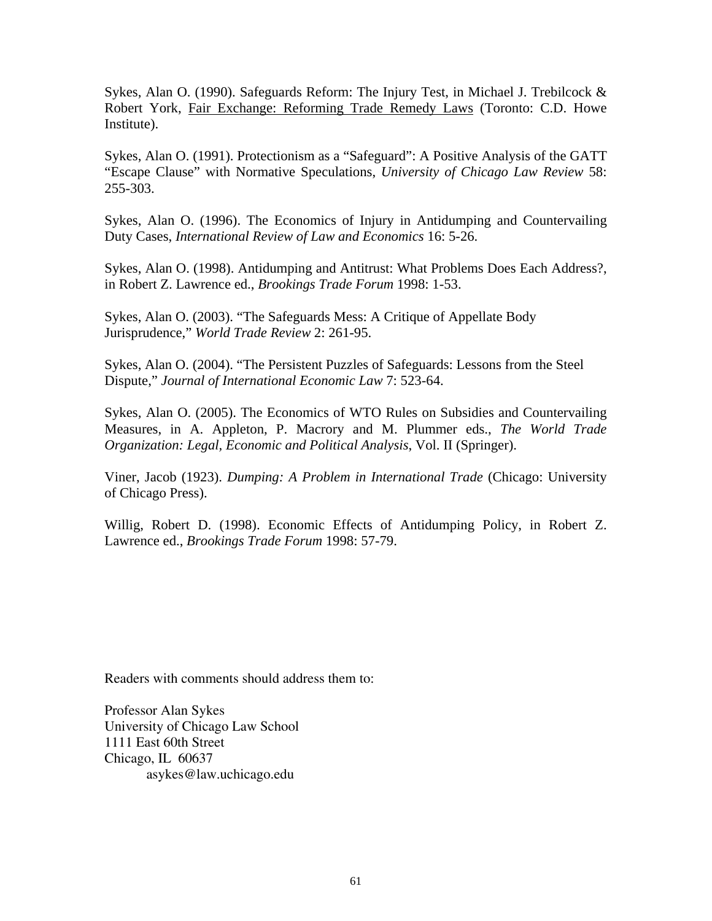Sykes, Alan O. (1990). Safeguards Reform: The Injury Test, in Michael J. Trebilcock  $\&$ Robert York, Fair Exchange: Reforming Trade Remedy Laws (Toronto: C.D. Howe Institute).

Sykes, Alan O. (1991). Protectionism as a "Safeguard": A Positive Analysis of the GATT "Escape Clause" with Normative Speculations, *University of Chicago Law Review* 58: 255-303.

Sykes, Alan O. (1996). The Economics of Injury in Antidumping and Countervailing Duty Cases, *International Review of Law and Economics* 16: 5-26.

Sykes, Alan O. (1998). Antidumping and Antitrust: What Problems Does Each Address?, in Robert Z. Lawrence ed., *Brookings Trade Forum* 1998: 1-53.

Sykes, Alan O. (2003). "The Safeguards Mess: A Critique of Appellate Body Jurisprudence," *World Trade Review* 2: 261-95.

Sykes, Alan O. (2004). "The Persistent Puzzles of Safeguards: Lessons from the Steel Dispute," *Journal of International Economic Law* 7: 523-64.

Sykes, Alan O. (2005). The Economics of WTO Rules on Subsidies and Countervailing Measures, in A. Appleton, P. Macrory and M. Plummer eds., *The World Trade Organization: Legal, Economic and Political Analysis*, Vol. II (Springer).

Viner, Jacob (1923). *Dumping: A Problem in International Trade* (Chicago: University of Chicago Press).

Willig, Robert D. (1998). Economic Effects of Antidumping Policy, in Robert Z. Lawrence ed., *Brookings Trade Forum* 1998: 57-79.

Readers with comments should address them to:

Professor Alan Sykes University of Chicago Law School 1111 East 60th Street Chicago, IL 60637 asykes@law.uchicago.edu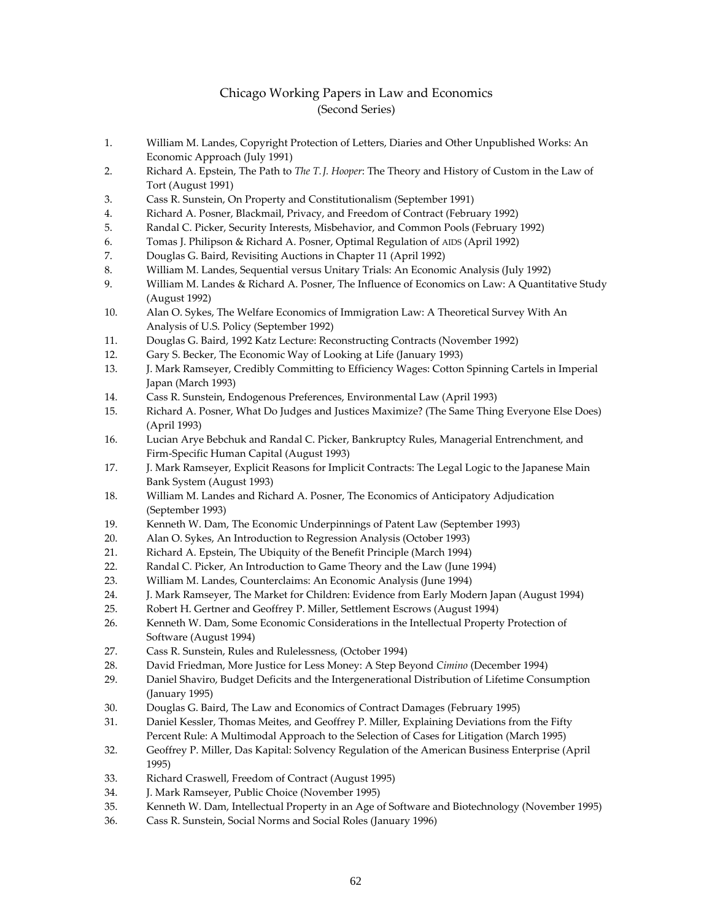#### Chicago Working Papers in Law and Economics (Second Series)

- 1. William M. Landes, Copyright Protection of Letters, Diaries and Other Unpublished Works: An Economic Approach (July 1991)
- 2. Richard A. Epstein, The Path to *The T.J. Hooper*: The Theory and History of Custom in the Law of Tort (August 1991)
- 3. Cass R. Sunstein, On Property and Constitutionalism (September 1991)
- 4. Richard A. Posner, Blackmail, Privacy, and Freedom of Contract (February 1992)
- 5. Randal C. Picker, Security Interests, Misbehavior, and Common Pools (February 1992)
- 6. Tomas J. Philipson & Richard A. Posner, Optimal Regulation of AIDS (April 1992)
- 7. Douglas G. Baird, Revisiting Auctions in Chapter 11 (April 1992)
- 8. William M. Landes, Sequential versus Unitary Trials: An Economic Analysis (July 1992)
- 9. William M. Landes & Richard A. Posner, The Influence of Economics on Law: A Quantitative Study (August 1992)
- 10. Alan O. Sykes, The Welfare Economics of Immigration Law: A Theoretical Survey With An Analysis of U.S. Policy (September 1992)
- 11. Douglas G. Baird, 1992 Katz Lecture: Reconstructing Contracts (November 1992)
- 12. Gary S. Becker, The Economic Way of Looking at Life (January 1993)
- 13. J. Mark Ramseyer, Credibly Committing to Efficiency Wages: Cotton Spinning Cartels in Imperial Japan (March 1993)
- 14. Cass R. Sunstein, Endogenous Preferences, Environmental Law (April 1993)
- 15. Richard A. Posner, What Do Judges and Justices Maximize? (The Same Thing Everyone Else Does) (April 1993)
- 16. Lucian Arye Bebchuk and Randal C. Picker, Bankruptcy Rules, Managerial Entrenchment, and Firm‐Specific Human Capital (August 1993)
- 17. J. Mark Ramseyer, Explicit Reasons for Implicit Contracts: The Legal Logic to the Japanese Main Bank System (August 1993)
- 18. William M. Landes and Richard A. Posner, The Economics of Anticipatory Adjudication (September 1993)
- 19. Kenneth W. Dam, The Economic Underpinnings of Patent Law (September 1993)
- 20. Alan O. Sykes, An Introduction to Regression Analysis (October 1993)
- 21. Richard A. Epstein, The Ubiquity of the Benefit Principle (March 1994)
- 22. Randal C. Picker, An Introduction to Game Theory and the Law (June 1994)
- 23. William M. Landes, Counterclaims: An Economic Analysis (June 1994)
- 24. J. Mark Ramseyer, The Market for Children: Evidence from Early Modern Japan (August 1994)
- 25. Robert H. Gertner and Geoffrey P. Miller, Settlement Escrows (August 1994)
- 26. Kenneth W. Dam, Some Economic Considerations in the Intellectual Property Protection of Software (August 1994)
- 27. Cass R. Sunstein, Rules and Rulelessness, (October 1994)
- 28. David Friedman, More Justice for Less Money: A Step Beyond *Cimino* (December 1994)
- 29. Daniel Shaviro, Budget Deficits and the Intergenerational Distribution of Lifetime Consumption (January 1995)
- 30. Douglas G. Baird, The Law and Economics of Contract Damages (February 1995)
- 31. Daniel Kessler, Thomas Meites, and Geoffrey P. Miller, Explaining Deviations from the Fifty Percent Rule: A Multimodal Approach to the Selection of Cases for Litigation (March 1995)
- 32. Geoffrey P. Miller, Das Kapital: Solvency Regulation of the American Business Enterprise (April 1995)
- 33. Richard Craswell, Freedom of Contract (August 1995)
- 34. J. Mark Ramseyer, Public Choice (November 1995)
- 35. Kenneth W. Dam, Intellectual Property in an Age of Software and Biotechnology (November 1995)
- 36. Cass R. Sunstein, Social Norms and Social Roles (January 1996)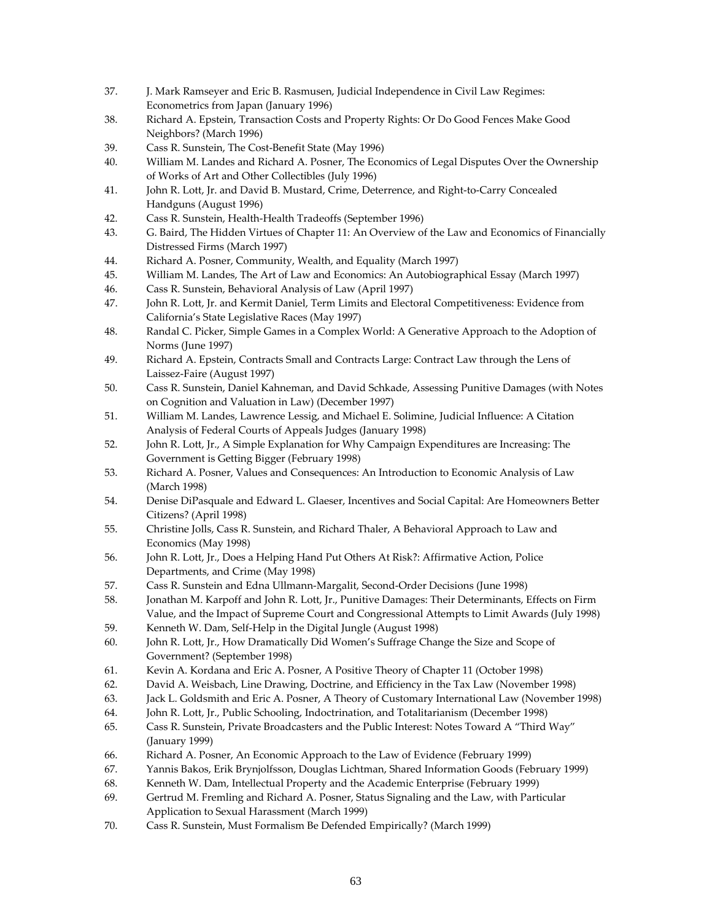- 37. J. Mark Ramseyer and Eric B. Rasmusen, Judicial Independence in Civil Law Regimes: Econometrics from Japan (January 1996)
- 38. Richard A. Epstein, Transaction Costs and Property Rights: Or Do Good Fences Make Good Neighbors? (March 1996)
- 39. Cass R. Sunstein, The Cost‐Benefit State (May 1996)
- 40. William M. Landes and Richard A. Posner, The Economics of Legal Disputes Over the Ownership of Works of Art and Other Collectibles (July 1996)
- 41. John R. Lott, Jr. and David B. Mustard, Crime, Deterrence, and Right-to-Carry Concealed Handguns (August 1996)
- 42. Cass R. Sunstein, Health‐Health Tradeoffs (September 1996)
- 43. G. Baird, The Hidden Virtues of Chapter 11: An Overview of the Law and Economics of Financially Distressed Firms (March 1997)
- 44. Richard A. Posner, Community, Wealth, and Equality (March 1997)
- 45. William M. Landes, The Art of Law and Economics: An Autobiographical Essay (March 1997)
- 46. Cass R. Sunstein, Behavioral Analysis of Law (April 1997)
- 47. John R. Lott, Jr. and Kermit Daniel, Term Limits and Electoral Competitiveness: Evidence from California's State Legislative Races (May 1997)
- 48. Randal C. Picker, Simple Games in a Complex World: A Generative Approach to the Adoption of Norms (June 1997)
- 49. Richard A. Epstein, Contracts Small and Contracts Large: Contract Law through the Lens of Laissez‐Faire (August 1997)
- 50. Cass R. Sunstein, Daniel Kahneman, and David Schkade, Assessing Punitive Damages (with Notes on Cognition and Valuation in Law) (December 1997)
- 51. William M. Landes, Lawrence Lessig, and Michael E. Solimine, Judicial Influence: A Citation Analysis of Federal Courts of Appeals Judges (January 1998)
- 52. John R. Lott, Jr., A Simple Explanation for Why Campaign Expenditures are Increasing: The Government is Getting Bigger (February 1998)
- 53. Richard A. Posner, Values and Consequences: An Introduction to Economic Analysis of Law (March 1998)
- 54. Denise DiPasquale and Edward L. Glaeser, Incentives and Social Capital: Are Homeowners Better Citizens? (April 1998)
- 55. Christine Jolls, Cass R. Sunstein, and Richard Thaler, A Behavioral Approach to Law and Economics (May 1998)
- 56. John R. Lott, Jr., Does a Helping Hand Put Others At Risk?: Affirmative Action, Police Departments, and Crime (May 1998)
- 57. Cass R. Sunstein and Edna Ullmann‐Margalit, Second‐Order Decisions (June 1998)
- 58. Jonathan M. Karpoff and John R. Lott, Jr., Punitive Damages: Their Determinants, Effects on Firm Value, and the Impact of Supreme Court and Congressional Attempts to Limit Awards (July 1998)
- 59. Kenneth W. Dam, Self-Help in the Digital Jungle (August 1998)
- 60. John R. Lott, Jr., How Dramatically Did Women's Suffrage Change the Size and Scope of Government? (September 1998)
- 61. Kevin A. Kordana and Eric A. Posner, A Positive Theory of Chapter 11 (October 1998)
- 62. David A. Weisbach, Line Drawing, Doctrine, and Efficiency in the Tax Law (November 1998)
- 63. Jack L. Goldsmith and Eric A. Posner, A Theory of Customary International Law (November 1998)
- 64. John R. Lott, Jr., Public Schooling, Indoctrination, and Totalitarianism (December 1998)
- 65. Cass R. Sunstein, Private Broadcasters and the Public Interest: Notes Toward A "Third Way" (January 1999)
- 66. Richard A. Posner, An Economic Approach to the Law of Evidence (February 1999)
- 67. Yannis Bakos, Erik Brynjolfsson, Douglas Lichtman, Shared Information Goods (February 1999)
- 68. Kenneth W. Dam, Intellectual Property and the Academic Enterprise (February 1999)
- 69. Gertrud M. Fremling and Richard A. Posner, Status Signaling and the Law, with Particular Application to Sexual Harassment (March 1999)
- 70. Cass R. Sunstein, Must Formalism Be Defended Empirically? (March 1999)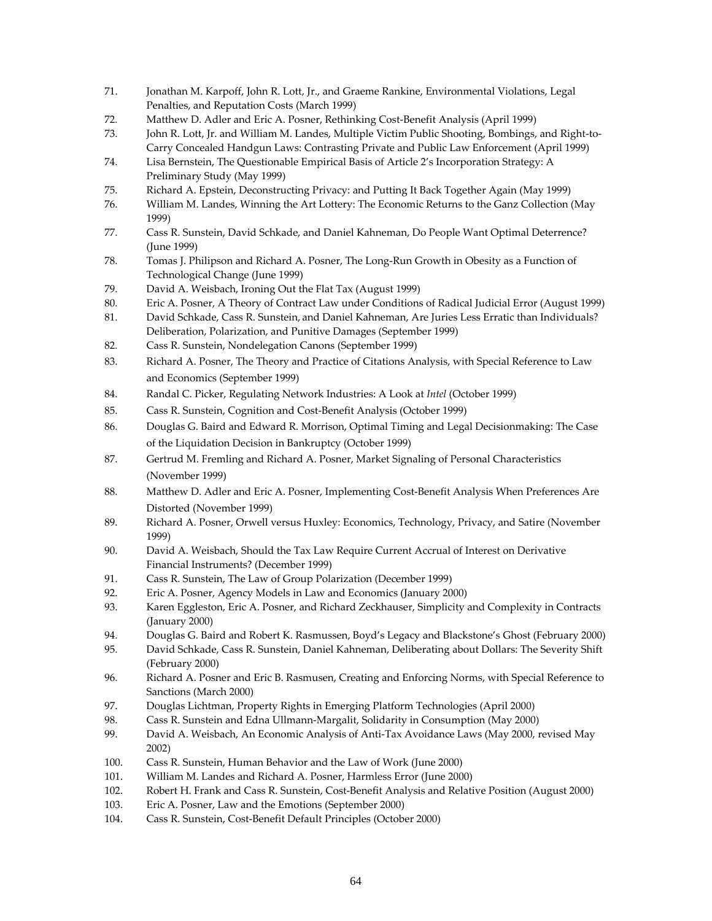- 71. Jonathan M. Karpoff, John R. Lott, Jr., and Graeme Rankine, Environmental Violations, Legal Penalties, and Reputation Costs (March 1999)
- 72. Matthew D. Adler and Eric A. Posner, Rethinking Cost‐Benefit Analysis (April 1999)
- 73. John R. Lott, Jr. and William M. Landes, Multiple Victim Public Shooting, Bombings, and Right-to-Carry Concealed Handgun Laws: Contrasting Private and Public Law Enforcement (April 1999)
- 74. Lisa Bernstein, The Questionable Empirical Basis of Article 2's Incorporation Strategy: A Preliminary Study (May 1999)
- 75. Richard A. Epstein, Deconstructing Privacy: and Putting It Back Together Again (May 1999)
- 76. William M. Landes, Winning the Art Lottery: The Economic Returns to the Ganz Collection (May 1999)
- 77. Cass R. Sunstein, David Schkade, and Daniel Kahneman, Do People Want Optimal Deterrence? (June 1999)
- 78. Tomas J. Philipson and Richard A. Posner, The Long‐Run Growth in Obesity as a Function of Technological Change (June 1999)
- 79. David A. Weisbach, Ironing Out the Flat Tax (August 1999)
- 80. Eric A. Posner, A Theory of Contract Law under Conditions of Radical Judicial Error (August 1999)
- 81. David Schkade, Cass R. Sunstein, and Daniel Kahneman, Are Juries Less Erratic than Individuals? Deliberation, Polarization, and Punitive Damages (September 1999)
- 82. Cass R. Sunstein, Nondelegation Canons (September 1999)
- 83. Richard A. Posner, The Theory and Practice of Citations Analysis, with Special Reference to Law and Economics (September 1999)
- 84. Randal C. Picker, Regulating Network Industries: A Look at *Intel* (October 1999)
- 85. Cass R. Sunstein, Cognition and Cost‐Benefit Analysis (October 1999)
- 86. Douglas G. Baird and Edward R. Morrison, Optimal Timing and Legal Decisionmaking: The Case of the Liquidation Decision in Bankruptcy (October 1999)
- 87. Gertrud M. Fremling and Richard A. Posner, Market Signaling of Personal Characteristics (November 1999)
- 88. Matthew D. Adler and Eric A. Posner, Implementing Cost-Benefit Analysis When Preferences Are Distorted (November 1999)
- 89. Richard A. Posner, Orwell versus Huxley: Economics, Technology, Privacy, and Satire (November 1999)
- 90. David A. Weisbach, Should the Tax Law Require Current Accrual of Interest on Derivative Financial Instruments? (December 1999)
- 91. Cass R. Sunstein, The Law of Group Polarization (December 1999)
- 92. Eric A. Posner, Agency Models in Law and Economics (January 2000)
- 93. Karen Eggleston, Eric A. Posner, and Richard Zeckhauser, Simplicity and Complexity in Contracts (January 2000)
- 94. Douglas G. Baird and Robert K. Rasmussen, Boyd's Legacy and Blackstone's Ghost (February 2000)
- 95. David Schkade, Cass R. Sunstein, Daniel Kahneman, Deliberating about Dollars: The Severity Shift (February 2000)
- 96. Richard A. Posner and Eric B. Rasmusen, Creating and Enforcing Norms, with Special Reference to Sanctions (March 2000)
- 97. Douglas Lichtman, Property Rights in Emerging Platform Technologies (April 2000)
- 98. Cass R. Sunstein and Edna Ullmann-Margalit, Solidarity in Consumption (May 2000)
- 99. David A. Weisbach, An Economic Analysis of Anti-Tax Avoidance Laws (May 2000, revised May 2002)
- 100. Cass R. Sunstein, Human Behavior and the Law of Work (June 2000)
- 101. William M. Landes and Richard A. Posner, Harmless Error (June 2000)
- 102. Robert H. Frank and Cass R. Sunstein, Cost-Benefit Analysis and Relative Position (August 2000)
- 103. Eric A. Posner, Law and the Emotions (September 2000)
- 104. Cass R. Sunstein, Cost-Benefit Default Principles (October 2000)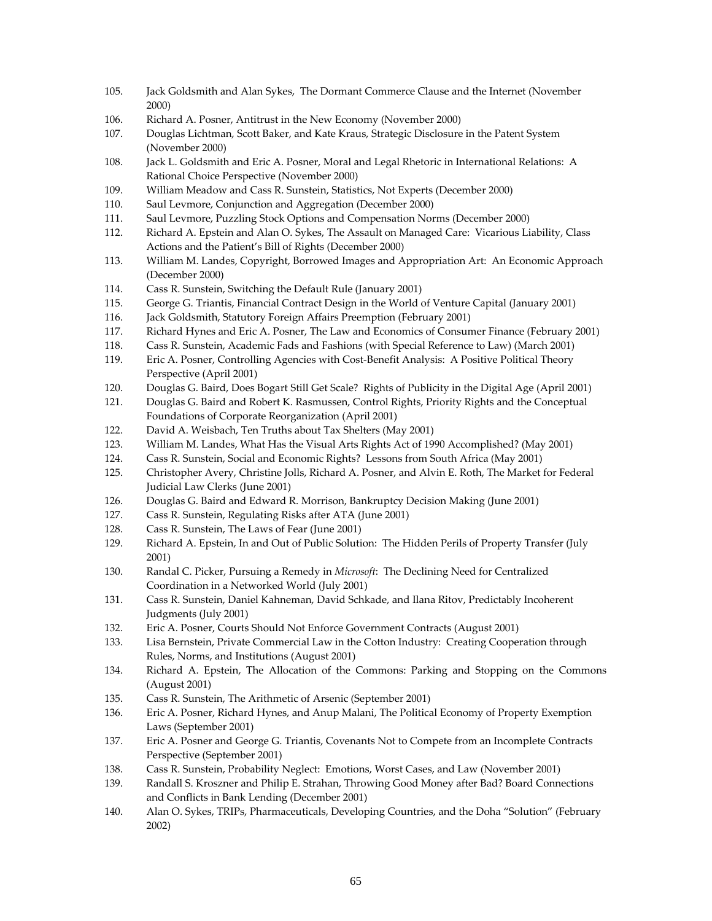- 105. Jack Goldsmith and Alan Sykes, The Dormant Commerce Clause and the Internet (November 2000)
- 106. Richard A. Posner, Antitrust in the New Economy (November 2000)
- 107. Douglas Lichtman, Scott Baker, and Kate Kraus, Strategic Disclosure in the Patent System (November 2000)
- 108. Jack L. Goldsmith and Eric A. Posner, Moral and Legal Rhetoric in International Relations: A Rational Choice Perspective (November 2000)
- 109. William Meadow and Cass R. Sunstein, Statistics, Not Experts (December 2000)
- 110. Saul Levmore, Conjunction and Aggregation (December 2000)
- 111. Saul Levmore, Puzzling Stock Options and Compensation Norms (December 2000)
- 112. Richard A. Epstein and Alan O. Sykes, The Assault on Managed Care: Vicarious Liability, Class Actions and the Patient's Bill of Rights (December 2000)
- 113. William M. Landes, Copyright, Borrowed Images and Appropriation Art: An Economic Approach (December 2000)
- 114. Cass R. Sunstein, Switching the Default Rule (January 2001)
- 115. George G. Triantis, Financial Contract Design in the World of Venture Capital (January 2001)
- 116. Jack Goldsmith, Statutory Foreign Affairs Preemption (February 2001)
- 117. Richard Hynes and Eric A. Posner, The Law and Economics of Consumer Finance (February 2001)
- 118. Cass R. Sunstein, Academic Fads and Fashions (with Special Reference to Law) (March 2001)
- 119. Eric A. Posner, Controlling Agencies with Cost-Benefit Analysis: A Positive Political Theory Perspective (April 2001)
- 120. Douglas G. Baird, Does Bogart Still Get Scale? Rights of Publicity in the Digital Age (April 2001)
- 121. Douglas G. Baird and Robert K. Rasmussen, Control Rights, Priority Rights and the Conceptual Foundations of Corporate Reorganization (April 2001)
- 122. David A. Weisbach, Ten Truths about Tax Shelters (May 2001)
- 123. William M. Landes, What Has the Visual Arts Rights Act of 1990 Accomplished? (May 2001)
- 124. Cass R. Sunstein, Social and Economic Rights? Lessons from South Africa (May 2001)
- 125. Christopher Avery, Christine Jolls, Richard A. Posner, and Alvin E. Roth, The Market for Federal Judicial Law Clerks (June 2001)
- 126. Douglas G. Baird and Edward R. Morrison, Bankruptcy Decision Making (June 2001)
- 127. Cass R. Sunstein, Regulating Risks after ATA (June 2001)
- 128. Cass R. Sunstein, The Laws of Fear (June 2001)
- 129. Richard A. Epstein, In and Out of Public Solution: The Hidden Perils of Property Transfer (July 2001)
- 130. Randal C. Picker, Pursuing a Remedy in *Microsoft*: The Declining Need for Centralized Coordination in a Networked World (July 2001)
- 131. Cass R. Sunstein, Daniel Kahneman, David Schkade, and Ilana Ritov, Predictably Incoherent Judgments (July 2001)
- 132. Eric A. Posner, Courts Should Not Enforce Government Contracts (August 2001)
- 133. Lisa Bernstein, Private Commercial Law in the Cotton Industry: Creating Cooperation through Rules, Norms, and Institutions (August 2001)
- 134. Richard A. Epstein, The Allocation of the Commons: Parking and Stopping on the Commons (August 2001)
- 135. Cass R. Sunstein, The Arithmetic of Arsenic (September 2001)
- 136. Eric A. Posner, Richard Hynes, and Anup Malani, The Political Economy of Property Exemption Laws (September 2001)
- 137. Eric A. Posner and George G. Triantis, Covenants Not to Compete from an Incomplete Contracts Perspective (September 2001)
- 138. Cass R. Sunstein, Probability Neglect: Emotions, Worst Cases, and Law (November 2001)
- 139. Randall S. Kroszner and Philip E. Strahan, Throwing Good Money after Bad? Board Connections and Conflicts in Bank Lending (December 2001)
- 140. Alan O. Sykes, TRIPs, Pharmaceuticals, Developing Countries, and the Doha "Solution" (February 2002)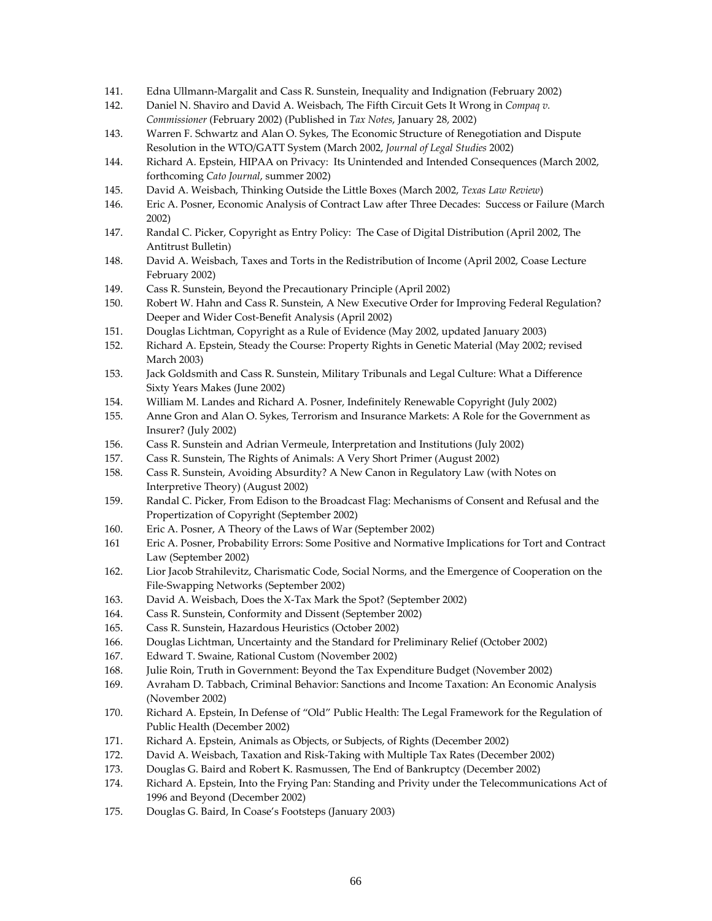- 141. Edna Ullmann‐Margalit and Cass R. Sunstein, Inequality and Indignation (February 2002)
- 142. Daniel N. Shaviro and David A. Weisbach, The Fifth Circuit Gets It Wrong in *Compaq v. Commissioner* (February 2002) (Published in *Tax Notes*, January 28, 2002)
- 143. Warren F. Schwartz and Alan O. Sykes, The Economic Structure of Renegotiation and Dispute Resolution in the WTO/GATT System (March 2002, *Journal of Legal Studies* 2002)
- 144. Richard A. Epstein, HIPAA on Privacy: Its Unintended and Intended Consequences (March 2002, forthcoming *Cato Journal*, summer 2002)
- 145. David A. Weisbach, Thinking Outside the Little Boxes (March 2002, *Texas Law Review*)
- 146. Eric A. Posner, Economic Analysis of Contract Law after Three Decades: Success or Failure (March 2002)
- 147. Randal C. Picker, Copyright as Entry Policy: The Case of Digital Distribution (April 2002, The Antitrust Bulletin)
- 148. David A. Weisbach, Taxes and Torts in the Redistribution of Income (April 2002, Coase Lecture February 2002)
- 149. Cass R. Sunstein, Beyond the Precautionary Principle (April 2002)
- 150. Robert W. Hahn and Cass R. Sunstein, A New Executive Order for Improving Federal Regulation? Deeper and Wider Cost‐Benefit Analysis (April 2002)
- 151. Douglas Lichtman, Copyright as a Rule of Evidence (May 2002, updated January 2003)
- 152. Richard A. Epstein, Steady the Course: Property Rights in Genetic Material (May 2002; revised March 2003)
- 153. Jack Goldsmith and Cass R. Sunstein, Military Tribunals and Legal Culture: What a Difference Sixty Years Makes (June 2002)
- 154. William M. Landes and Richard A. Posner, Indefinitely Renewable Copyright (July 2002)
- 155. Anne Gron and Alan O. Sykes, Terrorism and Insurance Markets: A Role for the Government as Insurer? (July 2002)
- 156. Cass R. Sunstein and Adrian Vermeule, Interpretation and Institutions (July 2002)
- 157. Cass R. Sunstein, The Rights of Animals: A Very Short Primer (August 2002)
- 158. Cass R. Sunstein, Avoiding Absurdity? A New Canon in Regulatory Law (with Notes on Interpretive Theory) (August 2002)
- 159. Randal C. Picker, From Edison to the Broadcast Flag: Mechanisms of Consent and Refusal and the Propertization of Copyright (September 2002)
- 160. Eric A. Posner, A Theory of the Laws of War (September 2002)
- 161 Eric A. Posner, Probability Errors: Some Positive and Normative Implications for Tort and Contract Law (September 2002)
- 162. Lior Jacob Strahilevitz, Charismatic Code, Social Norms, and the Emergence of Cooperation on the File‐Swapping Networks (September 2002)
- 163. David A. Weisbach, Does the X‐Tax Mark the Spot? (September 2002)
- 164. Cass R. Sunstein, Conformity and Dissent (September 2002)
- 165. Cass R. Sunstein, Hazardous Heuristics (October 2002)
- 166. Douglas Lichtman, Uncertainty and the Standard for Preliminary Relief (October 2002)
- 167. Edward T. Swaine, Rational Custom (November 2002)
- 168. Julie Roin, Truth in Government: Beyond the Tax Expenditure Budget (November 2002)
- 169. Avraham D. Tabbach, Criminal Behavior: Sanctions and Income Taxation: An Economic Analysis (November 2002)
- 170. Richard A. Epstein, In Defense of "Old" Public Health: The Legal Framework for the Regulation of Public Health (December 2002)
- 171. Richard A. Epstein, Animals as Objects, or Subjects, of Rights (December 2002)
- 172. David A. Weisbach, Taxation and Risk‐Taking with Multiple Tax Rates (December 2002)
- 173. Douglas G. Baird and Robert K. Rasmussen, The End of Bankruptcy (December 2002)
- 174. Richard A. Epstein, Into the Frying Pan: Standing and Privity under the Telecommunications Act of 1996 and Beyond (December 2002)
- 175. Douglas G. Baird, In Coase's Footsteps (January 2003)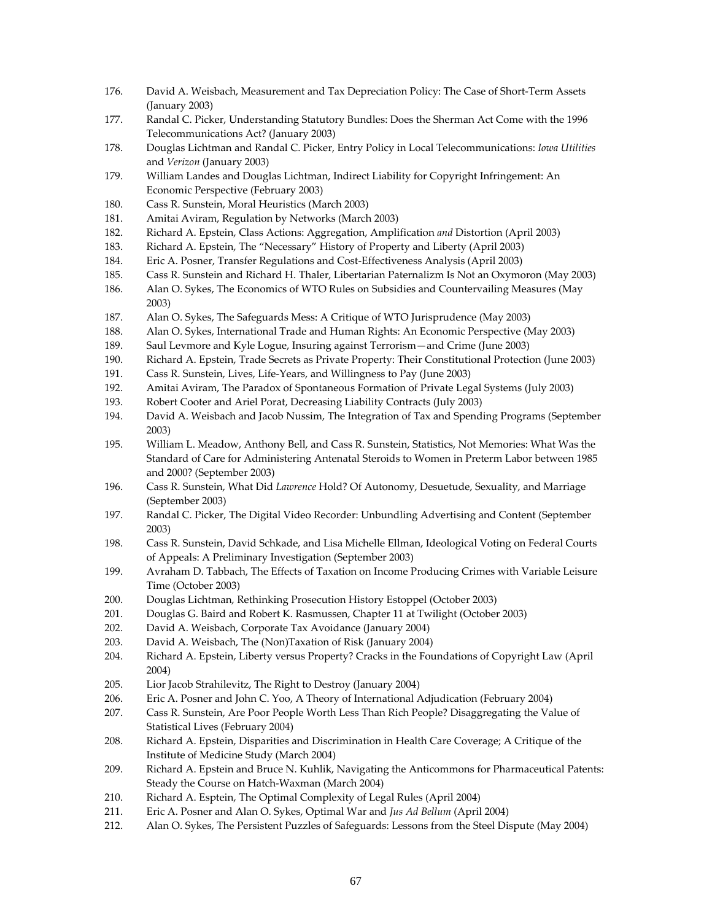- 176. David A. Weisbach, Measurement and Tax Depreciation Policy: The Case of Short‐Term Assets (January 2003)
- 177. Randal C. Picker, Understanding Statutory Bundles: Does the Sherman Act Come with the 1996 Telecommunications Act? (January 2003)
- 178. Douglas Lichtman and Randal C. Picker, Entry Policy in Local Telecommunications: *Iowa Utilities* and *Verizon* (January 2003)
- 179. William Landes and Douglas Lichtman, Indirect Liability for Copyright Infringement: An Economic Perspective (February 2003)
- 180. Cass R. Sunstein, Moral Heuristics (March 2003)
- 181. Amitai Aviram, Regulation by Networks (March 2003)
- 182. Richard A. Epstein, Class Actions: Aggregation, Amplification *and* Distortion (April 2003)
- 183. Richard A. Epstein, The "Necessary" History of Property and Liberty (April 2003)
- 184. Eric A. Posner, Transfer Regulations and Cost-Effectiveness Analysis (April 2003)
- 185. Cass R. Sunstein and Richard H. Thaler, Libertarian Paternalizm Is Not an Oxymoron (May 2003)
- 186. Alan O. Sykes, The Economics of WTO Rules on Subsidies and Countervailing Measures (May 2003)
- 187. Alan O. Sykes, The Safeguards Mess: A Critique of WTO Jurisprudence (May 2003)
- 188. Alan O. Sykes, International Trade and Human Rights: An Economic Perspective (May 2003)
- 189. Saul Levmore and Kyle Logue, Insuring against Terrorism—and Crime (June 2003)
- 190. Richard A. Epstein, Trade Secrets as Private Property: Their Constitutional Protection (June 2003)
- 191. Cass R. Sunstein, Lives, Life-Years, and Willingness to Pay (June 2003)
- 192. Amitai Aviram, The Paradox of Spontaneous Formation of Private Legal Systems (July 2003)
- 193. Robert Cooter and Ariel Porat, Decreasing Liability Contracts (July 2003)
- 194. David A. Weisbach and Jacob Nussim, The Integration of Tax and Spending Programs (September 2003)
- 195. William L. Meadow, Anthony Bell, and Cass R. Sunstein, Statistics, Not Memories: What Was the Standard of Care for Administering Antenatal Steroids to Women in Preterm Labor between 1985 and 2000? (September 2003)
- 196. Cass R. Sunstein, What Did *Lawrence* Hold? Of Autonomy, Desuetude, Sexuality, and Marriage (September 2003)
- 197. Randal C. Picker, The Digital Video Recorder: Unbundling Advertising and Content (September 2003)
- 198. Cass R. Sunstein, David Schkade, and Lisa Michelle Ellman, Ideological Voting on Federal Courts of Appeals: A Preliminary Investigation (September 2003)
- 199. Avraham D. Tabbach, The Effects of Taxation on Income Producing Crimes with Variable Leisure Time (October 2003)
- 200. Douglas Lichtman, Rethinking Prosecution History Estoppel (October 2003)
- 201. Douglas G. Baird and Robert K. Rasmussen, Chapter 11 at Twilight (October 2003)
- 202. David A. Weisbach, Corporate Tax Avoidance (January 2004)
- 203. David A. Weisbach, The (Non)Taxation of Risk (January 2004)
- 204. Richard A. Epstein, Liberty versus Property? Cracks in the Foundations of Copyright Law (April 2004)
- 205. Lior Jacob Strahilevitz, The Right to Destroy (January 2004)
- 206. Eric A. Posner and John C. Yoo, A Theory of International Adjudication (February 2004)
- 207. Cass R. Sunstein, Are Poor People Worth Less Than Rich People? Disaggregating the Value of Statistical Lives (February 2004)
- 208. Richard A. Epstein, Disparities and Discrimination in Health Care Coverage; A Critique of the Institute of Medicine Study (March 2004)
- 209. Richard A. Epstein and Bruce N. Kuhlik, Navigating the Anticommons for Pharmaceutical Patents: Steady the Course on Hatch‐Waxman (March 2004)
- 210. Richard A. Esptein, The Optimal Complexity of Legal Rules (April 2004)
- 211. Eric A. Posner and Alan O. Sykes, Optimal War and *Jus Ad Bellum* (April 2004)
- 212. Alan O. Sykes, The Persistent Puzzles of Safeguards: Lessons from the Steel Dispute (May 2004)